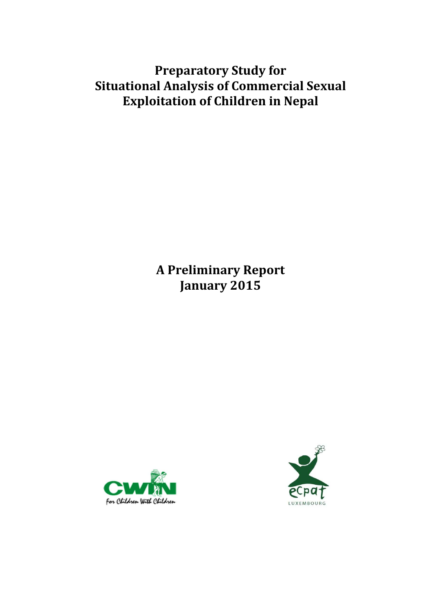# **Preparatory Study for Situational Analysis of Commercial Sexual Exploitation of Children in Nepal**

**A Preliminary Report January 2015** 



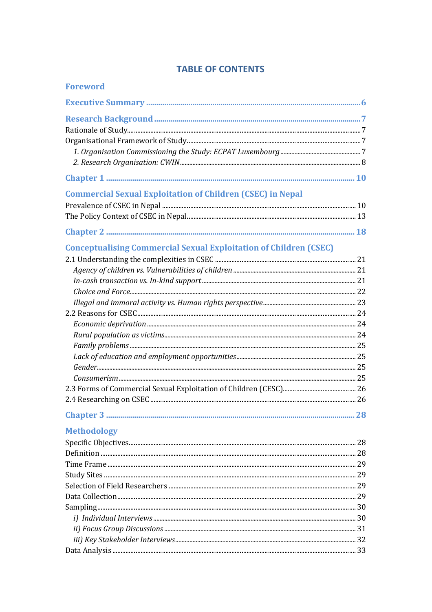| <b>Foreword</b>                                                          |  |
|--------------------------------------------------------------------------|--|
|                                                                          |  |
|                                                                          |  |
|                                                                          |  |
|                                                                          |  |
|                                                                          |  |
|                                                                          |  |
|                                                                          |  |
|                                                                          |  |
| <b>Commercial Sexual Exploitation of Children (CSEC) in Nepal</b>        |  |
|                                                                          |  |
|                                                                          |  |
|                                                                          |  |
| <b>Conceptualising Commercial Sexual Exploitation of Children (CSEC)</b> |  |
|                                                                          |  |
|                                                                          |  |
|                                                                          |  |
|                                                                          |  |
|                                                                          |  |
|                                                                          |  |
|                                                                          |  |
|                                                                          |  |
|                                                                          |  |
|                                                                          |  |
|                                                                          |  |
|                                                                          |  |
|                                                                          |  |
|                                                                          |  |
|                                                                          |  |
|                                                                          |  |
| <b>Methodology</b>                                                       |  |
|                                                                          |  |
|                                                                          |  |
|                                                                          |  |
|                                                                          |  |
|                                                                          |  |
|                                                                          |  |
|                                                                          |  |
|                                                                          |  |
|                                                                          |  |
|                                                                          |  |
|                                                                          |  |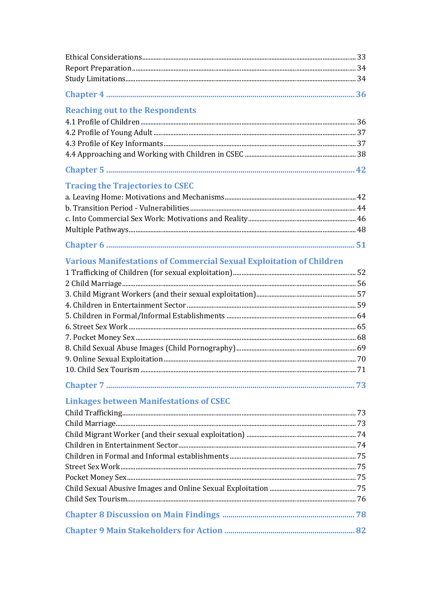| <b>Reaching out to the Respondents</b>                                      |  |
|-----------------------------------------------------------------------------|--|
|                                                                             |  |
|                                                                             |  |
|                                                                             |  |
|                                                                             |  |
|                                                                             |  |
| <b>Tracing the Trajectories to CSEC</b>                                     |  |
|                                                                             |  |
|                                                                             |  |
|                                                                             |  |
|                                                                             |  |
|                                                                             |  |
| <b>Various Manifestations of Commercial Sexual Exploitation of Children</b> |  |
|                                                                             |  |
|                                                                             |  |
|                                                                             |  |
|                                                                             |  |
|                                                                             |  |
|                                                                             |  |
|                                                                             |  |
|                                                                             |  |
|                                                                             |  |
|                                                                             |  |
|                                                                             |  |
| <b>Linkages between Manifestations of CSEC</b>                              |  |
|                                                                             |  |
|                                                                             |  |
|                                                                             |  |
|                                                                             |  |
|                                                                             |  |
|                                                                             |  |
|                                                                             |  |
|                                                                             |  |
|                                                                             |  |
|                                                                             |  |
|                                                                             |  |
|                                                                             |  |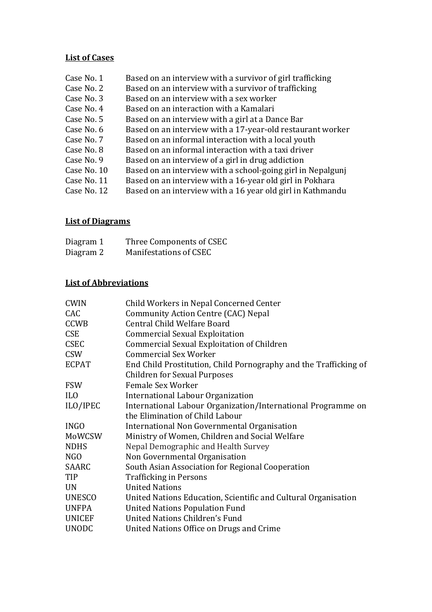## **List of Cases**

| Case No. 1  | Based on an interview with a survivor of girl trafficking   |
|-------------|-------------------------------------------------------------|
| Case No. 2  | Based on an interview with a survivor of trafficking        |
| Case No. 3  | Based on an interview with a sex worker                     |
| Case No. 4  | Based on an interaction with a Kamalari                     |
| Case No. 5  | Based on an interview with a girl at a Dance Bar            |
| Case No. 6  | Based on an interview with a 17-year-old restaurant worker  |
| Case No. 7  | Based on an informal interaction with a local youth         |
| Case No. 8  | Based on an informal interaction with a taxi driver         |
| Case No. 9  | Based on an interview of a girl in drug addiction           |
| Case No. 10 | Based on an interview with a school-going girl in Nepalgunj |
| Case No. 11 | Based on an interview with a 16-year old girl in Pokhara    |
| Case No. 12 | Based on an interview with a 16 year old girl in Kathmandu  |

## **List of Diagrams**

| Diagram 1 | Three Components of CSEC |
|-----------|--------------------------|
| Diagram 2 | Manifestations of CSEC   |

## **List of Abbreviations**

| <b>CWIN</b>     | Child Workers in Nepal Concerned Center                          |
|-----------------|------------------------------------------------------------------|
| CAC             | Community Action Centre (CAC) Nepal                              |
| <b>CCWB</b>     | Central Child Welfare Board                                      |
| <b>CSE</b>      | <b>Commercial Sexual Exploitation</b>                            |
| <b>CSEC</b>     | Commercial Sexual Exploitation of Children                       |
| <b>CSW</b>      | <b>Commercial Sex Worker</b>                                     |
| <b>ECPAT</b>    | End Child Prostitution, Child Pornography and the Trafficking of |
|                 | <b>Children for Sexual Purposes</b>                              |
| <b>FSW</b>      | Female Sex Worker                                                |
| IL <sub>0</sub> | International Labour Organization                                |
| ILO/IPEC        | International Labour Organization/International Programme on     |
|                 | the Elimination of Child Labour                                  |
| <b>INGO</b>     | International Non Governmental Organisation                      |
| MoWCSW          | Ministry of Women, Children and Social Welfare                   |
| <b>NDHS</b>     | Nepal Demographic and Health Survey                              |
| NGO             | Non Governmental Organisation                                    |
| SAARC           | South Asian Association for Regional Cooperation                 |
| TIP             | <b>Trafficking in Persons</b>                                    |
| <b>UN</b>       | <b>United Nations</b>                                            |
| <b>UNESCO</b>   | United Nations Education, Scientific and Cultural Organisation   |
| <b>UNFPA</b>    | <b>United Nations Population Fund</b>                            |
| UNICEF          | <b>United Nations Children's Fund</b>                            |
| <b>UNODC</b>    | United Nations Office on Drugs and Crime                         |
|                 |                                                                  |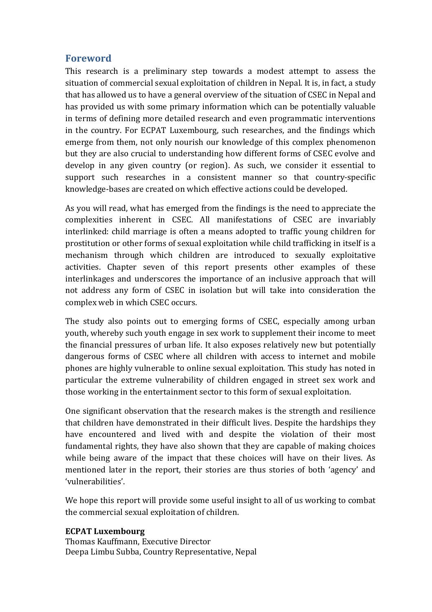## **Foreword**

This research is a preliminary step towards a modest attempt to assess the situation of commercial sexual exploitation of children in Nepal. It is, in fact, a study that has allowed us to have a general overview of the situation of CSEC in Nepal and has provided us with some primary information which can be potentially valuable in terms of defining more detailed research and even programmatic interventions in the country. For ECPAT Luxembourg, such researches, and the findings which emerge from them, not only nourish our knowledge of this complex phenomenon but they are also crucial to understanding how different forms of CSEC evolve and develop in any given country (or region). As such, we consider it essential to support such researches in a consistent manner so that country-specific knowledge-bases are created on which effective actions could be developed.

As you will read, what has emerged from the findings is the need to appreciate the complexities inherent in CSEC. All manifestations of CSEC are invariably interlinked: child marriage is often a means adopted to traffic young children for prostitution or other forms of sexual exploitation while child trafficking in itself is a mechanism through which children are introduced to sexually exploitative activities. Chapter seven of this report presents other examples of these interlinkages and underscores the importance of an inclusive approach that will not address any form of CSEC in isolation but will take into consideration the complex web in which CSEC occurs.

The study also points out to emerging forms of CSEC, especially among urban youth, whereby such youth engage in sex work to supplement their income to meet the financial pressures of urban life. It also exposes relatively new but potentially dangerous forms of CSEC where all children with access to internet and mobile phones are highly vulnerable to online sexual exploitation. This study has noted in particular the extreme vulnerability of children engaged in street sex work and those working in the entertainment sector to this form of sexual exploitation.

One significant observation that the research makes is the strength and resilience that children have demonstrated in their difficult lives. Despite the hardships they have encountered and lived with and despite the violation of their most fundamental rights, they have also shown that they are capable of making choices while being aware of the impact that these choices will have on their lives. As mentioned later in the report, their stories are thus stories of both 'agency' and 'vulnerabilities'.

We hope this report will provide some useful insight to all of us working to combat the commercial sexual exploitation of children.

## **ECPAT Luxembourg**

Thomas Kauffmann, Executive Director Deepa Limbu Subba, Country Representative, Nepal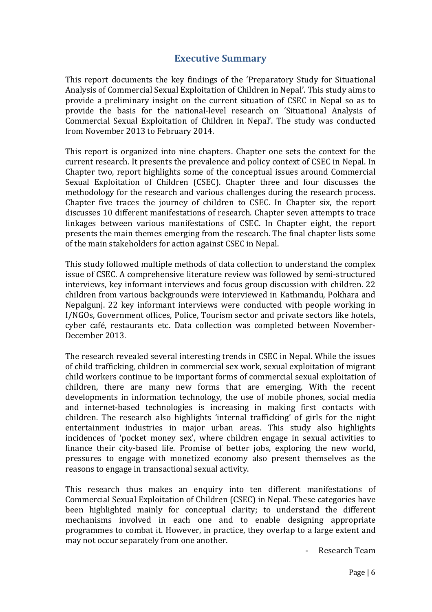## **Executive Summary**

This report documents the key findings of the 'Preparatory Study for Situational Analysis of Commercial Sexual Exploitation of Children in Nepal'. This study aims to provide a preliminary insight on the current situation of CSEC in Nepal so as to provide the basis for the national-level research on 'Situational Analysis of Commercial Sexual Exploitation of Children in Nepal'. The study was conducted from November 2013 to February 2014.

This report is organized into nine chapters. Chapter one sets the context for the current research. It presents the prevalence and policy context of CSEC in Nepal. In Chapter two, report highlights some of the conceptual issues around Commercial Sexual Exploitation of Children (CSEC). Chapter three and four discusses the methodology for the research and various challenges during the research process. Chapter five traces the journey of children to CSEC. In Chapter six, the report discusses 10 different manifestations of research. Chapter seven attempts to trace linkages between various manifestations of CSEC. In Chapter eight, the report presents the main themes emerging from the research. The final chapter lists some of the main stakeholders for action against CSEC in Nepal.

This study followed multiple methods of data collection to understand the complex issue of CSEC. A comprehensive literature review was followed by semi-structured interviews, key informant interviews and focus group discussion with children. 22 children from various backgrounds were interviewed in Kathmandu, Pokhara and Nepalgunj. 22 key informant interviews were conducted with people working in I/NGOs, Government offices, Police, Tourism sector and private sectors like hotels, cyber café, restaurants etc. Data collection was completed between November-December 2013.

The research revealed several interesting trends in CSEC in Nepal. While the issues of child trafficking, children in commercial sex work, sexual exploitation of migrant child workers continue to be important forms of commercial sexual exploitation of children, there are many new forms that are emerging. With the recent developments in information technology, the use of mobile phones, social media and internet-based technologies is increasing in making first contacts with children. The research also highlights 'internal trafficking' of girls for the night entertainment industries in major urban areas. This study also highlights incidences of 'pocket money sex', where children engage in sexual activities to finance their city-based life. Promise of better jobs, exploring the new world, pressures to engage with monetized economy also present themselves as the reasons to engage in transactional sexual activity.

This research thus makes an enquiry into ten different manifestations of Commercial Sexual Exploitation of Children (CSEC) in Nepal. These categories have been highlighted mainly for conceptual clarity; to understand the different mechanisms involved in each one and to enable designing appropriate programmes to combat it. However, in practice, they overlap to a large extent and may not occur separately from one another.

- Research Team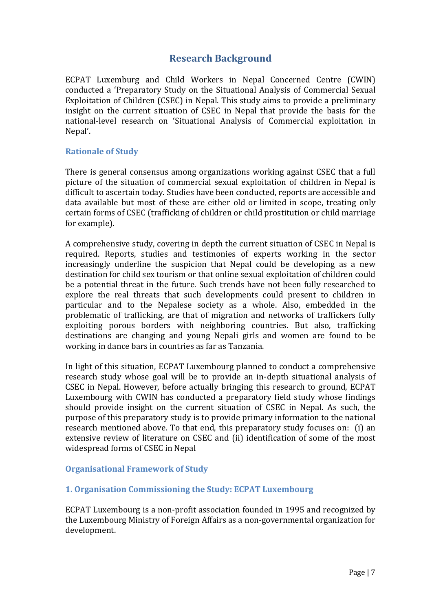## **Research Background**

ECPAT Luxemburg and Child Workers in Nepal Concerned Centre (CWIN) conducted a 'Preparatory Study on the Situational Analysis of Commercial Sexual Exploitation of Children (CSEC) in Nepal. This study aims to provide a preliminary insight on the current situation of CSEC in Nepal that provide the basis for the national-level research on 'Situational Analysis of Commercial exploitation in Nepal'.

### **Rationale of Study**

There is general consensus among organizations working against CSEC that a full picture of the situation of commercial sexual exploitation of children in Nepal is difficult to ascertain today. Studies have been conducted, reports are accessible and data available but most of these are either old or limited in scope, treating only certain forms of CSEC (trafficking of children or child prostitution or child marriage for example).

A comprehensive study, covering in depth the current situation of CSEC in Nepal is required. Reports, studies and testimonies of experts working in the sector increasingly underline the suspicion that Nepal could be developing as a new destination for child sex tourism or that online sexual exploitation of children could be a potential threat in the future. Such trends have not been fully researched to explore the real threats that such developments could present to children in particular and to the Nepalese society as a whole. Also, embedded in the problematic of trafficking, are that of migration and networks of traffickers fully exploiting porous borders with neighboring countries. But also, trafficking destinations are changing and young Nepali girls and women are found to be working in dance bars in countries as far as Tanzania.

In light of this situation, ECPAT Luxembourg planned to conduct a comprehensive research study whose goal will be to provide an in-depth situational analysis of CSEC in Nepal. However, before actually bringing this research to ground, ECPAT Luxembourg with CWIN has conducted a preparatory field study whose findings should provide insight on the current situation of CSEC in Nepal. As such, the purpose of this preparatory study is to provide primary information to the national research mentioned above. To that end, this preparatory study focuses on: (i) an extensive review of literature on CSEC and (ii) identification of some of the most widespread forms of CSEC in Nepal

## **Organisational Framework of Study**

## **1. Organisation Commissioning the Study: ECPAT Luxembourg**

ECPAT Luxembourg is a non-profit association founded in 1995 and recognized by the Luxembourg Ministry of Foreign Affairs as a non-governmental organization for development.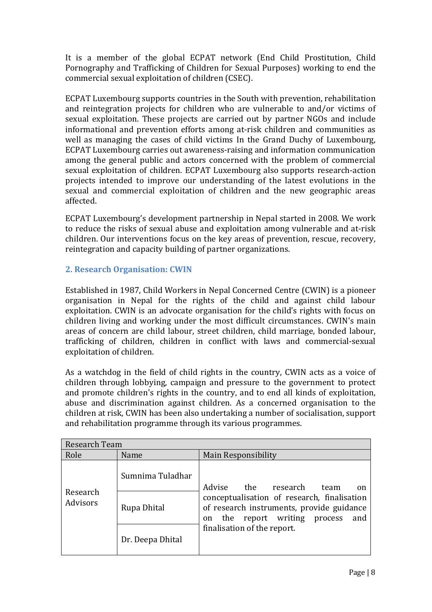It is a member of the global ECPAT network (End Child Prostitution, Child Pornography and Trafficking of Children for Sexual Purposes) working to end the commercial sexual exploitation of children (CSEC).

ECPAT Luxembourg supports countries in the South with prevention, rehabilitation and reintegration projects for children who are vulnerable to and/or victims of sexual exploitation. These projects are carried out by partner NGOs and include informational and prevention efforts among at-risk children and communities as well as managing the cases of child victims In the Grand Duchy of Luxembourg, ECPAT Luxembourg carries out awareness-raising and information communication among the general public and actors concerned with the problem of commercial sexual exploitation of children. ECPAT Luxembourg also supports research-action projects intended to improve our understanding of the latest evolutions in the sexual and commercial exploitation of children and the new geographic areas affected.

ECPAT Luxembourg's development partnership in Nepal started in 2008. We work to reduce the risks of sexual abuse and exploitation among vulnerable and at-risk children. Our interventions focus on the key areas of prevention, rescue, recovery, reintegration and capacity building of partner organizations.

## **2. Research Organisation: CWIN**

Established in 1987, Child Workers in Nepal Concerned Centre (CWIN) is a pioneer organisation in Nepal for the rights of the child and against child labour exploitation. CWIN is an advocate organisation for the child's rights with focus on children living and working under the most difficult circumstances. CWIN's main areas of concern are child labour, street children, child marriage, bonded labour, trafficking of children, children in conflict with laws and commercial-sexual exploitation of children.

As a watchdog in the field of child rights in the country, CWIN acts as a voice of children through lobbying, campaign and pressure to the government to protect and promote children's rights in the country, and to end all kinds of exploitation, abuse and discrimination against children. As a concerned organisation to the children at risk, CWIN has been also undertaking a number of socialisation, support and rehabilitation programme through its various programmes.

| Research Team |                  |                                                                                                    |
|---------------|------------------|----------------------------------------------------------------------------------------------------|
| Role          | Name             | Main Responsibility                                                                                |
| Research      | Sumnima Tuladhar | Advise<br>the<br>research<br>team<br>on<br>conceptualisation of research, finalisation             |
| Advisors      | Rupa Dhital      | of research instruments, provide guidance<br>report writing process<br>the<br>and<br><sub>on</sub> |
|               | Dr. Deepa Dhital | finalisation of the report.                                                                        |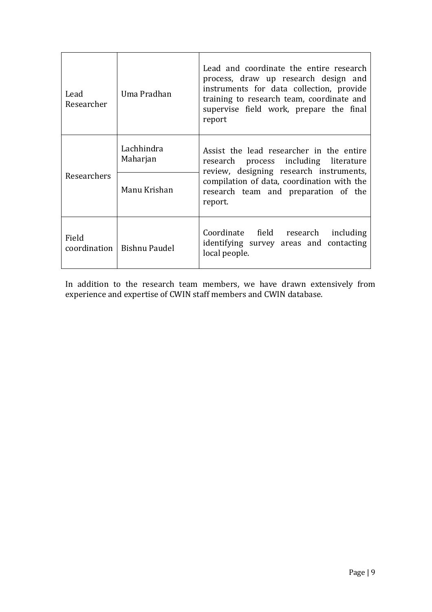| Lead<br>Researcher          | Uma Pradhan                  | Lead and coordinate the entire research<br>process, draw up research design and<br>instruments for data collection, provide<br>training to research team, coordinate and<br>supervise field work, prepare the final<br>report |
|-----------------------------|------------------------------|-------------------------------------------------------------------------------------------------------------------------------------------------------------------------------------------------------------------------------|
|                             | Lachhindra<br>Maharjan       | Assist the lead researcher in the entire<br>research process including literature<br>review, designing research instruments,<br>compilation of data, coordination with the<br>research team and preparation of the<br>report. |
| Researchers<br>Manu Krishan |                              |                                                                                                                                                                                                                               |
| Field                       | coordination   Bishnu Paudel | Coordinate field research<br>including<br>identifying survey areas and contacting<br>local people.                                                                                                                            |

In addition to the research team members, we have drawn extensively from experience and expertise of CWIN staff members and CWIN database.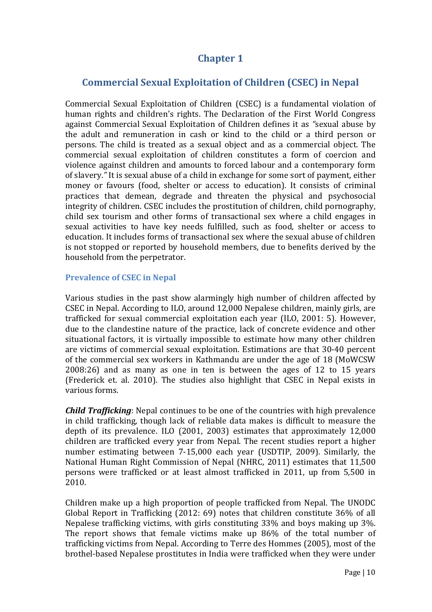## **Chapter 1**

## **Commercial Sexual Exploitation of Children (CSEC) in Nepal**

Commercial Sexual Exploitation of Children (CSEC) is a fundamental violation of human rights and children's rights. The Declaration of the First World Congress against Commercial Sexual Exploitation of Children defines it as *"*sexual abuse by the adult and remuneration in cash or kind to the child or a third person or persons. The child is treated as a sexual object and as a commercial object. The commercial sexual exploitation of children constitutes a form of coercion and violence against children and amounts to forced labour and a contemporary form of slavery.*"* It is sexual abuse of a child in exchange for some sort of payment, either money or favours (food, shelter or access to education). It consists of criminal practices that demean, degrade and threaten the physical and psychosocial integrity of children. CSEC includes the prostitution of children, child pornography, child sex tourism and other forms of transactional sex where a child engages in sexual activities to have key needs fulfilled, such as food, shelter or access to education. It includes forms of transactional sex where the sexual abuse of children is not stopped or reported by household members, due to benefits derived by the household from the perpetrator.

### **Prevalence of CSEC in Nepal**

Various studies in the past show alarmingly high number of children affected by CSEC in Nepal. According to ILO, around 12,000 Nepalese children, mainly girls, are trafficked for sexual commercial exploitation each year (ILO, 2001: 5). However, due to the clandestine nature of the practice, lack of concrete evidence and other situational factors, it is virtually impossible to estimate how many other children are victims of commercial sexual exploitation. Estimations are that 30-40 percent of the commercial sex workers in Kathmandu are under the age of 18 (MoWCSW 2008:26) and as many as one in ten is between the ages of 12 to 15 years (Frederick et. al. 2010). The studies also highlight that CSEC in Nepal exists in various forms.

*Child Trafficking*: Nepal continues to be one of the countries with high prevalence in child trafficking, though lack of reliable data makes is difficult to measure the depth of its prevalence. ILO (2001, 2003) estimates that approximately 12,000 children are trafficked every year from Nepal. The recent studies report a higher number estimating between 7-15,000 each year (USDTIP, 2009). Similarly, the National Human Right Commission of Nepal (NHRC, 2011) estimates that 11,500 persons were trafficked or at least almost trafficked in 2011, up from 5,500 in 2010.

Children make up a high proportion of people trafficked from Nepal. The UNODC Global Report in Trafficking (2012: 69) notes that children constitute 36% of all Nepalese trafficking victims, with girls constituting 33% and boys making up 3%. The report shows that female victims make up 86% of the total number of trafficking victims from Nepal. According to Terre des Hommes (2005), most of the brothel-based Nepalese prostitutes in India were trafficked when they were under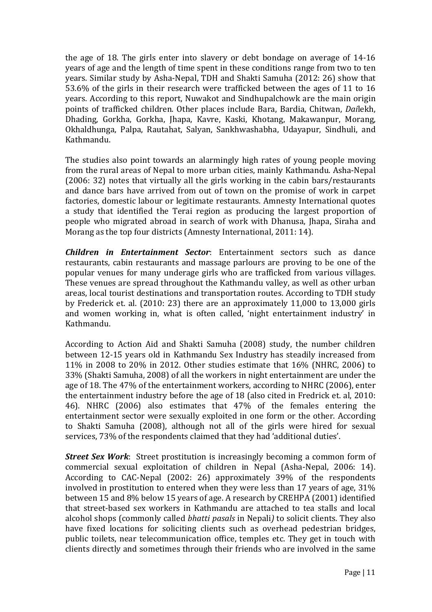the age of 18. The girls enter into slavery or debt bondage on average of 14-16 years of age and the length of time spent in these conditions range from two to ten years. Similar study by Asha-Nepal, TDH and Shakti Samuha (2012: 26) show that 53.6% of the girls in their research were trafficked between the ages of 11 to 16 years. According to this report, Nuwakot and Sindhupalchowk are the main origin points of trafficked children. Other places include Bara, Bardia, Chitwan, *Dai*lekh, Dhading, Gorkha, Gorkha, Jhapa, Kavre, Kaski, Khotang, Makawanpur, Morang, Okhaldhunga, Palpa, Rautahat, Salyan, Sankhwashabha, Udayapur, Sindhuli, and Kathmandu.

The studies also point towards an alarmingly high rates of young people moving from the rural areas of Nepal to more urban cities, mainly Kathmandu. Asha-Nepal (2006: 32) notes that virtually all the girls working in the cabin bars/restaurants and dance bars have arrived from out of town on the promise of work in carpet factories, domestic labour or legitimate restaurants. Amnesty International quotes a study that identified the Terai region as producing the largest proportion of people who migrated abroad in search of work with Dhanusa, Jhapa, Siraha and Morang as the top four districts (Amnesty International, 2011: 14).

*Children in Entertainment Sector*: Entertainment sectors such as dance restaurants, cabin restaurants and massage parlours are proving to be one of the popular venues for many underage girls who are trafficked from various villages. These venues are spread throughout the Kathmandu valley, as well as other urban areas, local tourist destinations and transportation routes. According to TDH study by Frederick et. al. (2010: 23) there are an approximately 11,000 to 13,000 girls and women working in, what is often called, 'night entertainment industry' in Kathmandu.

According to Action Aid and Shakti Samuha (2008) study, the number children between 12-15 years old in Kathmandu Sex Industry has steadily increased from 11% in 2008 to 20% in 2012. Other studies estimate that 16% (NHRC, 2006) to 33% (Shakti Samuha, 2008) of all the workers in night entertainment are under the age of 18. The 47% of the entertainment workers, according to NHRC (2006), enter the entertainment industry before the age of 18 (also cited in Fredrick et. al, 2010: 46). NHRC (2006) also estimates that 47% of the females entering the entertainment sector were sexually exploited in one form or the other. According to Shakti Samuha (2008), although not all of the girls were hired for sexual services, 73% of the respondents claimed that they had 'additional duties'.

*Street Sex Work*: Street prostitution is increasingly becoming a common form of commercial sexual exploitation of children in Nepal (Asha-Nepal, 2006: 14). According to CAC-Nepal (2002: 26) approximately 39% of the respondents involved in prostitution to entered when they were less than 17 years of age, 31% between 15 and 8% below 15 years of age. A research by CREHPA (2001) identified that street-based sex workers in Kathmandu are attached to tea stalls and local alcohol shops (commonly called *bhatti pasals* in Nepali*)* to solicit clients. They also have fixed locations for soliciting clients such as overhead pedestrian bridges, public toilets, near telecommunication office, temples etc. They get in touch with clients directly and sometimes through their friends who are involved in the same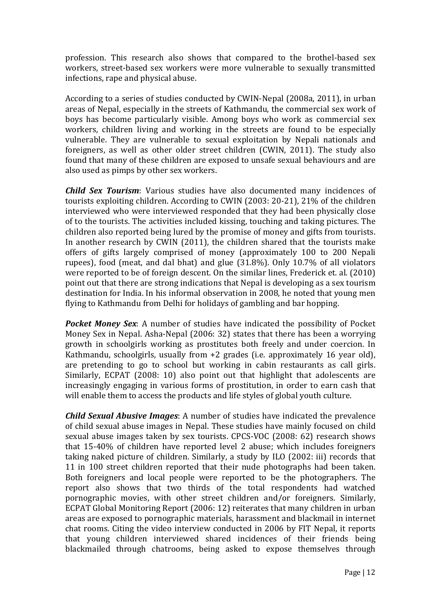profession. This research also shows that compared to the brothel-based sex workers, street-based sex workers were more vulnerable to sexually transmitted infections, rape and physical abuse.

According to a series of studies conducted by CWIN-Nepal (2008a, 2011), in urban areas of Nepal, especially in the streets of Kathmandu, the commercial sex work of boys has become particularly visible. Among boys who work as commercial sex workers, children living and working in the streets are found to be especially vulnerable. They are vulnerable to sexual exploitation by Nepali nationals and foreigners, as well as other older street children (CWIN, 2011). The study also found that many of these children are exposed to unsafe sexual behaviours and are also used as pimps by other sex workers.

*Child Sex Tourism*: Various studies have also documented many incidences of tourists exploiting children. According to CWIN (2003: 20-21), 21% of the children interviewed who were interviewed responded that they had been physically close of to the tourists. The activities included kissing, touching and taking pictures. The children also reported being lured by the promise of money and gifts from tourists. In another research by CWIN (2011), the children shared that the tourists make offers of gifts largely comprised of money (approximately 100 to 200 Nepali rupees), food (meat, and dal bhat) and glue (31.8%). Only 10.7% of all violators were reported to be of foreign descent. On the similar lines, Frederick et. al. (2010) point out that there are strong indications that Nepal is developing as a sex tourism destination for India. In his informal observation in 2008, he noted that young men flying to Kathmandu from Delhi for holidays of gambling and bar hopping.

*Pocket Money Sex*: A number of studies have indicated the possibility of Pocket Money Sex in Nepal. Asha-Nepal (2006: 32) states that there has been a worrying growth in schoolgirls working as prostitutes both freely and under coercion. In Kathmandu, schoolgirls, usually from +2 grades (i.e. approximately 16 year old), are pretending to go to school but working in cabin restaurants as call girls. Similarly, ECPAT (2008: 10) also point out that highlight that adolescents are increasingly engaging in various forms of prostitution, in order to earn cash that will enable them to access the products and life styles of global youth culture.

*Child Sexual Abusive Images*: A number of studies have indicated the prevalence of child sexual abuse images in Nepal. These studies have mainly focused on child sexual abuse images taken by sex tourists. CPCS-VOC (2008: 62) research shows that 15-40% of children have reported level 2 abuse; which includes foreigners taking naked picture of children. Similarly, a study by ILO (2002: iii) records that 11 in 100 street children reported that their nude photographs had been taken. Both foreigners and local people were reported to be the photographers. The report also shows that two thirds of the total respondents had watched pornographic movies, with other street children and/or foreigners. Similarly, ECPAT Global Monitoring Report (2006: 12) reiterates that many children in urban areas are exposed to pornographic materials, harassment and blackmail in internet chat rooms. Citing the video interview conducted in 2006 by FIT Nepal, it reports that young children interviewed shared incidences of their friends being blackmailed through chatrooms, being asked to expose themselves through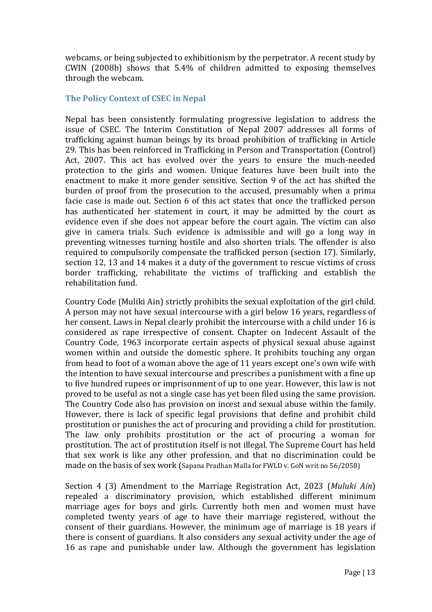webcams, or being subjected to exhibitionism by the perpetrator. A recent study by CWIN (2008b) shows that 5.4% of children admitted to exposing themselves through the webcam.

### **The Policy Context of CSEC in Nepal**

Nepal has been consistently formulating progressive legislation to address the issue of CSEC. The Interim Constitution of Nepal 2007 addresses all forms of trafficking against human beings by its broad prohibition of trafficking in Article 29. This has been reinforced in Trafficking in Person and Transportation (Control) Act, 2007. This act has evolved over the years to ensure the much-needed protection to the girls and women. Unique features have been built into the enactment to make it more gender sensitive. Section 9 of the act has shifted the burden of proof from the prosecution to the accused, presumably when a prima facie case is made out. Section 6 of this act states that once the trafficked person has authenticated her statement in court, it may be admitted by the court as evidence even if she does not appear before the court again. The victim can also give in camera trials. Such evidence is admissible and will go a long way in preventing witnesses turning hostile and also shorten trials. The offender is also required to compulsorily compensate the trafficked person (section 17). Similarly, section 12, 13 and 14 makes it a duty of the government to rescue victims of cross border trafficking, rehabilitate the victims of trafficking and establish the rehabilitation fund.

Country Code (Muliki Ain) strictly prohibits the sexual exploitation of the girl child. A person may not have sexual intercourse with a girl below 16 years, regardless of her consent. Laws in Nepal clearly prohibit the intercourse with a child under 16 is considered as rape irrespective of consent. Chapter on Indecent Assault of the Country Code, 1963 incorporate certain aspects of physical sexual abuse against women within and outside the domestic sphere. It prohibits touching any organ from head to foot of a woman above the age of 11 years except one's own wife with the intention to have sexual intercourse and prescribes a punishment with a fine up to five hundred rupees or imprisonment of up to one year. However, this law is not proved to be useful as not a single case has yet been filed using the same provision. The Country Code also has provision on incest and sexual abuse within the family. However, there is lack of specific legal provisions that define and prohibit child prostitution or punishes the act of procuring and providing a child for prostitution. The law only prohibits prostitution or the act of procuring a woman for prostitution. The act of prostitution itself is not illegal. The Supreme Court has held that sex work is like any other profession, and that no discrimination could be made on the basis of sex work (Sapana Pradhan Malla for FWLD v. GoN writ no 56/2058)

Section 4 (3) Amendment to the Marriage Registration Act, 2023 (*Muluki Ain*) repealed a discriminatory provision, which established different minimum marriage ages for boys and girls. Currently both men and women must have completed twenty years of age to have their marriage registered, without the consent of their guardians. However, the minimum age of marriage is 18 years if there is consent of guardians. It also considers any sexual activity under the age of 16 as rape and punishable under law. Although the government has legislation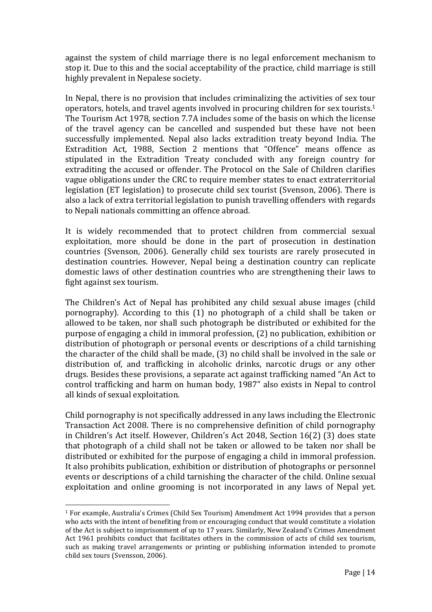against the system of child marriage there is no legal enforcement mechanism to stop it. Due to this and the social acceptability of the practice, child marriage is still highly prevalent in Nepalese society.

In Nepal, there is no provision that includes criminalizing the activities of sex tour operators, hotels, and travel agents involved in procuring children for sex tourists.<sup>1</sup> The Tourism Act 1978, section 7.7A includes some of the basis on which the license of the travel agency can be cancelled and suspended but these have not been successfully implemented. Nepal also lacks extradition treaty beyond India. The Extradition Act, 1988, Section 2 mentions that "Offence" means offence as stipulated in the Extradition Treaty concluded with any foreign country for extraditing the accused or offender. The Protocol on the Sale of Children clarifies vague obligations under the CRC to require member states to enact extraterritorial legislation (ET legislation) to prosecute child sex tourist (Svenson, 2006). There is also a lack of extra territorial legislation to punish travelling offenders with regards to Nepali nationals committing an offence abroad.

It is widely recommended that to protect children from commercial sexual exploitation, more should be done in the part of prosecution in destination countries (Svenson, 2006). Generally child sex tourists are rarely prosecuted in destination countries. However, Nepal being a destination country can replicate domestic laws of other destination countries who are strengthening their laws to fight against sex tourism.

The Children's Act of Nepal has prohibited any child sexual abuse images (child pornography). According to this (1) no photograph of a child shall be taken or allowed to be taken, nor shall such photograph be distributed or exhibited for the purpose of engaging a child in immoral profession, (2) no publication, exhibition or distribution of photograph or personal events or descriptions of a child tarnishing the character of the child shall be made, (3) no child shall be involved in the sale or distribution of, and trafficking in alcoholic drinks, narcotic drugs or any other drugs. Besides these provisions, a separate act against trafficking named "An Act to control trafficking and harm on human body, 1987" also exists in Nepal to control all kinds of sexual exploitation.

Child pornography is not specifically addressed in any laws including the Electronic Transaction Act 2008. There is no comprehensive definition of child pornography in Children's Act itself. However, Children's Act 2048, Section 16(2) (3) does state that photograph of a child shall not be taken or allowed to be taken nor shall be distributed or exhibited for the purpose of engaging a child in immoral profession. It also prohibits publication, exhibition or distribution of photographs or personnel events or descriptions of a child tarnishing the character of the child. Online sexual exploitation and online grooming is not incorporated in any laws of Nepal yet.

l

<sup>1</sup> For example, Australia's Crimes (Child Sex Tourism) Amendment Act 1994 provides that a person who acts with the intent of benefiting from or encouraging conduct that would constitute a violation of the Act is subject to imprisonment of up to 17 years. Similarly, New Zealand's Crimes Amendment Act 1961 prohibits conduct that facilitates others in the commission of acts of child sex tourism, such as making travel arrangements or printing or publishing information intended to promote child sex tours (Svensson, 2006).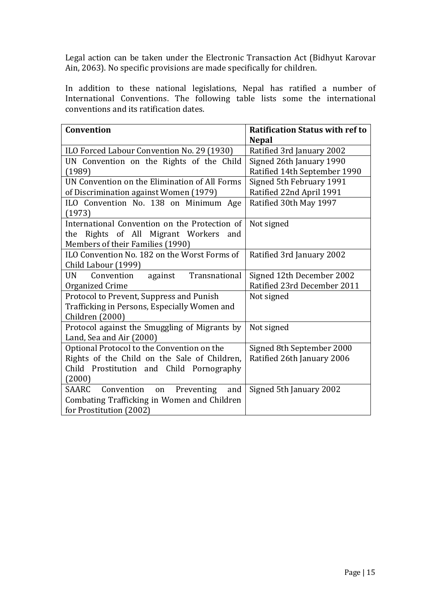Legal action can be taken under the Electronic Transaction Act (Bidhyut Karovar Ain, 2063). No specific provisions are made specifically for children.

In addition to these national legislations, Nepal has ratified a number of International Conventions. The following table lists some the international conventions and its ratification dates.

| Convention                                          | <b>Ratification Status with ref to</b> |  |
|-----------------------------------------------------|----------------------------------------|--|
|                                                     | <b>Nepal</b>                           |  |
| ILO Forced Labour Convention No. 29 (1930)          | Ratified 3rd January 2002              |  |
| UN Convention on the Rights of the Child            | Signed 26th January 1990               |  |
| (1989)                                              | Ratified 14th September 1990           |  |
| UN Convention on the Elimination of All Forms       | Signed 5th February 1991               |  |
| of Discrimination against Women (1979)              | Ratified 22nd April 1991               |  |
| ILO Convention No. 138 on Minimum Age               | Ratified 30th May 1997                 |  |
| (1973)                                              |                                        |  |
| International Convention on the Protection of       | Not signed                             |  |
| Rights of All Migrant Workers<br>the<br>and         |                                        |  |
| Members of their Families (1990)                    |                                        |  |
| ILO Convention No. 182 on the Worst Forms of        | Ratified 3rd January 2002              |  |
| Child Labour (1999)                                 |                                        |  |
| Transnational<br><b>UN</b><br>Convention<br>against | Signed 12th December 2002              |  |
| Organized Crime                                     | Ratified 23rd December 2011            |  |
| Protocol to Prevent, Suppress and Punish            | Not signed                             |  |
| Trafficking in Persons, Especially Women and        |                                        |  |
| Children (2000)                                     |                                        |  |
| Protocol against the Smuggling of Migrants by       | Not signed                             |  |
| Land, Sea and Air (2000)                            |                                        |  |
| Optional Protocol to the Convention on the          | Signed 8th September 2000              |  |
| Rights of the Child on the Sale of Children,        | Ratified 26th January 2006             |  |
| Child Prostitution and Child Pornography            |                                        |  |
| (2000)                                              |                                        |  |
| SAARC<br>Convention<br>Preventing<br>and<br>on      | Signed 5th January 2002                |  |
| Combating Trafficking in Women and Children         |                                        |  |
| for Prostitution (2002)                             |                                        |  |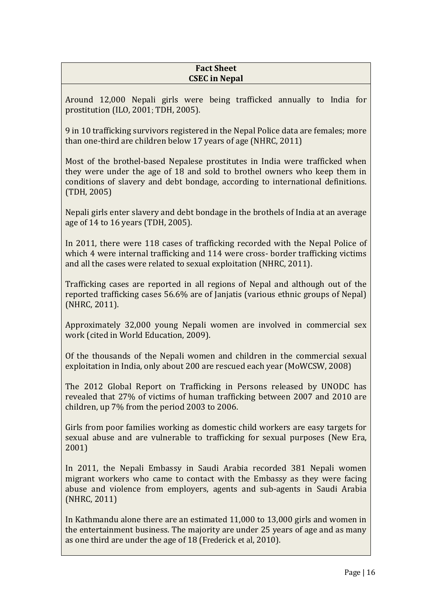### **Fact Sheet CSEC in Nepal**

Around 12,000 Nepali girls were being trafficked annually to India for prostitution (ILO, 2001; TDH, 2005).

9 in 10 trafficking survivors registered in the Nepal Police data are females; more than one-third are children below 17 years of age (NHRC, 2011)

Most of the brothel-based Nepalese prostitutes in India were trafficked when they were under the age of 18 and sold to brothel owners who keep them in conditions of slavery and debt bondage, according to international definitions. (TDH, 2005)

Nepali girls enter slavery and debt bondage in the brothels of India at an average age of 14 to 16 years (TDH, 2005).

In 2011, there were 118 cases of trafficking recorded with the Nepal Police of which 4 were internal trafficking and 114 were cross- border trafficking victims and all the cases were related to sexual exploitation (NHRC, 2011).

Trafficking cases are reported in all regions of Nepal and although out of the reported trafficking cases 56.6% are of Janjatis (various ethnic groups of Nepal) (NHRC, 2011).

Approximately 32,000 young Nepali women are involved in commercial sex work (cited in World Education, 2009).

Of the thousands of the Nepali women and children in the commercial sexual exploitation in India, only about 200 are rescued each year (MoWCSW, 2008)

The 2012 Global Report on Trafficking in Persons released by UNODC has revealed that 27% of victims of human trafficking between 2007 and 2010 are children, up 7% from the period 2003 to 2006.

Girls from poor families working as domestic child workers are easy targets for sexual abuse and are vulnerable to trafficking for sexual purposes (New Era, 2001)

In 2011, the Nepali Embassy in Saudi Arabia recorded 381 Nepali women migrant workers who came to contact with the Embassy as they were facing abuse and violence from employers, agents and sub-agents in Saudi Arabia (NHRC, 2011)

In Kathmandu alone there are an estimated 11,000 to 13,000 girls and women in the entertainment business. The majority are under 25 years of age and as many as one third are under the age of 18 (Frederick et al, 2010).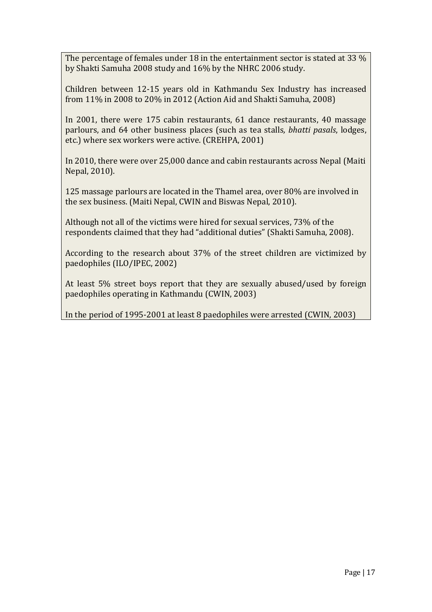The percentage of females under 18 in the entertainment sector is stated at 33 % by Shakti Samuha 2008 study and 16% by the NHRC 2006 study.

Children between 12-15 years old in Kathmandu Sex Industry has increased from 11% in 2008 to 20% in 2012 (Action Aid and Shakti Samuha, 2008)

In 2001, there were 175 cabin restaurants, 61 dance restaurants, 40 massage parlours, and 64 other business places (such as tea stalls*, bhatti pasals*, lodges, etc.) where sex workers were active. (CREHPA, 2001)

In 2010, there were over 25,000 dance and cabin restaurants across Nepal (Maiti Nepal, 2010).

125 massage parlours are located in the Thamel area, over 80% are involved in the sex business. (Maiti Nepal, CWIN and Biswas Nepal, 2010).

Although not all of the victims were hired for sexual services, 73% of the respondents claimed that they had "additional duties" (Shakti Samuha, 2008).

According to the research about 37% of the street children are victimized by paedophiles (ILO/IPEC, 2002)

At least 5% street boys report that they are sexually abused/used by foreign paedophiles operating in Kathmandu (CWIN, 2003)

In the period of 1995-2001 at least 8 paedophiles were arrested (CWIN, 2003)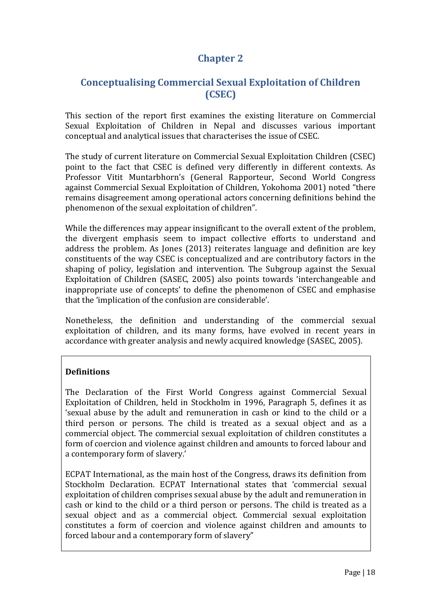## **Chapter 2**

## **Conceptualising Commercial Sexual Exploitation of Children (CSEC)**

This section of the report first examines the existing literature on Commercial Sexual Exploitation of Children in Nepal and discusses various important conceptual and analytical issues that characterises the issue of CSEC.

The study of current literature on Commercial Sexual Exploitation Children (CSEC) point to the fact that CSEC is defined very differently in different contexts. As Professor Vitit Muntarbhorn's (General Rapporteur, Second World Congress against Commercial Sexual Exploitation of Children, Yokohoma 2001) noted "there remains disagreement among operational actors concerning definitions behind the phenomenon of the sexual exploitation of children".

While the differences may appear insignificant to the overall extent of the problem, the divergent emphasis seem to impact collective efforts to understand and address the problem. As Jones (2013) reiterates language and definition are key constituents of the way CSEC is conceptualized and are contributory factors in the shaping of policy, legislation and intervention. The Subgroup against the Sexual Exploitation of Children (SASEC, 2005) also points towards 'interchangeable and inappropriate use of concepts' to define the phenomenon of CSEC and emphasise that the 'implication of the confusion are considerable'.

Nonetheless, the definition and understanding of the commercial sexual exploitation of children, and its many forms, have evolved in recent years in accordance with greater analysis and newly acquired knowledge (SASEC, 2005).

## **Definitions**

The Declaration of the First World Congress against Commercial Sexual Exploitation of Children, held in Stockholm in 1996, Paragraph 5, defines it as 'sexual abuse by the adult and remuneration in cash or kind to the child or a third person or persons. The child is treated as a sexual object and as a commercial object. The commercial sexual exploitation of children constitutes a form of coercion and violence against children and amounts to forced labour and a contemporary form of slavery.'

ECPAT International, as the main host of the Congress, draws its definition from Stockholm Declaration. ECPAT International states that 'commercial sexual exploitation of children comprises sexual abuse by the adult and remuneration in cash or kind to the child or a third person or persons. The child is treated as a sexual object and as a commercial object. Commercial sexual exploitation constitutes a form of coercion and violence against children and amounts to forced labour and a contemporary form of slavery"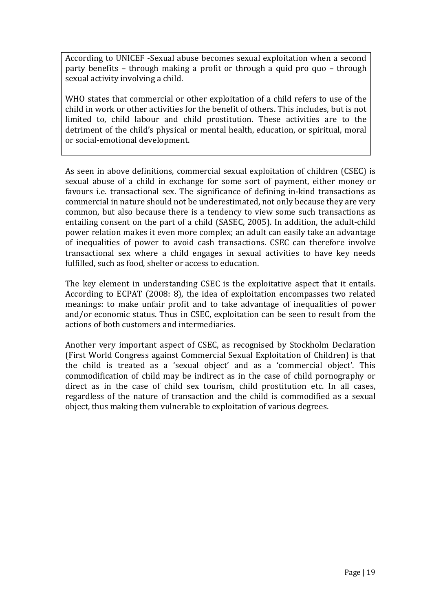According to UNICEF -Sexual abuse becomes sexual exploitation when a second party benefits – through making a profit or through a quid pro quo – through sexual activity involving a child.

WHO states that commercial or other exploitation of a child refers to use of the child in work or other activities for the benefit of others. This includes, but is not limited to, child labour and child prostitution. These activities are to the detriment of the child's physical or mental health, education, or spiritual, moral or social-emotional development.

As seen in above definitions, commercial sexual exploitation of children (CSEC) is sexual abuse of a child in exchange for some sort of payment, either money or favours i.e. transactional sex. The significance of defining in-kind transactions as commercial in nature should not be underestimated, not only because they are very common, but also because there is a tendency to view some such transactions as entailing consent on the part of a child (SASEC, 2005). In addition, the adult-child power relation makes it even more complex; an adult can easily take an advantage of inequalities of power to avoid cash transactions. CSEC can therefore involve transactional sex where a child engages in sexual activities to have key needs fulfilled, such as food, shelter or access to education.

The key element in understanding CSEC is the exploitative aspect that it entails. According to ECPAT (2008: 8), the idea of exploitation encompasses two related meanings: to make unfair profit and to take advantage of inequalities of power and/or economic status. Thus in CSEC, exploitation can be seen to result from the actions of both customers and intermediaries.

Another very important aspect of CSEC, as recognised by Stockholm Declaration (First World Congress against Commercial Sexual Exploitation of Children) is that the child is treated as a 'sexual object' and as a 'commercial object'. This commodification of child may be indirect as in the case of child pornography or direct as in the case of child sex tourism, child prostitution etc. In all cases, regardless of the nature of transaction and the child is commodified as a sexual object, thus making them vulnerable to exploitation of various degrees.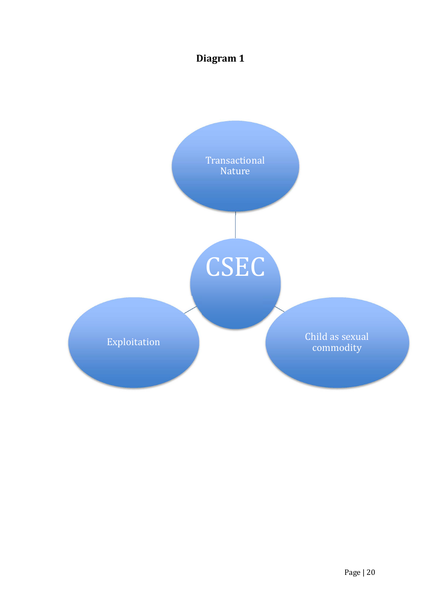## **Diagram 1**

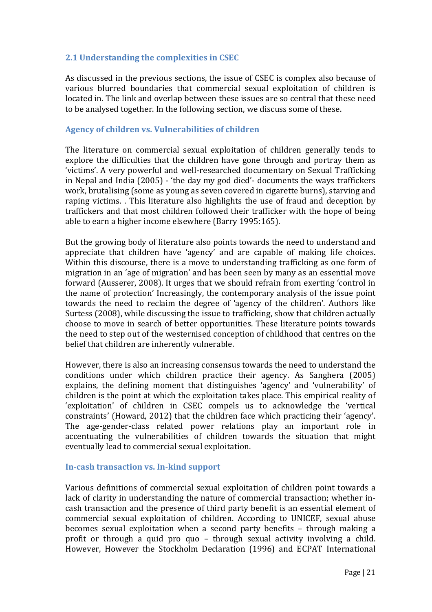## **2.1 Understanding the complexities in CSEC**

As discussed in the previous sections, the issue of CSEC is complex also because of various blurred boundaries that commercial sexual exploitation of children is located in. The link and overlap between these issues are so central that these need to be analysed together. In the following section, we discuss some of these.

#### **Agency of children vs. Vulnerabilities of children**

The literature on commercial sexual exploitation of children generally tends to explore the difficulties that the children have gone through and portray them as 'victims'. A very powerful and well-researched documentary on Sexual Trafficking in Nepal and India (2005) - 'the day my god died'- documents the ways traffickers work, brutalising (some as young as seven covered in cigarette burns), starving and raping victims. . This literature also highlights the use of fraud and deception by traffickers and that most children followed their trafficker with the hope of being able to earn a higher income elsewhere (Barry 1995:165).

But the growing body of literature also points towards the need to understand and appreciate that children have 'agency' and are capable of making life choices. Within this discourse, there is a move to understanding trafficking as one form of migration in an 'age of migration' and has been seen by many as an essential move forward (Ausserer, 2008). It urges that we should refrain from exerting 'control in the name of protection' Increasingly, the contemporary analysis of the issue point towards the need to reclaim the degree of 'agency of the children'. Authors like Surtess (2008), while discussing the issue to trafficking, show that children actually choose to move in search of better opportunities. These literature points towards the need to step out of the westernised conception of childhood that centres on the belief that children are inherently vulnerable.

However, there is also an increasing consensus towards the need to understand the conditions under which children practice their agency. As Sanghera (2005) explains, the defining moment that distinguishes 'agency' and 'vulnerability' of children is the point at which the exploitation takes place. This empirical reality of 'exploitation' of children in CSEC compels us to acknowledge the 'vertical constraints' (Howard, 2012) that the children face which practicing their 'agency'. The age-gender-class related power relations play an important role in accentuating the vulnerabilities of children towards the situation that might eventually lead to commercial sexual exploitation.

#### **In-cash transaction vs. In-kind support**

Various definitions of commercial sexual exploitation of children point towards a lack of clarity in understanding the nature of commercial transaction; whether incash transaction and the presence of third party benefit is an essential element of commercial sexual exploitation of children. According to UNICEF, sexual abuse becomes sexual exploitation when a second party benefits – through making a profit or through a quid pro quo – through sexual activity involving a child. However, However the Stockholm Declaration (1996) and ECPAT International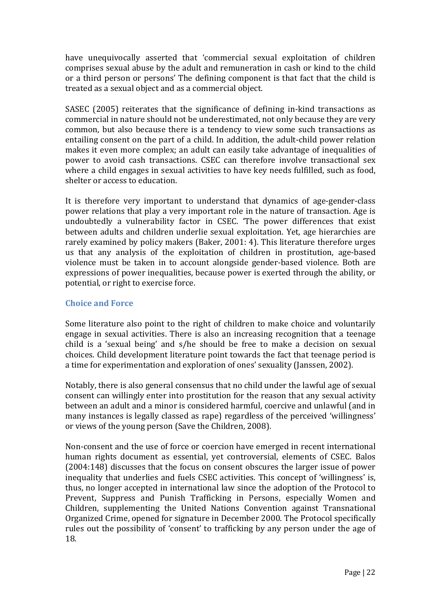have unequivocally asserted that 'commercial sexual exploitation of children comprises sexual abuse by the adult and remuneration in cash or kind to the child or a third person or persons' The defining component is that fact that the child is treated as a sexual object and as a commercial object.

SASEC (2005) reiterates that the significance of defining in-kind transactions as commercial in nature should not be underestimated, not only because they are very common, but also because there is a tendency to view some such transactions as entailing consent on the part of a child. In addition, the adult-child power relation makes it even more complex; an adult can easily take advantage of inequalities of power to avoid cash transactions. CSEC can therefore involve transactional sex where a child engages in sexual activities to have key needs fulfilled, such as food, shelter or access to education.

It is therefore very important to understand that dynamics of age-gender-class power relations that play a very important role in the nature of transaction. Age is undoubtedly a vulnerability factor in CSEC. 'The power differences that exist between adults and children underlie sexual exploitation. Yet, age hierarchies are rarely examined by policy makers (Baker, 2001: 4). This literature therefore urges us that any analysis of the exploitation of children in prostitution, age-based violence must be taken in to account alongside gender-based violence. Both are expressions of power inequalities, because power is exerted through the ability, or potential, or right to exercise force.

### **Choice and Force**

Some literature also point to the right of children to make choice and voluntarily engage in sexual activities. There is also an increasing recognition that a teenage child is a 'sexual being' and s/he should be free to make a decision on sexual choices. Child development literature point towards the fact that teenage period is a time for experimentation and exploration of ones' sexuality (Janssen, 2002).

Notably, there is also general consensus that no child under the lawful age of sexual consent can willingly enter into prostitution for the reason that any sexual activity between an adult and a minor is considered harmful, coercive and unlawful (and in many instances is legally classed as rape) regardless of the perceived 'willingness' or views of the young person (Save the Children, 2008).

Non-consent and the use of force or coercion have emerged in recent international human rights document as essential, yet controversial, elements of CSEC. Balos (2004:148) discusses that the focus on consent obscures the larger issue of power inequality that underlies and fuels CSEC activities. This concept of 'willingness' is, thus, no longer accepted in international law since the adoption of the Protocol to Prevent, Suppress and Punish Trafficking in Persons, especially Women and Children, supplementing the United Nations Convention against Transnational Organized Crime, opened for signature in December 2000. The Protocol specifically rules out the possibility of 'consent' to trafficking by any person under the age of 18.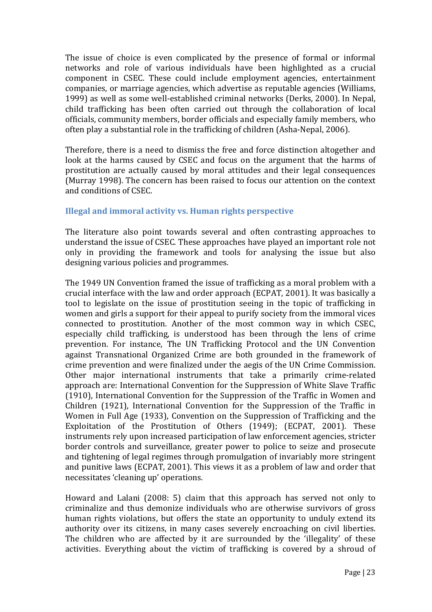The issue of choice is even complicated by the presence of formal or informal networks and role of various individuals have been highlighted as a crucial component in CSEC. These could include employment agencies, entertainment companies, or marriage agencies, which advertise as reputable agencies (Williams, 1999) as well as some well-established criminal networks (Derks, 2000). In Nepal, child trafficking has been often carried out through the collaboration of local officials, community members, border officials and especially family members, who often play a substantial role in the trafficking of children (Asha-Nepal, 2006).

Therefore, there is a need to dismiss the free and force distinction altogether and look at the harms caused by CSEC and focus on the argument that the harms of prostitution are actually caused by moral attitudes and their legal consequences (Murray 1998). The concern has been raised to focus our attention on the context and conditions of CSEC.

## **Illegal and immoral activity vs. Human rights perspective**

The literature also point towards several and often contrasting approaches to understand the issue of CSEC. These approaches have played an important role not only in providing the framework and tools for analysing the issue but also designing various policies and programmes.

The 1949 UN Convention framed the issue of trafficking as a moral problem with a crucial interface with the law and order approach (ECPAT, 2001). It was basically a tool to legislate on the issue of prostitution seeing in the topic of trafficking in women and girls a support for their appeal to purify society from the immoral vices connected to prostitution. Another of the most common way in which CSEC, especially child trafficking, is understood has been through the lens of crime prevention. For instance, The UN Trafficking Protocol and the UN Convention against Transnational Organized Crime are both grounded in the framework of crime prevention and were finalized under the aegis of the UN Crime Commission. Other major international instruments that take a primarily crime-related approach are: International Convention for the Suppression of White Slave Traffic (1910), International Convention for the Suppression of the Traffic in Women and Children (1921), International Convention for the Suppression of the Traffic in Women in Full Age (1933), Convention on the Suppression of Trafficking and the Exploitation of the Prostitution of Others (1949); (ECPAT, 2001). These instruments rely upon increased participation of law enforcement agencies, stricter border controls and surveillance, greater power to police to seize and prosecute and tightening of legal regimes through promulgation of invariably more stringent and punitive laws (ECPAT, 2001). This views it as a problem of law and order that necessitates 'cleaning up' operations.

Howard and Lalani (2008: 5) claim that this approach has served not only to criminalize and thus demonize individuals who are otherwise survivors of gross human rights violations, but offers the state an opportunity to unduly extend its authority over its citizens, in many cases severely encroaching on civil liberties. The children who are affected by it are surrounded by the 'illegality' of these activities. Everything about the victim of trafficking is covered by a shroud of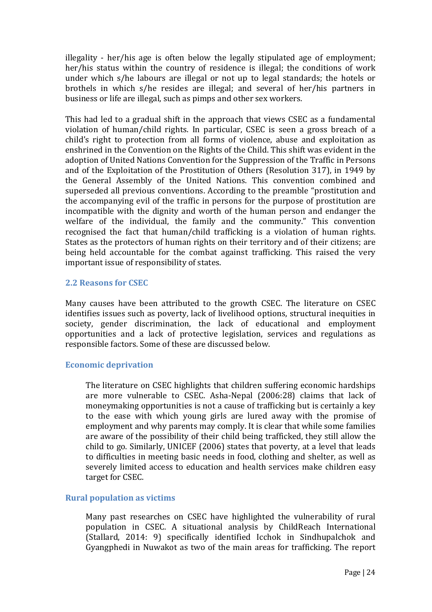illegality - her/his age is often below the legally stipulated age of employment; her/his status within the country of residence is illegal; the conditions of work under which s/he labours are illegal or not up to legal standards; the hotels or brothels in which s/he resides are illegal; and several of her/his partners in business or life are illegal, such as pimps and other sex workers.

This had led to a gradual shift in the approach that views CSEC as a fundamental violation of human/child rights. In particular, CSEC is seen a gross breach of a child's right to protection from all forms of violence, abuse and exploitation as enshrined in the Convention on the Rights of the Child. This shift was evident in the adoption of United Nations Convention for the Suppression of the Traffic in Persons and of the Exploitation of the Prostitution of Others (Resolution 317), in 1949 by the General Assembly of the United Nations. This convention combined and superseded all previous conventions. According to the preamble "prostitution and the accompanying evil of the traffic in persons for the purpose of prostitution are incompatible with the dignity and worth of the human person and endanger the welfare of the individual, the family and the community." This convention recognised the fact that human/child trafficking is a violation of human rights. States as the protectors of human rights on their territory and of their citizens; are being held accountable for the combat against trafficking. This raised the very important issue of responsibility of states.

### **2.2 Reasons for CSEC**

Many causes have been attributed to the growth CSEC. The literature on CSEC identifies issues such as poverty, lack of livelihood options, structural inequities in society, gender discrimination, the lack of educational and employment opportunities and a lack of protective legislation, services and regulations as responsible factors. Some of these are discussed below.

## **Economic deprivation**

The literature on CSEC highlights that children suffering economic hardships are more vulnerable to CSEC. Asha-Nepal (2006:28) claims that lack of moneymaking opportunities is not a cause of trafficking but is certainly a key to the ease with which young girls are lured away with the promise of employment and why parents may comply. It is clear that while some families are aware of the possibility of their child being trafficked, they still allow the child to go. Similarly, UNICEF (2006) states that poverty, at a level that leads to difficulties in meeting basic needs in food, clothing and shelter, as well as severely limited access to education and health services make children easy target for CSEC.

#### **Rural population as victims**

Many past researches on CSEC have highlighted the vulnerability of rural population in CSEC. A situational analysis by ChildReach International (Stallard, 2014: 9) specifically identified Icchok in Sindhupalchok and Gyangphedi in Nuwakot as two of the main areas for trafficking. The report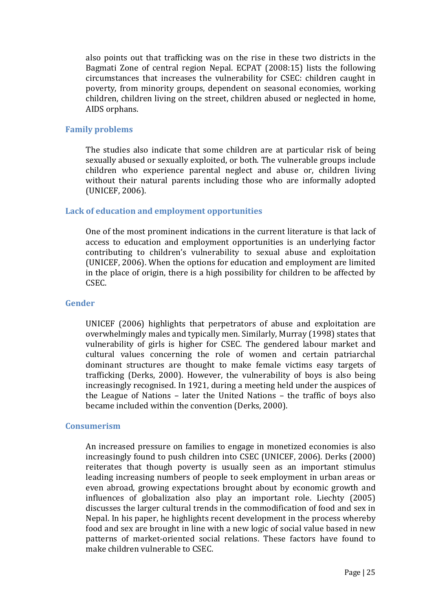also points out that trafficking was on the rise in these two districts in the Bagmati Zone of central region Nepal. ECPAT (2008:15) lists the following circumstances that increases the vulnerability for CSEC: children caught in poverty, from minority groups, dependent on seasonal economies, working children, children living on the street, children abused or neglected in home, AIDS orphans.

#### **Family problems**

The studies also indicate that some children are at particular risk of being sexually abused or sexually exploited, or both. The vulnerable groups include children who experience parental neglect and abuse or, children living without their natural parents including those who are informally adopted (UNICEF, 2006).

#### **Lack of education and employment opportunities**

One of the most prominent indications in the current literature is that lack of access to education and employment opportunities is an underlying factor contributing to children's vulnerability to sexual abuse and exploitation (UNICEF, 2006). When the options for education and employment are limited in the place of origin, there is a high possibility for children to be affected by CSEC.

#### **Gender**

UNICEF (2006) highlights that perpetrators of abuse and exploitation are overwhelmingly males and typically men. Similarly, Murray (1998) states that vulnerability of girls is higher for CSEC. The gendered labour market and cultural values concerning the role of women and certain patriarchal dominant structures are thought to make female victims easy targets of trafficking (Derks, 2000). However, the vulnerability of boys is also being increasingly recognised. In 1921, during a meeting held under the auspices of the League of Nations – later the United Nations – the traffic of boys also became included within the convention (Derks, 2000).

#### **Consumerism**

An increased pressure on families to engage in monetized economies is also increasingly found to push children into CSEC (UNICEF, 2006). Derks (2000) reiterates that though poverty is usually seen as an important stimulus leading increasing numbers of people to seek employment in urban areas or even abroad, growing expectations brought about by economic growth and influences of globalization also play an important role. Liechty (2005) discusses the larger cultural trends in the commodification of food and sex in Nepal. In his paper, he highlights recent development in the process whereby food and sex are brought in line with a new logic of social value based in new patterns of market-oriented social relations. These factors have found to make children vulnerable to CSEC.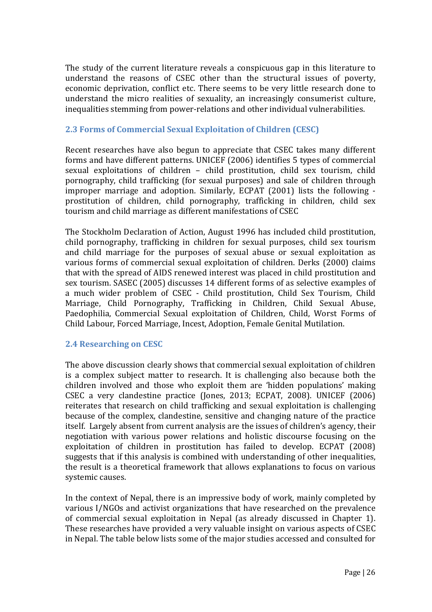The study of the current literature reveals a conspicuous gap in this literature to understand the reasons of CSEC other than the structural issues of poverty, economic deprivation, conflict etc. There seems to be very little research done to understand the micro realities of sexuality, an increasingly consumerist culture, inequalities stemming from power-relations and other individual vulnerabilities.

## **2.3 Forms of Commercial Sexual Exploitation of Children (CESC)**

Recent researches have also begun to appreciate that CSEC takes many different forms and have different patterns. UNICEF (2006) identifies 5 types of commercial sexual exploitations of children – child prostitution, child sex tourism, child pornography, child trafficking (for sexual purposes) and sale of children through improper marriage and adoption. Similarly, ECPAT (2001) lists the following prostitution of children, child pornography, trafficking in children, child sex tourism and child marriage as different manifestations of CSEC

The Stockholm Declaration of Action, August 1996 has included child prostitution, child pornography, trafficking in children for sexual purposes, child sex tourism and child marriage for the purposes of sexual abuse or sexual exploitation as various forms of commercial sexual exploitation of children. Derks (2000) claims that with the spread of AIDS renewed interest was placed in child prostitution and sex tourism. SASEC (2005) discusses 14 different forms of as selective examples of a much wider problem of CSEC - Child prostitution, Child Sex Tourism, Child Marriage, Child Pornography, Trafficking in Children, Child Sexual Abuse, Paedophilia, Commercial Sexual exploitation of Children, Child, Worst Forms of Child Labour, Forced Marriage, Incest, Adoption, Female Genital Mutilation.

## **2.4 Researching on CESC**

The above discussion clearly shows that commercial sexual exploitation of children is a complex subject matter to research. It is challenging also because both the children involved and those who exploit them are 'hidden populations' making CSEC a very clandestine practice (Jones, 2013; ECPAT, 2008). UNICEF (2006) reiterates that research on child trafficking and sexual exploitation is challenging because of the complex, clandestine, sensitive and changing nature of the practice itself. Largely absent from current analysis are the issues of children's agency, their negotiation with various power relations and holistic discourse focusing on the exploitation of children in prostitution has failed to develop. ECPAT (2008) suggests that if this analysis is combined with understanding of other inequalities, the result is a theoretical framework that allows explanations to focus on various systemic causes.

In the context of Nepal, there is an impressive body of work, mainly completed by various I/NGOs and activist organizations that have researched on the prevalence of commercial sexual exploitation in Nepal (as already discussed in Chapter 1). These researches have provided a very valuable insight on various aspects of CSEC in Nepal. The table below lists some of the major studies accessed and consulted for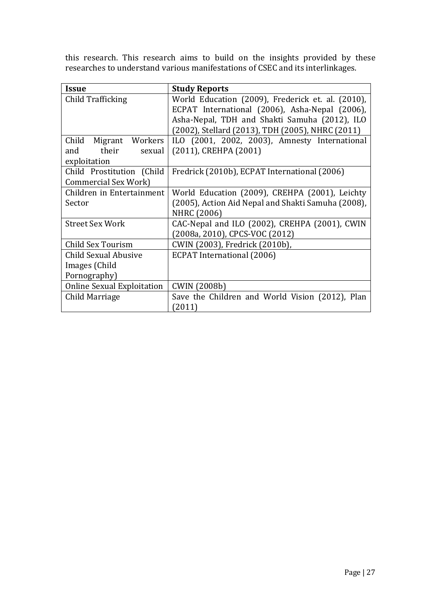this research. This research aims to build on the insights provided by these researches to understand various manifestations of CSEC and its interlinkages.

| Issue                             | <b>Study Reports</b>                               |
|-----------------------------------|----------------------------------------------------|
| Child Trafficking                 | World Education (2009), Frederick et. al. (2010),  |
|                                   | ECPAT International (2006), Asha-Nepal (2006),     |
|                                   | Asha-Nepal, TDH and Shakti Samuha (2012), ILO      |
|                                   | (2002), Stellard (2013), TDH (2005), NHRC (2011)   |
| Child Migrant Workers             | ILO (2001, 2002, 2003), Amnesty International      |
| their<br>and<br>sexual            | (2011), CREHPA (2001)                              |
| exploitation                      |                                                    |
| Child Prostitution (Child         | Fredrick (2010b), ECPAT International (2006)       |
| <b>Commercial Sex Work)</b>       |                                                    |
| Children in Entertainment         | World Education (2009), CREHPA (2001), Leichty     |
| Sector                            | (2005), Action Aid Nepal and Shakti Samuha (2008), |
|                                   | NHRC (2006)                                        |
| <b>Street Sex Work</b>            | CAC-Nepal and ILO (2002), CREHPA (2001), CWIN      |
|                                   | (2008a, 2010), CPCS-VOC (2012)                     |
| Child Sex Tourism                 | CWIN (2003), Fredrick (2010b),                     |
| Child Sexual Abusive              | <b>ECPAT International (2006)</b>                  |
| Images (Child                     |                                                    |
| Pornography)                      |                                                    |
| <b>Online Sexual Exploitation</b> | <b>CWIN (2008b)</b>                                |
| Child Marriage                    | Save the Children and World Vision (2012), Plan    |
|                                   | (2011)                                             |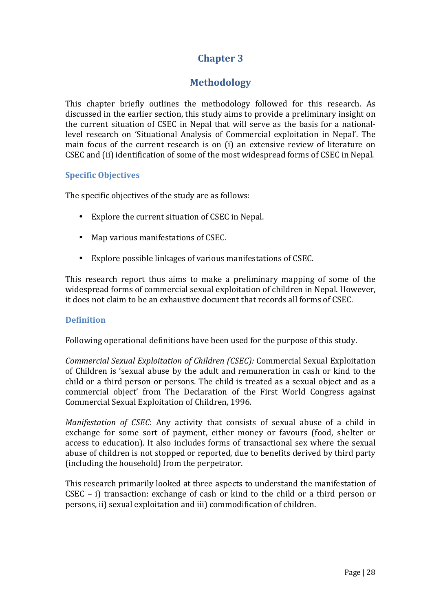## **Chapter 3**

## **Methodology**

This chapter briefly outlines the methodology followed for this research. As discussed in the earlier section, this study aims to provide a preliminary insight on the current situation of CSEC in Nepal that will serve as the basis for a nationallevel research on 'Situational Analysis of Commercial exploitation in Nepal'. The main focus of the current research is on (i) an extensive review of literature on CSEC and (ii) identification of some of the most widespread forms of CSEC in Nepal.

## **Specific Objectives**

The specific objectives of the study are as follows:

- Explore the current situation of CSEC in Nepal.
- Map various manifestations of CSEC.
- Explore possible linkages of various manifestations of CSEC.

This research report thus aims to make a preliminary mapping of some of the widespread forms of commercial sexual exploitation of children in Nepal. However, it does not claim to be an exhaustive document that records all forms of CSEC.

## **Definition**

Following operational definitions have been used for the purpose of this study.

*Commercial Sexual Exploitation of Children (CSEC):* Commercial Sexual Exploitation of Children is 'sexual abuse by the adult and remuneration in cash or kind to the child or a third person or persons. The child is treated as a sexual object and as a commercial object' from The Declaration of the First World Congress against Commercial Sexual Exploitation of Children, 1996.

*Manifestation of CSEC*: Any activity that consists of sexual abuse of a child in exchange for some sort of payment, either money or favours (food, shelter or access to education). It also includes forms of transactional sex where the sexual abuse of children is not stopped or reported, due to benefits derived by third party (including the household) from the perpetrator.

This research primarily looked at three aspects to understand the manifestation of CSEC – i) transaction: exchange of cash or kind to the child or a third person or persons, ii) sexual exploitation and iii) commodification of children.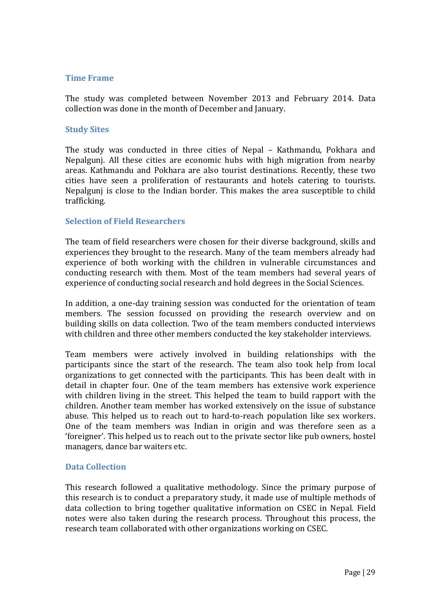### **Time Frame**

The study was completed between November 2013 and February 2014. Data collection was done in the month of December and January.

#### **Study Sites**

The study was conducted in three cities of Nepal – Kathmandu, Pokhara and Nepalgunj. All these cities are economic hubs with high migration from nearby areas. Kathmandu and Pokhara are also tourist destinations. Recently, these two cities have seen a proliferation of restaurants and hotels catering to tourists. Nepalgunj is close to the Indian border. This makes the area susceptible to child trafficking.

#### **Selection of Field Researchers**

The team of field researchers were chosen for their diverse background, skills and experiences they brought to the research. Many of the team members already had experience of both working with the children in vulnerable circumstances and conducting research with them. Most of the team members had several years of experience of conducting social research and hold degrees in the Social Sciences.

In addition, a one-day training session was conducted for the orientation of team members. The session focussed on providing the research overview and on building skills on data collection. Two of the team members conducted interviews with children and three other members conducted the key stakeholder interviews.

Team members were actively involved in building relationships with the participants since the start of the research. The team also took help from local organizations to get connected with the participants. This has been dealt with in detail in chapter four. One of the team members has extensive work experience with children living in the street. This helped the team to build rapport with the children. Another team member has worked extensively on the issue of substance abuse. This helped us to reach out to hard-to-reach population like sex workers. One of the team members was Indian in origin and was therefore seen as a 'foreigner'. This helped us to reach out to the private sector like pub owners, hostel managers, dance bar waiters etc.

#### **Data Collection**

This research followed a qualitative methodology. Since the primary purpose of this research is to conduct a preparatory study, it made use of multiple methods of data collection to bring together qualitative information on CSEC in Nepal. Field notes were also taken during the research process. Throughout this process, the research team collaborated with other organizations working on CSEC.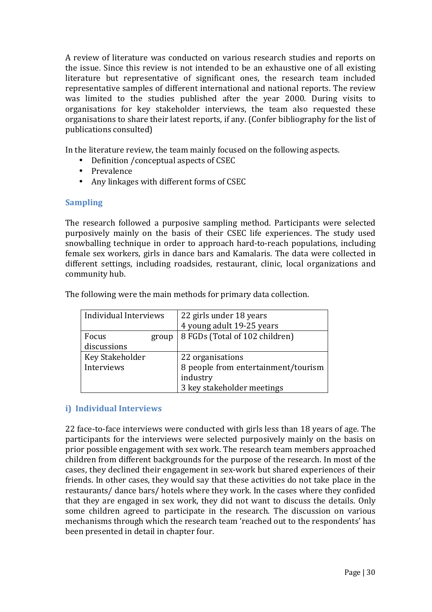A review of literature was conducted on various research studies and reports on the issue. Since this review is not intended to be an exhaustive one of all existing literature but representative of significant ones, the research team included representative samples of different international and national reports. The review was limited to the studies published after the year 2000. During visits to organisations for key stakeholder interviews, the team also requested these organisations to share their latest reports, if any. (Confer bibliography for the list of publications consulted)

In the literature review, the team mainly focused on the following aspects.

- Definition /conceptual aspects of CSEC
- Prevalence
- Any linkages with different forms of CSEC

## **Sampling**

The research followed a purposive sampling method. Participants were selected purposively mainly on the basis of their CSEC life experiences. The study used snowballing technique in order to approach hard-to-reach populations, including female sex workers, girls in dance bars and Kamalaris. The data were collected in different settings, including roadsides, restaurant, clinic, local organizations and community hub.

| Individual Interviews | 22 girls under 18 years             |
|-----------------------|-------------------------------------|
|                       | 4 young adult 19-25 years           |
| Focus<br>group        | 8 FGDs (Total of 102 children)      |
| discussions           |                                     |
| Key Stakeholder       | 22 organisations                    |
| Interviews            | 8 people from entertainment/tourism |
|                       | industry                            |
|                       | 3 key stakeholder meetings          |

The following were the main methods for primary data collection.

## **i) Individual Interviews**

22 face-to-face interviews were conducted with girls less than 18 years of age. The participants for the interviews were selected purposively mainly on the basis on prior possible engagement with sex work. The research team members approached children from different backgrounds for the purpose of the research. In most of the cases, they declined their engagement in sex-work but shared experiences of their friends. In other cases, they would say that these activities do not take place in the restaurants/ dance bars/ hotels where they work. In the cases where they confided that they are engaged in sex work, they did not want to discuss the details. Only some children agreed to participate in the research. The discussion on various mechanisms through which the research team 'reached out to the respondents' has been presented in detail in chapter four.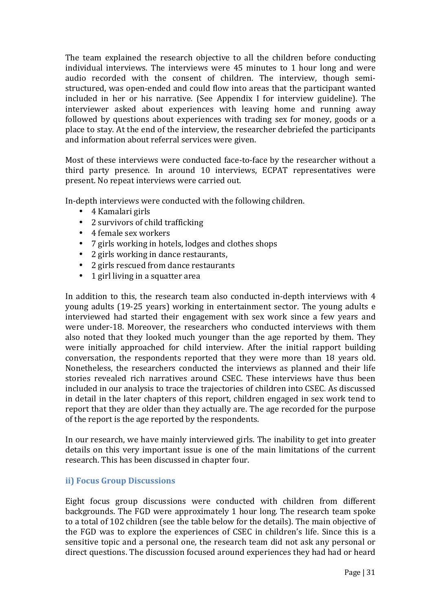The team explained the research objective to all the children before conducting individual interviews. The interviews were 45 minutes to 1 hour long and were audio recorded with the consent of children. The interview, though semistructured, was open-ended and could flow into areas that the participant wanted included in her or his narrative. (See Appendix I for interview guideline). The interviewer asked about experiences with leaving home and running away followed by questions about experiences with trading sex for money, goods or a place to stay. At the end of the interview, the researcher debriefed the participants and information about referral services were given.

Most of these interviews were conducted face-to-face by the researcher without a third party presence. In around 10 interviews, ECPAT representatives were present. No repeat interviews were carried out.

In-depth interviews were conducted with the following children.

- 4 Kamalari girls
- 2 survivors of child trafficking
- 4 female sex workers
- 7 girls working in hotels, lodges and clothes shops
- 2 girls working in dance restaurants,
- 2 girls rescued from dance restaurants
- 1 girl living in a squatter area

In addition to this, the research team also conducted in-depth interviews with 4 young adults (19-25 years) working in entertainment sector. The young adults e interviewed had started their engagement with sex work since a few years and were under-18. Moreover, the researchers who conducted interviews with them also noted that they looked much younger than the age reported by them. They were initially approached for child interview. After the initial rapport building conversation, the respondents reported that they were more than 18 years old. Nonetheless, the researchers conducted the interviews as planned and their life stories revealed rich narratives around CSEC. These interviews have thus been included in our analysis to trace the trajectories of children into CSEC. As discussed in detail in the later chapters of this report, children engaged in sex work tend to report that they are older than they actually are. The age recorded for the purpose of the report is the age reported by the respondents.

In our research, we have mainly interviewed girls. The inability to get into greater details on this very important issue is one of the main limitations of the current research. This has been discussed in chapter four.

## **ii) Focus Group Discussions**

Eight focus group discussions were conducted with children from different backgrounds. The FGD were approximately 1 hour long. The research team spoke to a total of 102 children (see the table below for the details). The main objective of the FGD was to explore the experiences of CSEC in children's life. Since this is a sensitive topic and a personal one, the research team did not ask any personal or direct questions. The discussion focused around experiences they had had or heard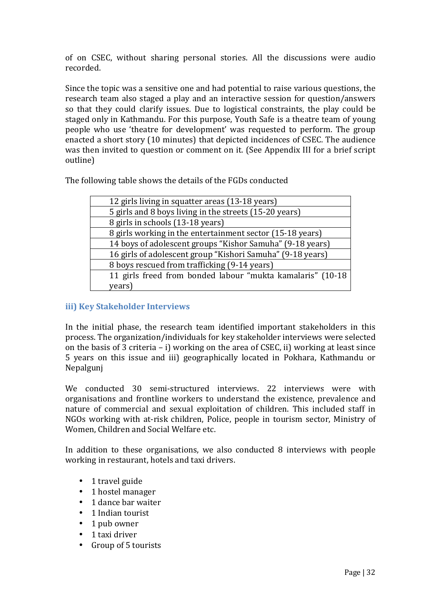of on CSEC, without sharing personal stories. All the discussions were audio recorded.

Since the topic was a sensitive one and had potential to raise various questions, the research team also staged a play and an interactive session for question/answers so that they could clarify issues. Due to logistical constraints, the play could be staged only in Kathmandu. For this purpose, Youth Safe is a theatre team of young people who use 'theatre for development' was requested to perform. The group enacted a short story (10 minutes) that depicted incidences of CSEC. The audience was then invited to question or comment on it. (See Appendix III for a brief script outline)

The following table shows the details of the FGDs conducted

| 12 girls living in squatter areas (13-18 years)            |
|------------------------------------------------------------|
| 5 girls and 8 boys living in the streets (15-20 years)     |
| 8 girls in schools (13-18 years)                           |
| 8 girls working in the entertainment sector (15-18 years)  |
| 14 boys of adolescent groups "Kishor Samuha" (9-18 years)  |
| 16 girls of adolescent group "Kishori Samuha" (9-18 years) |
| 8 boys rescued from trafficking (9-14 years)               |
| 11 girls freed from bonded labour "mukta kamalaris" (10-18 |
| years)                                                     |
|                                                            |

## **iii) Key Stakeholder Interviews**

In the initial phase, the research team identified important stakeholders in this process. The organization/individuals for key stakeholder interviews were selected on the basis of 3 criteria – i) working on the area of CSEC, ii) working at least since 5 years on this issue and iii) geographically located in Pokhara, Kathmandu or Nepalgunj

We conducted 30 semi-structured interviews. 22 interviews were with organisations and frontline workers to understand the existence, prevalence and nature of commercial and sexual exploitation of children. This included staff in NGOs working with at-risk children, Police, people in tourism sector, Ministry of Women, Children and Social Welfare etc.

In addition to these organisations, we also conducted 8 interviews with people working in restaurant, hotels and taxi drivers.

- 1 travel guide
- 1 hostel manager
- 1 dance bar waiter
- 1 Indian tourist
- 1 pub owner
- 1 taxi driver
- Group of 5 tourists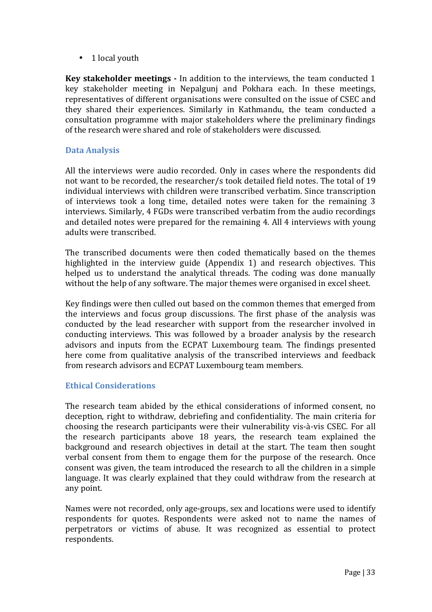• 1 local youth

**Key stakeholder meetings -** In addition to the interviews, the team conducted 1 key stakeholder meeting in Nepalgunj and Pokhara each. In these meetings, representatives of different organisations were consulted on the issue of CSEC and they shared their experiences. Similarly in Kathmandu, the team conducted a consultation programme with major stakeholders where the preliminary findings of the research were shared and role of stakeholders were discussed.

### **Data Analysis**

All the interviews were audio recorded. Only in cases where the respondents did not want to be recorded, the researcher/s took detailed field notes. The total of 19 individual interviews with children were transcribed verbatim. Since transcription of interviews took a long time, detailed notes were taken for the remaining 3 interviews. Similarly, 4 FGDs were transcribed verbatim from the audio recordings and detailed notes were prepared for the remaining 4. All 4 interviews with young adults were transcribed.

The transcribed documents were then coded thematically based on the themes highlighted in the interview guide (Appendix 1) and research objectives. This helped us to understand the analytical threads. The coding was done manually without the help of any software. The major themes were organised in excel sheet.

Key findings were then culled out based on the common themes that emerged from the interviews and focus group discussions. The first phase of the analysis was conducted by the lead researcher with support from the researcher involved in conducting interviews. This was followed by a broader analysis by the research advisors and inputs from the ECPAT Luxembourg team. The findings presented here come from qualitative analysis of the transcribed interviews and feedback from research advisors and ECPAT Luxembourg team members.

#### **Ethical Considerations**

The research team abided by the ethical considerations of informed consent, no deception, right to withdraw, debriefing and confidentiality. The main criteria for choosing the research participants were their vulnerability vis-à-vis CSEC. For all the research participants above 18 years, the research team explained the background and research objectives in detail at the start. The team then sought verbal consent from them to engage them for the purpose of the research. Once consent was given, the team introduced the research to all the children in a simple language. It was clearly explained that they could withdraw from the research at any point.

Names were not recorded, only age-groups, sex and locations were used to identify respondents for quotes. Respondents were asked not to name the names of perpetrators or victims of abuse. It was recognized as essential to protect respondents.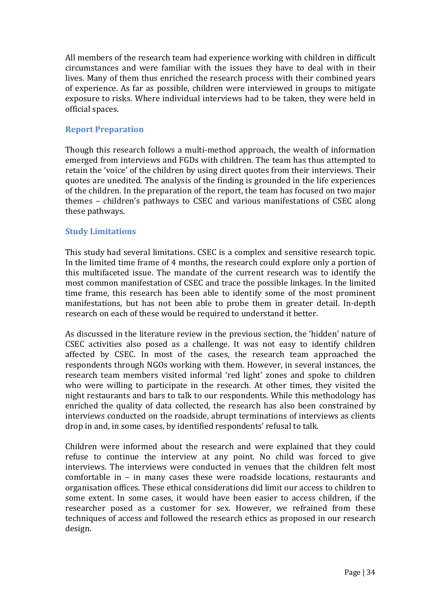All members of the research team had experience working with children in difficult circumstances and were familiar with the issues they have to deal with in their lives. Many of them thus enriched the research process with their combined years of experience. As far as possible, children were interviewed in groups to mitigate exposure to risks. Where individual interviews had to be taken, they were held in official spaces.

### **Report Preparation**

Though this research follows a multi-method approach, the wealth of information emerged from interviews and FGDs with children. The team has thus attempted to retain the 'voice' of the children by using direct quotes from their interviews. Their quotes are unedited. The analysis of the finding is grounded in the life experiences of the children. In the preparation of the report, the team has focused on two major themes – children's pathways to CSEC and various manifestations of CSEC along these pathways.

### **Study Limitations**

This study had several limitations. CSEC is a complex and sensitive research topic. In the limited time frame of 4 months, the research could explore only a portion of this multifaceted issue. The mandate of the current research was to identify the most common manifestation of CSEC and trace the possible linkages. In the limited time frame, this research has been able to identify some of the most prominent manifestations, but has not been able to probe them in greater detail. In-depth research on each of these would be required to understand it better.

As discussed in the literature review in the previous section, the 'hidden' nature of CSEC activities also posed as a challenge. It was not easy to identify children affected by CSEC. In most of the cases, the research team approached the respondents through NGOs working with them. However, in several instances, the research team members visited informal 'red light' zones and spoke to children who were willing to participate in the research. At other times, they visited the night restaurants and bars to talk to our respondents. While this methodology has enriched the quality of data collected, the research has also been constrained by interviews conducted on the roadside, abrupt terminations of interviews as clients drop in and, in some cases, by identified respondents' refusal to talk.

Children were informed about the research and were explained that they could refuse to continue the interview at any point. No child was forced to give interviews. The interviews were conducted in venues that the children felt most comfortable in – in many cases these were roadside locations, restaurants and organisation offices. These ethical considerations did limit our access to children to some extent. In some cases, it would have been easier to access children, if the researcher posed as a customer for sex. However, we refrained from these techniques of access and followed the research ethics as proposed in our research design.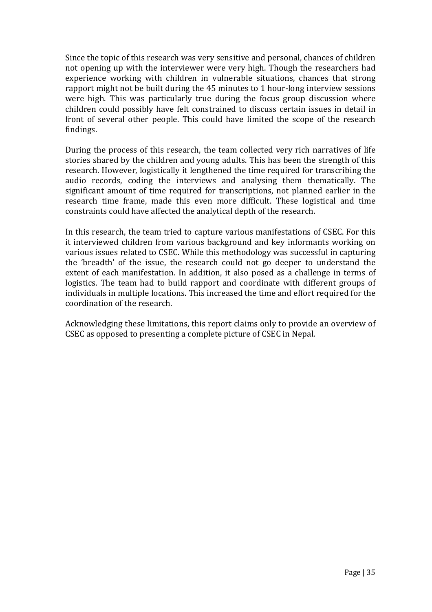Since the topic of this research was very sensitive and personal, chances of children not opening up with the interviewer were very high. Though the researchers had experience working with children in vulnerable situations, chances that strong rapport might not be built during the 45 minutes to 1 hour-long interview sessions were high. This was particularly true during the focus group discussion where children could possibly have felt constrained to discuss certain issues in detail in front of several other people. This could have limited the scope of the research findings.

During the process of this research, the team collected very rich narratives of life stories shared by the children and young adults. This has been the strength of this research. However, logistically it lengthened the time required for transcribing the audio records, coding the interviews and analysing them thematically. The significant amount of time required for transcriptions, not planned earlier in the research time frame, made this even more difficult. These logistical and time constraints could have affected the analytical depth of the research.

In this research, the team tried to capture various manifestations of CSEC. For this it interviewed children from various background and key informants working on various issues related to CSEC. While this methodology was successful in capturing the 'breadth' of the issue, the research could not go deeper to understand the extent of each manifestation. In addition, it also posed as a challenge in terms of logistics. The team had to build rapport and coordinate with different groups of individuals in multiple locations. This increased the time and effort required for the coordination of the research.

Acknowledging these limitations, this report claims only to provide an overview of CSEC as opposed to presenting a complete picture of CSEC in Nepal.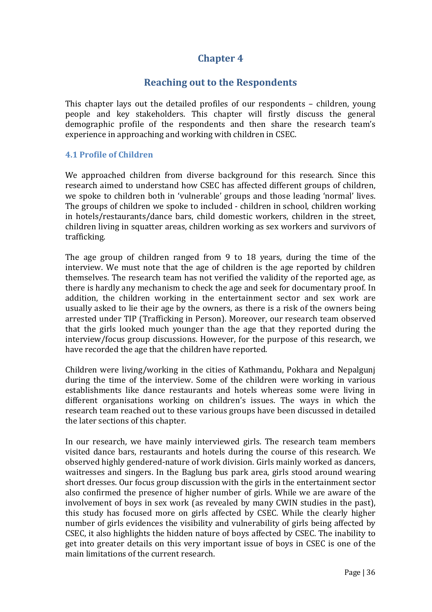## **Chapter 4**

## **Reaching out to the Respondents**

This chapter lays out the detailed profiles of our respondents – children, young people and key stakeholders. This chapter will firstly discuss the general demographic profile of the respondents and then share the research team's experience in approaching and working with children in CSEC.

#### **4.1 Profile of Children**

We approached children from diverse background for this research. Since this research aimed to understand how CSEC has affected different groups of children, we spoke to children both in 'vulnerable' groups and those leading 'normal' lives. The groups of children we spoke to included - children in school, children working in hotels/restaurants/dance bars, child domestic workers, children in the street, children living in squatter areas, children working as sex workers and survivors of trafficking.

The age group of children ranged from 9 to 18 years, during the time of the interview. We must note that the age of children is the age reported by children themselves. The research team has not verified the validity of the reported age, as there is hardly any mechanism to check the age and seek for documentary proof. In addition, the children working in the entertainment sector and sex work are usually asked to lie their age by the owners, as there is a risk of the owners being arrested under TIP (Trafficking in Person). Moreover, our research team observed that the girls looked much younger than the age that they reported during the interview/focus group discussions. However, for the purpose of this research, we have recorded the age that the children have reported.

Children were living/working in the cities of Kathmandu, Pokhara and Nepalgunj during the time of the interview. Some of the children were working in various establishments like dance restaurants and hotels whereas some were living in different organisations working on children's issues. The ways in which the research team reached out to these various groups have been discussed in detailed the later sections of this chapter.

In our research, we have mainly interviewed girls. The research team members visited dance bars, restaurants and hotels during the course of this research. We observed highly gendered-nature of work division. Girls mainly worked as dancers, waitresses and singers. In the Baglung bus park area, girls stood around wearing short dresses. Our focus group discussion with the girls in the entertainment sector also confirmed the presence of higher number of girls. While we are aware of the involvement of boys in sex work (as revealed by many CWIN studies in the past), this study has focused more on girls affected by CSEC. While the clearly higher number of girls evidences the visibility and vulnerability of girls being affected by CSEC, it also highlights the hidden nature of boys affected by CSEC. The inability to get into greater details on this very important issue of boys in CSEC is one of the main limitations of the current research.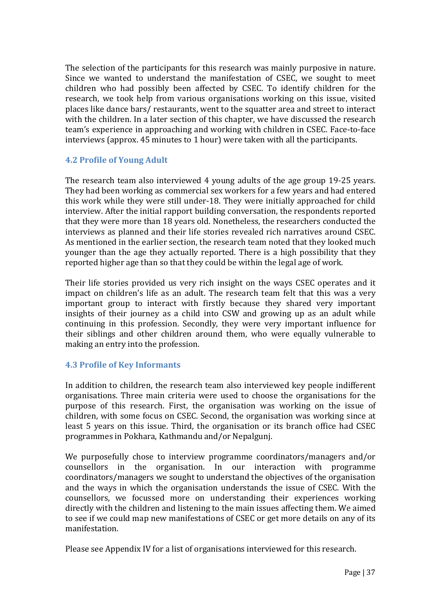The selection of the participants for this research was mainly purposive in nature. Since we wanted to understand the manifestation of CSEC, we sought to meet children who had possibly been affected by CSEC. To identify children for the research, we took help from various organisations working on this issue, visited places like dance bars/ restaurants, went to the squatter area and street to interact with the children. In a later section of this chapter, we have discussed the research team's experience in approaching and working with children in CSEC. Face-to-face interviews (approx. 45 minutes to 1 hour) were taken with all the participants.

## **4.2 Profile of Young Adult**

The research team also interviewed 4 young adults of the age group 19-25 years. They had been working as commercial sex workers for a few years and had entered this work while they were still under-18. They were initially approached for child interview. After the initial rapport building conversation, the respondents reported that they were more than 18 years old. Nonetheless, the researchers conducted the interviews as planned and their life stories revealed rich narratives around CSEC. As mentioned in the earlier section, the research team noted that they looked much younger than the age they actually reported. There is a high possibility that they reported higher age than so that they could be within the legal age of work.

Their life stories provided us very rich insight on the ways CSEC operates and it impact on children's life as an adult. The research team felt that this was a very important group to interact with firstly because they shared very important insights of their journey as a child into CSW and growing up as an adult while continuing in this profession. Secondly, they were very important influence for their siblings and other children around them, who were equally vulnerable to making an entry into the profession.

## **4.3 Profile of Key Informants**

In addition to children, the research team also interviewed key people indifferent organisations. Three main criteria were used to choose the organisations for the purpose of this research. First, the organisation was working on the issue of children, with some focus on CSEC. Second, the organisation was working since at least 5 years on this issue. Third, the organisation or its branch office had CSEC programmes in Pokhara, Kathmandu and/or Nepalgunj.

We purposefully chose to interview programme coordinators/managers and/or counsellors in the organisation. In our interaction with programme coordinators/managers we sought to understand the objectives of the organisation and the ways in which the organisation understands the issue of CSEC. With the counsellors, we focussed more on understanding their experiences working directly with the children and listening to the main issues affecting them. We aimed to see if we could map new manifestations of CSEC or get more details on any of its manifestation.

Please see Appendix IV for a list of organisations interviewed for this research.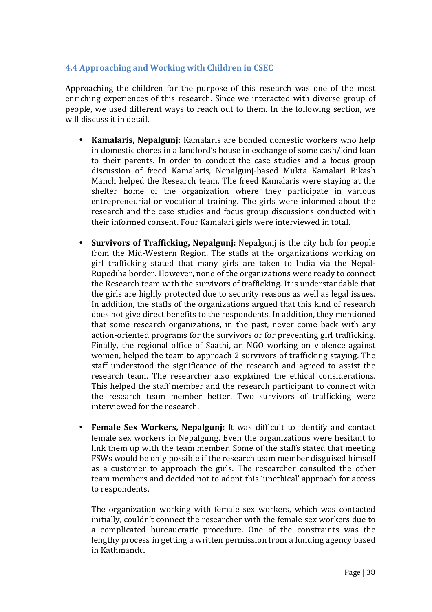## **4.4 Approaching and Working with Children in CSEC**

Approaching the children for the purpose of this research was one of the most enriching experiences of this research. Since we interacted with diverse group of people, we used different ways to reach out to them. In the following section, we will discuss it in detail.

- **Kamalaris, Nepalgunj:** Kamalaris are bonded domestic workers who help in domestic chores in a landlord's house in exchange of some cash/kind loan to their parents. In order to conduct the case studies and a focus group discussion of freed Kamalaris, Nepalgunj-based Mukta Kamalari Bikash Manch helped the Research team. The freed Kamalaris were staying at the shelter home of the organization where they participate in various entrepreneurial or vocational training. The girls were informed about the research and the case studies and focus group discussions conducted with their informed consent. Four Kamalari girls were interviewed in total.
- **Survivors of Trafficking, Nepalgunj:** Nepalgunj is the city hub for people from the Mid-Western Region. The staffs at the organizations working on girl trafficking stated that many girls are taken to India via the Nepal-Rupediha border. However, none of the organizations were ready to connect the Research team with the survivors of trafficking. It is understandable that the girls are highly protected due to security reasons as well as legal issues. In addition, the staffs of the organizations argued that this kind of research does not give direct benefits to the respondents. In addition, they mentioned that some research organizations, in the past, never come back with any action-oriented programs for the survivors or for preventing girl trafficking. Finally, the regional office of Saathi, an NGO working on violence against women, helped the team to approach 2 survivors of trafficking staying. The staff understood the significance of the research and agreed to assist the research team. The researcher also explained the ethical considerations. This helped the staff member and the research participant to connect with the research team member better. Two survivors of trafficking were interviewed for the research.
- **Female Sex Workers, Nepalgunj:** It was difficult to identify and contact female sex workers in Nepalgung. Even the organizations were hesitant to link them up with the team member. Some of the staffs stated that meeting FSWs would be only possible if the research team member disguised himself as a customer to approach the girls. The researcher consulted the other team members and decided not to adopt this 'unethical' approach for access to respondents.

The organization working with female sex workers, which was contacted initially, couldn't connect the researcher with the female sex workers due to a complicated bureaucratic procedure. One of the constraints was the lengthy process in getting a written permission from a funding agency based in Kathmandu.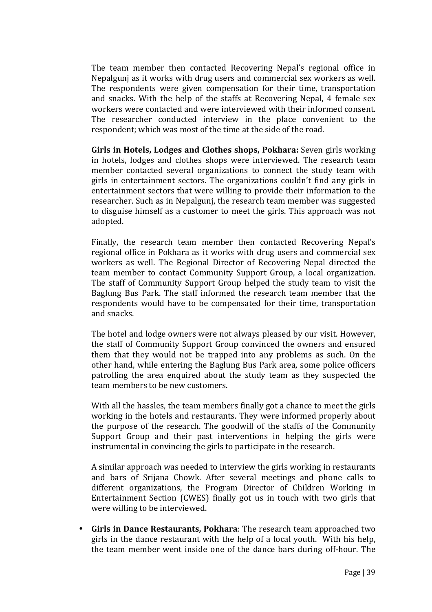The team member then contacted Recovering Nepal's regional office in Nepalgunj as it works with drug users and commercial sex workers as well. The respondents were given compensation for their time, transportation and snacks. With the help of the staffs at Recovering Nepal, 4 female sex workers were contacted and were interviewed with their informed consent. The researcher conducted interview in the place convenient to the respondent; which was most of the time at the side of the road.

**Girls in Hotels, Lodges and Clothes shops, Pokhara:** Seven girls working in hotels, lodges and clothes shops were interviewed. The research team member contacted several organizations to connect the study team with girls in entertainment sectors. The organizations couldn't find any girls in entertainment sectors that were willing to provide their information to the researcher. Such as in Nepalgunj, the research team member was suggested to disguise himself as a customer to meet the girls. This approach was not adopted.

Finally, the research team member then contacted Recovering Nepal's regional office in Pokhara as it works with drug users and commercial sex workers as well. The Regional Director of Recovering Nepal directed the team member to contact Community Support Group, a local organization. The staff of Community Support Group helped the study team to visit the Baglung Bus Park. The staff informed the research team member that the respondents would have to be compensated for their time, transportation and snacks.

The hotel and lodge owners were not always pleased by our visit. However, the staff of Community Support Group convinced the owners and ensured them that they would not be trapped into any problems as such. On the other hand, while entering the Baglung Bus Park area, some police officers patrolling the area enquired about the study team as they suspected the team members to be new customers.

With all the hassles, the team members finally got a chance to meet the girls working in the hotels and restaurants. They were informed properly about the purpose of the research. The goodwill of the staffs of the Community Support Group and their past interventions in helping the girls were instrumental in convincing the girls to participate in the research.

A similar approach was needed to interview the girls working in restaurants and bars of Srijana Chowk. After several meetings and phone calls to different organizations, the Program Director of Children Working in Entertainment Section (CWES) finally got us in touch with two girls that were willing to be interviewed.

• **Girls in Dance Restaurants, Pokhara**: The research team approached two girls in the dance restaurant with the help of a local youth. With his help, the team member went inside one of the dance bars during off-hour. The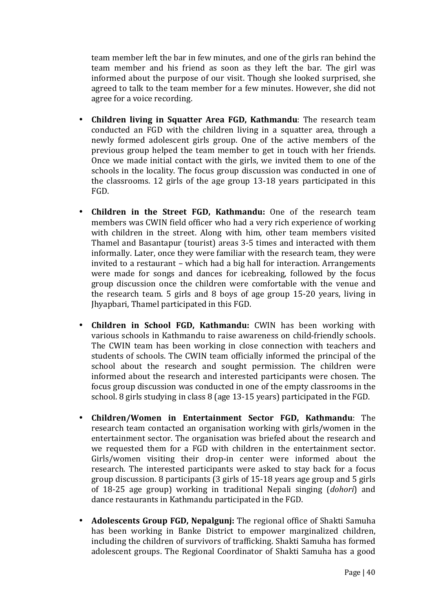team member left the bar in few minutes, and one of the girls ran behind the team member and his friend as soon as they left the bar. The girl was informed about the purpose of our visit. Though she looked surprised, she agreed to talk to the team member for a few minutes. However, she did not agree for a voice recording.

- **Children living in Squatter Area FGD, Kathmandu**: The research team conducted an FGD with the children living in a squatter area, through a newly formed adolescent girls group. One of the active members of the previous group helped the team member to get in touch with her friends. Once we made initial contact with the girls, we invited them to one of the schools in the locality. The focus group discussion was conducted in one of the classrooms. 12 girls of the age group 13-18 years participated in this FGD.
- **Children in the Street FGD, Kathmandu:** One of the research team members was CWIN field officer who had a very rich experience of working with children in the street. Along with him, other team members visited Thamel and Basantapur (tourist) areas 3-5 times and interacted with them informally. Later, once they were familiar with the research team, they were invited to a restaurant – which had a big hall for interaction. Arrangements were made for songs and dances for icebreaking, followed by the focus group discussion once the children were comfortable with the venue and the research team. 5 girls and 8 boys of age group 15-20 years, living in Jhyapbari, Thamel participated in this FGD.
- **Children in School FGD, Kathmandu:** CWIN has been working with various schools in Kathmandu to raise awareness on child-friendly schools. The CWIN team has been working in close connection with teachers and students of schools. The CWIN team officially informed the principal of the school about the research and sought permission. The children were informed about the research and interested participants were chosen. The focus group discussion was conducted in one of the empty classrooms in the school. 8 girls studying in class 8 (age 13-15 years) participated in the FGD.
- **Children/Women in Entertainment Sector FGD, Kathmandu**: The research team contacted an organisation working with girls/women in the entertainment sector. The organisation was briefed about the research and we requested them for a FGD with children in the entertainment sector. Girls/women visiting their drop-in center were informed about the research. The interested participants were asked to stay back for a focus group discussion. 8 participants (3 girls of 15-18 years age group and 5 girls of 18-25 age group) working in traditional Nepali singing (*dohori*) and dance restaurants in Kathmandu participated in the FGD.
- **Adolescents Group FGD, Nepalgunj:** The regional office of Shakti Samuha has been working in Banke District to empower marginalized children, including the children of survivors of trafficking. Shakti Samuha has formed adolescent groups. The Regional Coordinator of Shakti Samuha has a good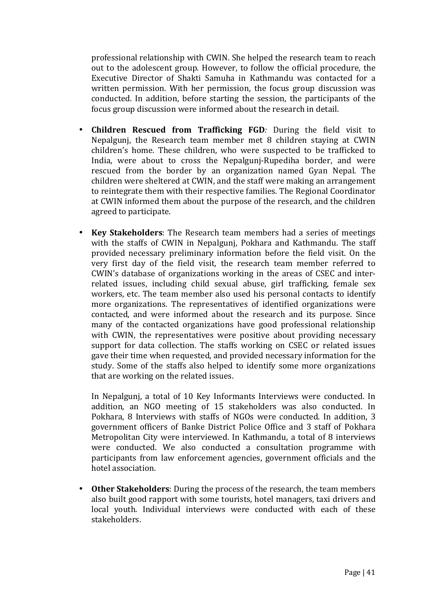professional relationship with CWIN. She helped the research team to reach out to the adolescent group. However, to follow the official procedure, the Executive Director of Shakti Samuha in Kathmandu was contacted for a written permission. With her permission, the focus group discussion was conducted. In addition, before starting the session, the participants of the focus group discussion were informed about the research in detail.

- **Children Rescued from Trafficking FGD***:* During the field visit to Nepalgunj, the Research team member met 8 children staying at CWIN children's home. These children, who were suspected to be trafficked to India, were about to cross the Nepalgunj-Rupediha border, and were rescued from the border by an organization named Gyan Nepal. The children were sheltered at CWIN, and the staff were making an arrangement to reintegrate them with their respective families. The Regional Coordinator at CWIN informed them about the purpose of the research, and the children agreed to participate.
- **Key Stakeholders**: The Research team members had a series of meetings with the staffs of CWIN in Nepalgunj, Pokhara and Kathmandu. The staff provided necessary preliminary information before the field visit. On the very first day of the field visit, the research team member referred to CWIN's database of organizations working in the areas of CSEC and interrelated issues, including child sexual abuse, girl trafficking, female sex workers, etc. The team member also used his personal contacts to identify more organizations. The representatives of identified organizations were contacted, and were informed about the research and its purpose. Since many of the contacted organizations have good professional relationship with CWIN, the representatives were positive about providing necessary support for data collection. The staffs working on CSEC or related issues gave their time when requested, and provided necessary information for the study. Some of the staffs also helped to identify some more organizations that are working on the related issues.

In Nepalgunj, a total of 10 Key Informants Interviews were conducted. In addition, an NGO meeting of 15 stakeholders was also conducted. In Pokhara, 8 Interviews with staffs of NGOs were conducted. In addition, 3 government officers of Banke District Police Office and 3 staff of Pokhara Metropolitan City were interviewed. In Kathmandu, a total of 8 interviews were conducted. We also conducted a consultation programme with participants from law enforcement agencies, government officials and the hotel association.

• **Other Stakeholders**: During the process of the research, the team members also built good rapport with some tourists, hotel managers, taxi drivers and local youth. Individual interviews were conducted with each of these stakeholders.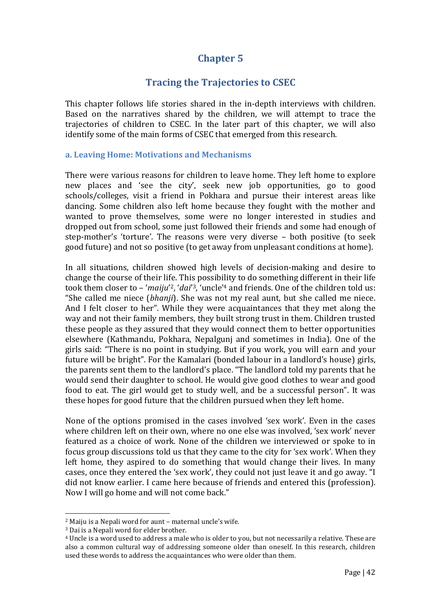# **Chapter 5**

# **Tracing the Trajectories to CSEC**

This chapter follows life stories shared in the in-depth interviews with children. Based on the narratives shared by the children, we will attempt to trace the trajectories of children to CSEC. In the later part of this chapter, we will also identify some of the main forms of CSEC that emerged from this research.

#### **a. Leaving Home: Motivations and Mechanisms**

There were various reasons for children to leave home. They left home to explore new places and 'see the city', seek new job opportunities, go to good schools/colleges, visit a friend in Pokhara and pursue their interest areas like dancing. Some children also left home because they fought with the mother and wanted to prove themselves, some were no longer interested in studies and dropped out from school, some just followed their friends and some had enough of step-mother's 'torture'. The reasons were very diverse – both positive (to seek good future) and not so positive (to get away from unpleasant conditions at home).

In all situations, children showed high levels of decision-making and desire to change the course of their life. This possibility to do something different in their life took them closer to – '*maiju'<sup>2</sup>, 'dai'<sup>3</sup>, '*uncle'<sup>4</sup> and friends. One of the children told us: "She called me niece (*bhanji*). She was not my real aunt, but she called me niece. And I felt closer to her". While they were acquaintances that they met along the way and not their family members, they built strong trust in them. Children trusted these people as they assured that they would connect them to better opportunities elsewhere (Kathmandu, Pokhara, Nepalgunj and sometimes in India). One of the girls said: "There is no point in studying. But if you work, you will earn and your future will be bright". For the Kamalari (bonded labour in a landlord's house) girls, the parents sent them to the landlord's place. "The landlord told my parents that he would send their daughter to school. He would give good clothes to wear and good food to eat. The girl would get to study well, and be a successful person". It was these hopes for good future that the children pursued when they left home.

None of the options promised in the cases involved 'sex work'. Even in the cases where children left on their own, where no one else was involved, 'sex work' never featured as a choice of work. None of the children we interviewed or spoke to in focus group discussions told us that they came to the city for 'sex work'. When they left home, they aspired to do something that would change their lives. In many cases, once they entered the 'sex work', they could not just leave it and go away. "I did not know earlier. I came here because of friends and entered this (profession). Now I will go home and will not come back."

 $\overline{\phantom{a}}$ <sup>2</sup> Maiju is a Nepali word for aunt – maternal uncle's wife.

<sup>3</sup> Dai is a Nepali word for elder brother.

<sup>4</sup> Uncle is a word used to address a male who is older to you, but not necessarily a relative. These are also a common cultural way of addressing someone older than oneself. In this research, children used these words to address the acquaintances who were older than them.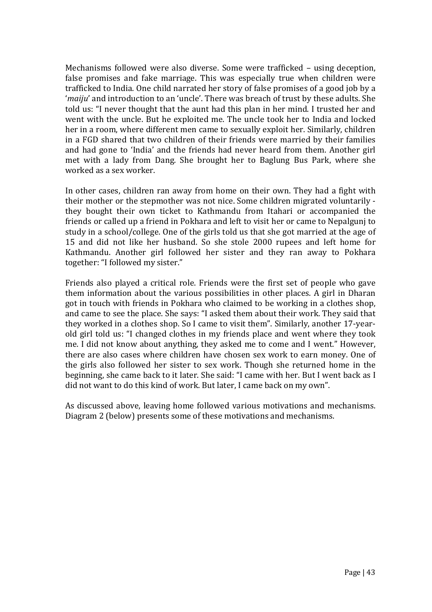Mechanisms followed were also diverse. Some were trafficked – using deception, false promises and fake marriage. This was especially true when children were trafficked to India. One child narrated her story of false promises of a good job by a '*maiju*' and introduction to an 'uncle'. There was breach of trust by these adults. She told us: "I never thought that the aunt had this plan in her mind. I trusted her and went with the uncle. But he exploited me. The uncle took her to India and locked her in a room, where different men came to sexually exploit her. Similarly, children in a FGD shared that two children of their friends were married by their families and had gone to 'India' and the friends had never heard from them. Another girl met with a lady from Dang. She brought her to Baglung Bus Park, where she worked as a sex worker.

In other cases, children ran away from home on their own. They had a fight with their mother or the stepmother was not nice. Some children migrated voluntarily they bought their own ticket to Kathmandu from Itahari or accompanied the friends or called up a friend in Pokhara and left to visit her or came to Nepalgunj to study in a school/college. One of the girls told us that she got married at the age of 15 and did not like her husband. So she stole 2000 rupees and left home for Kathmandu. Another girl followed her sister and they ran away to Pokhara together: "I followed my sister."

Friends also played a critical role. Friends were the first set of people who gave them information about the various possibilities in other places. A girl in Dharan got in touch with friends in Pokhara who claimed to be working in a clothes shop, and came to see the place. She says: "I asked them about their work. They said that they worked in a clothes shop. So I came to visit them". Similarly, another 17-yearold girl told us: "I changed clothes in my friends place and went where they took me. I did not know about anything, they asked me to come and I went." However, there are also cases where children have chosen sex work to earn money. One of the girls also followed her sister to sex work. Though she returned home in the beginning, she came back to it later. She said: "I came with her. But I went back as I did not want to do this kind of work. But later, I came back on my own".

As discussed above, leaving home followed various motivations and mechanisms. Diagram 2 (below) presents some of these motivations and mechanisms.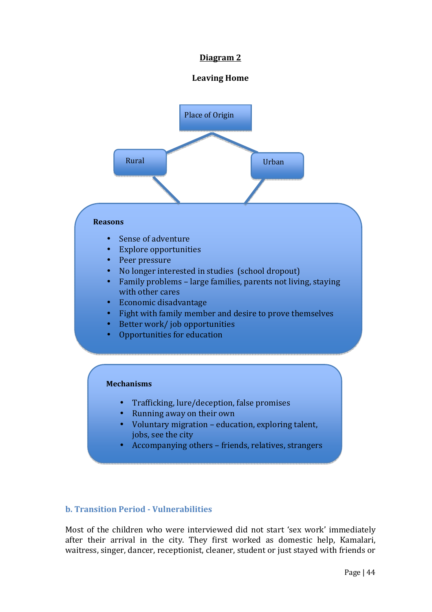## **Diagram 2**

## **Leaving Home**



## **b. Transition Period - Vulnerabilities**

Most of the children who were interviewed did not start 'sex work' immediately after their arrival in the city. They first worked as domestic help, Kamalari, waitress, singer, dancer, receptionist, cleaner, student or just stayed with friends or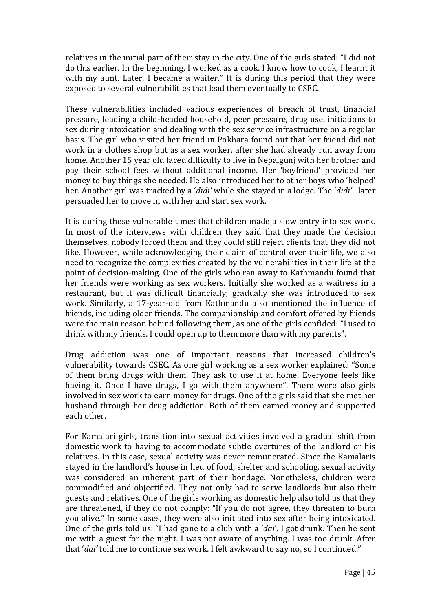relatives in the initial part of their stay in the city. One of the girls stated: "I did not do this earlier. In the beginning, I worked as a cook. I know how to cook, I learnt it with my aunt. Later, I became a waiter." It is during this period that they were exposed to several vulnerabilities that lead them eventually to CSEC.

These vulnerabilities included various experiences of breach of trust, financial pressure, leading a child-headed household, peer pressure, drug use, initiations to sex during intoxication and dealing with the sex service infrastructure on a regular basis. The girl who visited her friend in Pokhara found out that her friend did not work in a clothes shop but as a sex worker, after she had already run away from home. Another 15 year old faced difficulty to live in Nepalgunj with her brother and pay their school fees without additional income. Her 'boyfriend' provided her money to buy things she needed. He also introduced her to other boys who 'helped' her. Another girl was tracked by a '*didi'* while she stayed in a lodge. The '*didi'* later persuaded her to move in with her and start sex work.

It is during these vulnerable times that children made a slow entry into sex work. In most of the interviews with children they said that they made the decision themselves, nobody forced them and they could still reject clients that they did not like. However, while acknowledging their claim of control over their life, we also need to recognize the complexities created by the vulnerabilities in their life at the point of decision-making. One of the girls who ran away to Kathmandu found that her friends were working as sex workers. Initially she worked as a waitress in a restaurant, but it was difficult financially; gradually she was introduced to sex work. Similarly, a 17-year-old from Kathmandu also mentioned the influence of friends, including older friends. The companionship and comfort offered by friends were the main reason behind following them, as one of the girls confided: "I used to drink with my friends. I could open up to them more than with my parents".

Drug addiction was one of important reasons that increased children's vulnerability towards CSEC. As one girl working as a sex worker explained: "Some of them bring drugs with them. They ask to use it at home. Everyone feels like having it. Once I have drugs, I go with them anywhere". There were also girls involved in sex work to earn money for drugs. One of the girls said that she met her husband through her drug addiction. Both of them earned money and supported each other.

For Kamalari girls, transition into sexual activities involved a gradual shift from domestic work to having to accommodate subtle overtures of the landlord or his relatives. In this case, sexual activity was never remunerated. Since the Kamalaris stayed in the landlord's house in lieu of food, shelter and schooling, sexual activity was considered an inherent part of their bondage. Nonetheless, children were commodified and objectified. They not only had to serve landlords but also their guests and relatives. One of the girls working as domestic help also told us that they are threatened, if they do not comply: "If you do not agree, they threaten to burn you alive." In some cases, they were also initiated into sex after being intoxicated. One of the girls told us: "I had gone to a club with a '*dai*'. I got drunk. Then he sent me with a guest for the night. I was not aware of anything. I was too drunk. After that '*dai'* told me to continue sex work. I felt awkward to say no, so I continued."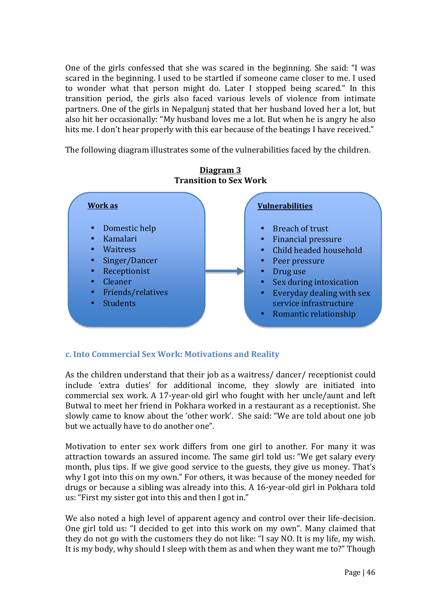One of the girls confessed that she was scared in the beginning. She said: "I was scared in the beginning. I used to be startled if someone came closer to me. I used to wonder what that person might do. Later I stopped being scared." In this transition period, the girls also faced various levels of violence from intimate partners. One of the girls in Nepalgunj stated that her husband loved her a lot, but also hit her occasionally: "My husband loves me a lot. But when he is angry he also hits me. I don't hear properly with this ear because of the beatings I have received."

The following diagram illustrates some of the vulnerabilities faced by the children.



**Diagram 3 Transition to Sex Work** 

## **c. Into Commercial Sex Work: Motivations and Reality**

As the children understand that their job as a waitress/ dancer/ receptionist could include 'extra duties' for additional income, they slowly are initiated into commercial sex work. A 17-year-old girl who fought with her uncle/aunt and left Butwal to meet her friend in Pokhara worked in a restaurant as a receptionist. She slowly came to know about the 'other work'. She said: "We are told about one job but we actually have to do another one".

Motivation to enter sex work differs from one girl to another. For many it was attraction towards an assured income. The same girl told us: "We get salary every month, plus tips. If we give good service to the guests, they give us money. That's why I got into this on my own." For others, it was because of the money needed for drugs or because a sibling was already into this. A 16-year-old girl in Pokhara told us: "First my sister got into this and then I got in."

We also noted a high level of apparent agency and control over their life-decision. One girl told us: "I decided to get into this work on my own". Many claimed that they do not go with the customers they do not like: "I say NO. It is my life, my wish. It is my body, why should I sleep with them as and when they want me to?" Though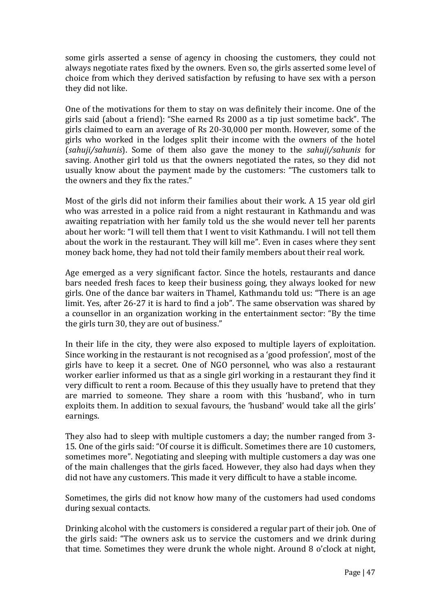some girls asserted a sense of agency in choosing the customers, they could not always negotiate rates fixed by the owners. Even so, the girls asserted some level of choice from which they derived satisfaction by refusing to have sex with a person they did not like.

One of the motivations for them to stay on was definitely their income. One of the girls said (about a friend): "She earned Rs 2000 as a tip just sometime back". The girls claimed to earn an average of Rs 20-30,000 per month. However, some of the girls who worked in the lodges split their income with the owners of the hotel (*sahuji/sahunis*). Some of them also gave the money to the *sahuji/sahunis* for saving. Another girl told us that the owners negotiated the rates, so they did not usually know about the payment made by the customers: "The customers talk to the owners and they fix the rates."

Most of the girls did not inform their families about their work. A 15 year old girl who was arrested in a police raid from a night restaurant in Kathmandu and was awaiting repatriation with her family told us the she would never tell her parents about her work: "I will tell them that I went to visit Kathmandu. I will not tell them about the work in the restaurant. They will kill me". Even in cases where they sent money back home, they had not told their family members about their real work.

Age emerged as a very significant factor. Since the hotels, restaurants and dance bars needed fresh faces to keep their business going, they always looked for new girls. One of the dance bar waiters in Thamel, Kathmandu told us: "There is an age limit. Yes, after 26-27 it is hard to find a job". The same observation was shared by a counsellor in an organization working in the entertainment sector: "By the time the girls turn 30, they are out of business."

In their life in the city, they were also exposed to multiple layers of exploitation. Since working in the restaurant is not recognised as a 'good profession', most of the girls have to keep it a secret. One of NGO personnel, who was also a restaurant worker earlier informed us that as a single girl working in a restaurant they find it very difficult to rent a room. Because of this they usually have to pretend that they are married to someone. They share a room with this 'husband', who in turn exploits them. In addition to sexual favours, the 'husband' would take all the girls' earnings.

They also had to sleep with multiple customers a day; the number ranged from 3- 15. One of the girls said: "Of course it is difficult. Sometimes there are 10 customers, sometimes more". Negotiating and sleeping with multiple customers a day was one of the main challenges that the girls faced. However, they also had days when they did not have any customers. This made it very difficult to have a stable income.

Sometimes, the girls did not know how many of the customers had used condoms during sexual contacts.

Drinking alcohol with the customers is considered a regular part of their job. One of the girls said: "The owners ask us to service the customers and we drink during that time. Sometimes they were drunk the whole night. Around 8 o'clock at night,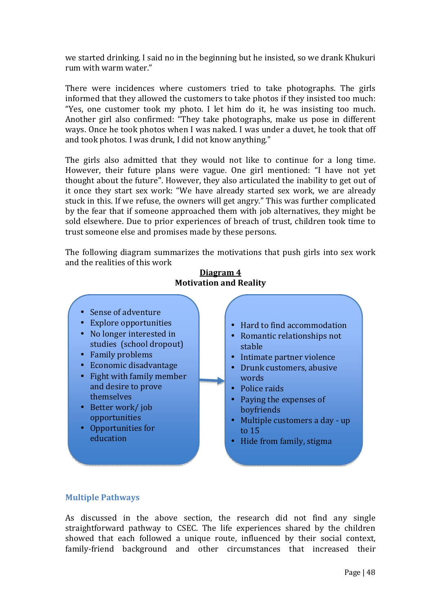we started drinking. I said no in the beginning but he insisted, so we drank Khukuri rum with warm water."

There were incidences where customers tried to take photographs. The girls informed that they allowed the customers to take photos if they insisted too much: "Yes, one customer took my photo. I let him do it, he was insisting too much. Another girl also confirmed: "They take photographs, make us pose in different ways. Once he took photos when I was naked. I was under a duvet, he took that off and took photos. I was drunk, I did not know anything."

The girls also admitted that they would not like to continue for a long time. However, their future plans were vague. One girl mentioned: "I have not yet thought about the future". However, they also articulated the inability to get out of it once they start sex work: "We have already started sex work, we are already stuck in this. If we refuse, the owners will get angry." This was further complicated by the fear that if someone approached them with job alternatives, they might be sold elsewhere. Due to prior experiences of breach of trust, children took time to trust someone else and promises made by these persons.

The following diagram summarizes the motivations that push girls into sex work and the realities of this work



### **Diagram 4 Motivation and Reality**

## **Multiple Pathways**

As discussed in the above section, the research did not find any single straightforward pathway to CSEC. The life experiences shared by the children showed that each followed a unique route, influenced by their social context, family-friend background and other circumstances that increased their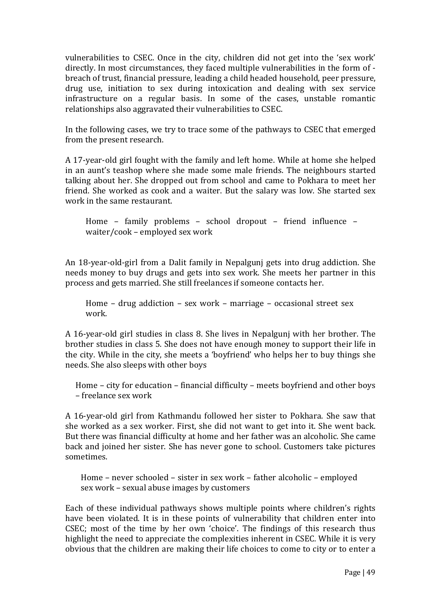vulnerabilities to CSEC. Once in the city, children did not get into the 'sex work' directly. In most circumstances, they faced multiple vulnerabilities in the form of breach of trust, financial pressure, leading a child headed household, peer pressure, drug use, initiation to sex during intoxication and dealing with sex service infrastructure on a regular basis. In some of the cases, unstable romantic relationships also aggravated their vulnerabilities to CSEC.

In the following cases, we try to trace some of the pathways to CSEC that emerged from the present research.

A 17-year-old girl fought with the family and left home. While at home she helped in an aunt's teashop where she made some male friends. The neighbours started talking about her. She dropped out from school and came to Pokhara to meet her friend. She worked as cook and a waiter. But the salary was low. She started sex work in the same restaurant.

Home – family problems – school dropout – friend influence – waiter/cook – employed sex work

An 18-year-old-girl from a Dalit family in Nepalgunj gets into drug addiction. She needs money to buy drugs and gets into sex work. She meets her partner in this process and gets married. She still freelances if someone contacts her.

Home – drug addiction – sex work – marriage – occasional street sex work.

A 16-year-old girl studies in class 8. She lives in Nepalgunj with her brother. The brother studies in class 5. She does not have enough money to support their life in the city. While in the city, she meets a 'boyfriend' who helps her to buy things she needs. She also sleeps with other boys

Home – city for education – financial difficulty – meets boyfriend and other boys – freelance sex work

A 16-year-old girl from Kathmandu followed her sister to Pokhara. She saw that she worked as a sex worker. First, she did not want to get into it. She went back. But there was financial difficulty at home and her father was an alcoholic. She came back and joined her sister. She has never gone to school. Customers take pictures sometimes.

Home – never schooled – sister in sex work – father alcoholic – employed sex work – sexual abuse images by customers

Each of these individual pathways shows multiple points where children's rights have been violated. It is in these points of vulnerability that children enter into CSEC; most of the time by her own 'choice'. The findings of this research thus highlight the need to appreciate the complexities inherent in CSEC. While it is very obvious that the children are making their life choices to come to city or to enter a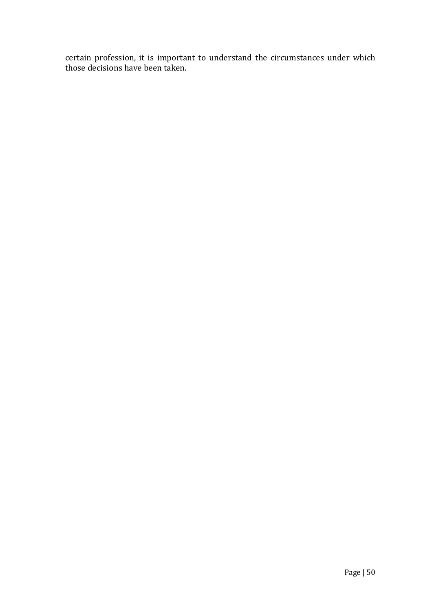certain profession, it is important to understand the circumstances under which those decisions have been taken.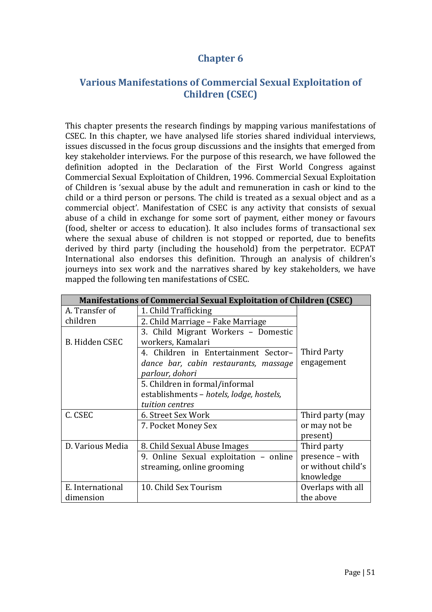# **Chapter 6**

# **Various Manifestations of Commercial Sexual Exploitation of Children (CSEC)**

This chapter presents the research findings by mapping various manifestations of CSEC. In this chapter, we have analysed life stories shared individual interviews, issues discussed in the focus group discussions and the insights that emerged from key stakeholder interviews. For the purpose of this research, we have followed the definition adopted in the Declaration of the First World Congress against Commercial Sexual Exploitation of Children, 1996. Commercial Sexual Exploitation of Children is 'sexual abuse by the adult and remuneration in cash or kind to the child or a third person or persons. The child is treated as a sexual object and as a commercial object'. Manifestation of CSEC is any activity that consists of sexual abuse of a child in exchange for some sort of payment, either money or favours (food, shelter or access to education). It also includes forms of transactional sex where the sexual abuse of children is not stopped or reported, due to benefits derived by third party (including the household) from the perpetrator. ECPAT International also endorses this definition. Through an analysis of children's journeys into sex work and the narratives shared by key stakeholders, we have mapped the following ten manifestations of CSEC.

| <b>Manifestations of Commercial Sexual Exploitation of Children (CSEC)</b> |                                          |                    |
|----------------------------------------------------------------------------|------------------------------------------|--------------------|
| A. Transfer of                                                             | 1. Child Trafficking                     |                    |
| children                                                                   | 2. Child Marriage - Fake Marriage        |                    |
|                                                                            | 3. Child Migrant Workers - Domestic      |                    |
| B. Hidden CSEC                                                             | workers, Kamalari                        |                    |
|                                                                            | 4. Children in Entertainment Sector-     | Third Party        |
|                                                                            | dance bar, cabin restaurants, massage    | engagement         |
|                                                                            | parlour, dohori                          |                    |
|                                                                            | 5. Children in formal/informal           |                    |
|                                                                            | establishments - hotels, lodge, hostels, |                    |
|                                                                            | tuition centres                          |                    |
| C. CSEC                                                                    | 6. Street Sex Work                       | Third party (may   |
|                                                                            | 7. Pocket Money Sex                      | or may not be      |
|                                                                            |                                          | present)           |
| D. Various Media                                                           | 8. Child Sexual Abuse Images             | Third party        |
|                                                                            | 9. Online Sexual exploitation – online   | presence - with    |
|                                                                            | streaming, online grooming               | or without child's |
|                                                                            |                                          | knowledge          |
| E. International                                                           | 10. Child Sex Tourism                    | Overlaps with all  |
| dimension                                                                  |                                          | the above          |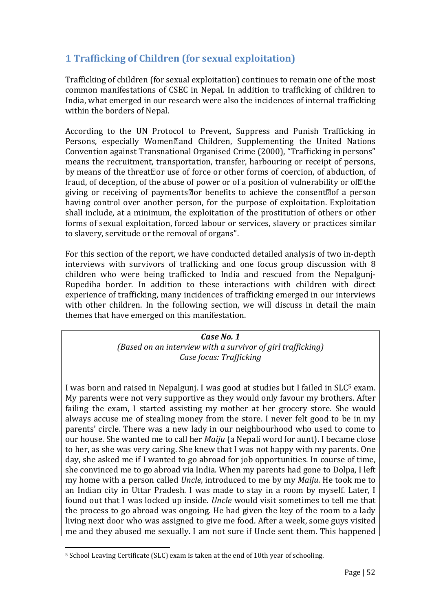# **1 Trafficking of Children (for sexual exploitation)**

Trafficking of children (for sexual exploitation) continues to remain one of the most common manifestations of CSEC in Nepal. In addition to trafficking of children to India, what emerged in our research were also the incidences of internal trafficking within the borders of Nepal.

According to the UN Protocol to Prevent, Suppress and Punish Trafficking in Persons, especially Women
and Children, Supplementing the United Nations Convention against Transnational Organised Crime (2000), "Trafficking in persons" means the recruitment, transportation, transfer, harbouring or receipt of persons, by means of the threat<sup>or</sup> use of force or other forms of coercion, of abduction, of fraud, of deception, of the abuse of power or of a position of vulnerability or of the giving or receiving of payments $\mathbb{Z}$ or benefits to achieve the consent $\mathbb{Z}$ of a person having control over another person, for the purpose of exploitation. Exploitation shall include, at a minimum, the exploitation of the prostitution of others or other forms of sexual exploitation, forced labour or services, slavery or practices similar to slavery, servitude or the removal of organs".

For this section of the report, we have conducted detailed analysis of two in-depth interviews with survivors of trafficking and one focus group discussion with 8 children who were being trafficked to India and rescued from the Nepalgunj-Rupediha border. In addition to these interactions with children with direct experience of trafficking, many incidences of trafficking emerged in our interviews with other children. In the following section, we will discuss in detail the main themes that have emerged on this manifestation.

> *Case No. 1 (Based on an interview with a survivor of girl trafficking) Case focus: Trafficking*

I was born and raised in Nepalgunj. I was good at studies but I failed in SLC<sup>5</sup> exam. My parents were not very supportive as they would only favour my brothers. After failing the exam, I started assisting my mother at her grocery store. She would always accuse me of stealing money from the store. I never felt good to be in my parents' circle. There was a new lady in our neighbourhood who used to come to our house. She wanted me to call her *Maiju* (a Nepali word for aunt). I became close to her, as she was very caring. She knew that I was not happy with my parents. One day, she asked me if I wanted to go abroad for job opportunities. In course of time, she convinced me to go abroad via India. When my parents had gone to Dolpa, I left my home with a person called *Uncle*, introduced to me by my *Maiju*. He took me to an Indian city in Uttar Pradesh. I was made to stay in a room by myself. Later, I found out that I was locked up inside. *Uncle* would visit sometimes to tell me that the process to go abroad was ongoing. He had given the key of the room to a lady living next door who was assigned to give me food. After a week, some guys visited me and they abused me sexually. I am not sure if Uncle sent them. This happened

 $\overline{\phantom{a}}$ 5 School Leaving Certificate (SLC) exam is taken at the end of 10th year of schooling.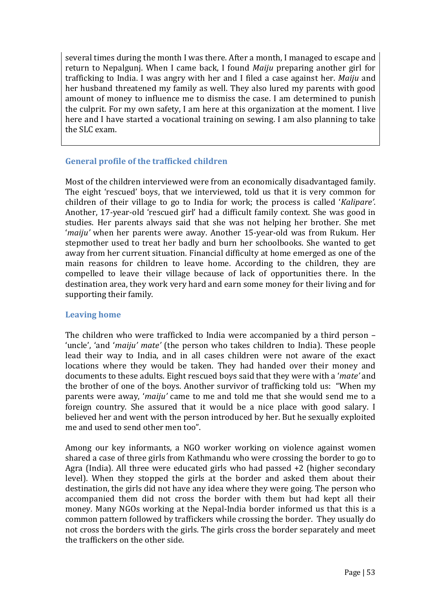several times during the month I was there. After a month, I managed to escape and return to Nepalgunj. When I came back, I found *Maiju* preparing another girl for trafficking to India. I was angry with her and I filed a case against her. *Maiju* and her husband threatened my family as well. They also lured my parents with good amount of money to influence me to dismiss the case. I am determined to punish the culprit. For my own safety, I am here at this organization at the moment. I live here and I have started a vocational training on sewing. I am also planning to take the SLC exam.

## **General profile of the trafficked children**

Most of the children interviewed were from an economically disadvantaged family. The eight 'rescued' boys, that we interviewed, told us that it is very common for children of their village to go to India for work; the process is called '*Kalipare'*. Another, 17-year-old 'rescued girl' had a difficult family context. She was good in studies. Her parents always said that she was not helping her brother. She met '*maiju'* when her parents were away. Another 15-year-old was from Rukum. Her stepmother used to treat her badly and burn her schoolbooks. She wanted to get away from her current situation. Financial difficulty at home emerged as one of the main reasons for children to leave home. According to the children, they are compelled to leave their village because of lack of opportunities there. In the destination area, they work very hard and earn some money for their living and for supporting their family.

## **Leaving home**

The children who were trafficked to India were accompanied by a third person – 'uncle', 'and '*maiju' mate'* (the person who takes children to India). These people lead their way to India, and in all cases children were not aware of the exact locations where they would be taken. They had handed over their money and documents to these adults. Eight rescued boys said that they were with a '*mate'* and the brother of one of the boys. Another survivor of trafficking told us: "When my parents were away, '*maiju'* came to me and told me that she would send me to a foreign country. She assured that it would be a nice place with good salary. I believed her and went with the person introduced by her. But he sexually exploited me and used to send other men too".

Among our key informants, a NGO worker working on violence against women shared a case of three girls from Kathmandu who were crossing the border to go to Agra (India). All three were educated girls who had passed +2 (higher secondary level). When they stopped the girls at the border and asked them about their destination, the girls did not have any idea where they were going. The person who accompanied them did not cross the border with them but had kept all their money. Many NGOs working at the Nepal-India border informed us that this is a common pattern followed by traffickers while crossing the border. They usually do not cross the borders with the girls. The girls cross the border separately and meet the traffickers on the other side.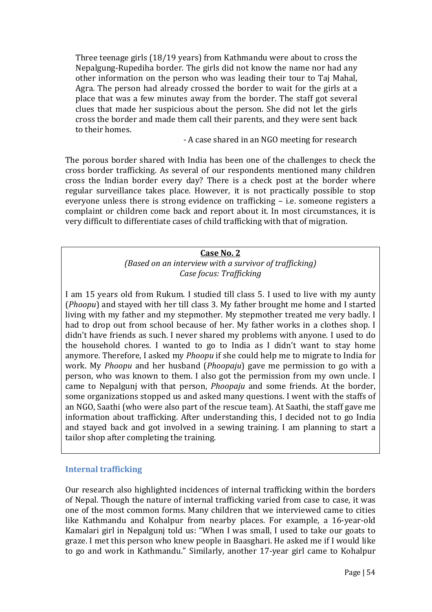Three teenage girls (18/19 years) from Kathmandu were about to cross the Nepalgung-Rupediha border. The girls did not know the name nor had any other information on the person who was leading their tour to Taj Mahal, Agra. The person had already crossed the border to wait for the girls at a place that was a few minutes away from the border. The staff got several clues that made her suspicious about the person. She did not let the girls cross the border and made them call their parents, and they were sent back to their homes.

- A case shared in an NGO meeting for research

The porous border shared with India has been one of the challenges to check the cross border trafficking. As several of our respondents mentioned many children cross the Indian border every day? There is a check post at the border where regular surveillance takes place. However, it is not practically possible to stop everyone unless there is strong evidence on trafficking – i.e. someone registers a complaint or children come back and report about it. In most circumstances, it is very difficult to differentiate cases of child trafficking with that of migration.

### **Case No. 2**

*(Based on an interview with a survivor of trafficking) Case focus: Trafficking* 

I am 15 years old from Rukum. I studied till class 5. I used to live with my aunty (*Phoopu*) and stayed with her till class 3. My father brought me home and I started living with my father and my stepmother. My stepmother treated me very badly. I had to drop out from school because of her. My father works in a clothes shop. I didn't have friends as such. I never shared my problems with anyone. I used to do the household chores. I wanted to go to India as I didn't want to stay home anymore. Therefore, I asked my *Phoopu* if she could help me to migrate to India for work. My *Phoopu* and her husband (*Phoopaju*) gave me permission to go with a person, who was known to them. I also got the permission from my own uncle. I came to Nepalgunj with that person, *Phoopaju* and some friends. At the border, some organizations stopped us and asked many questions. I went with the staffs of an NGO, Saathi (who were also part of the rescue team). At Saathi, the staff gave me information about trafficking. After understanding this, I decided not to go India and stayed back and got involved in a sewing training. I am planning to start a tailor shop after completing the training.

#### **Internal trafficking**

Our research also highlighted incidences of internal trafficking within the borders of Nepal. Though the nature of internal trafficking varied from case to case, it was one of the most common forms. Many children that we interviewed came to cities like Kathmandu and Kohalpur from nearby places. For example, a 16-year-old Kamalari girl in Nepalgunj told us: "When I was small, I used to take our goats to graze. I met this person who knew people in Baasghari. He asked me if I would like to go and work in Kathmandu." Similarly, another 17-year girl came to Kohalpur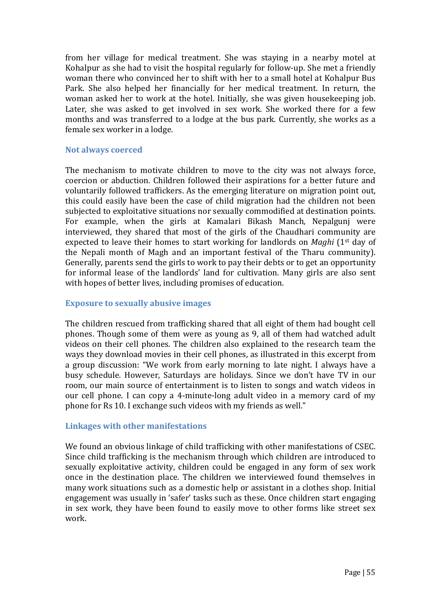from her village for medical treatment. She was staying in a nearby motel at Kohalpur as she had to visit the hospital regularly for follow-up. She met a friendly woman there who convinced her to shift with her to a small hotel at Kohalpur Bus Park. She also helped her financially for her medical treatment. In return, the woman asked her to work at the hotel. Initially, she was given housekeeping job. Later, she was asked to get involved in sex work. She worked there for a few months and was transferred to a lodge at the bus park. Currently, she works as a female sex worker in a lodge.

#### **Not always coerced**

The mechanism to motivate children to move to the city was not always force, coercion or abduction. Children followed their aspirations for a better future and voluntarily followed traffickers. As the emerging literature on migration point out, this could easily have been the case of child migration had the children not been subjected to exploitative situations nor sexually commodified at destination points. For example, when the girls at Kamalari Bikash Manch, Nepalgunj were interviewed, they shared that most of the girls of the Chaudhari community are expected to leave their homes to start working for landlords on *Maghi* (1st day of the Nepali month of Magh and an important festival of the Tharu community). Generally, parents send the girls to work to pay their debts or to get an opportunity for informal lease of the landlords' land for cultivation. Many girls are also sent with hopes of better lives, including promises of education.

#### **Exposure to sexually abusive images**

The children rescued from trafficking shared that all eight of them had bought cell phones. Though some of them were as young as 9, all of them had watched adult videos on their cell phones. The children also explained to the research team the ways they download movies in their cell phones, as illustrated in this excerpt from a group discussion: "We work from early morning to late night. I always have a busy schedule. However, Saturdays are holidays. Since we don't have TV in our room, our main source of entertainment is to listen to songs and watch videos in our cell phone. I can copy a 4-minute-long adult video in a memory card of my phone for Rs 10. I exchange such videos with my friends as well."

#### **Linkages with other manifestations**

We found an obvious linkage of child trafficking with other manifestations of CSEC. Since child trafficking is the mechanism through which children are introduced to sexually exploitative activity, children could be engaged in any form of sex work once in the destination place. The children we interviewed found themselves in many work situations such as a domestic help or assistant in a clothes shop. Initial engagement was usually in 'safer' tasks such as these. Once children start engaging in sex work, they have been found to easily move to other forms like street sex work.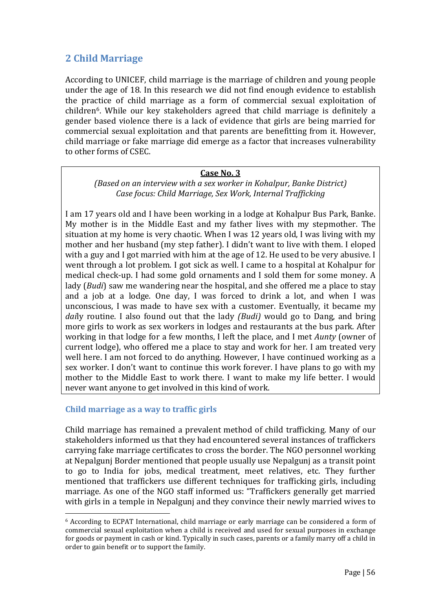# **2 Child Marriage**

According to UNICEF, child marriage is the marriage of children and young people under the age of 18. In this research we did not find enough evidence to establish the practice of child marriage as a form of commercial sexual exploitation of children6. While our key stakeholders agreed that child marriage is definitely a gender based violence there is a lack of evidence that girls are being married for commercial sexual exploitation and that parents are benefitting from it. However, child marriage or fake marriage did emerge as a factor that increases vulnerability to other forms of CSEC.

### **Case No. 3**

### *(Based on an interview with a sex worker in Kohalpur, Banke District) Case focus: Child Marriage, Sex Work, Internal Trafficking*

I am 17 years old and I have been working in a lodge at Kohalpur Bus Park, Banke. My mother is in the Middle East and my father lives with my stepmother. The situation at my home is very chaotic. When I was 12 years old, I was living with my mother and her husband (my step father). I didn't want to live with them. I eloped with a guy and I got married with him at the age of 12. He used to be very abusive. I went through a lot problem. I got sick as well. I came to a hospital at Kohalpur for medical check-up. I had some gold ornaments and I sold them for some money. A lady (*Budi*) saw me wandering near the hospital, and she offered me a place to stay and a job at a lodge. One day, I was forced to drink a lot, and when I was unconscious, I was made to have sex with a customer. Eventually, it became my *dai*ly routine. I also found out that the lady *(Budi)* would go to Dang, and bring more girls to work as sex workers in lodges and restaurants at the bus park. After working in that lodge for a few months, I left the place, and I met *Aunty* (owner of current lodge), who offered me a place to stay and work for her. I am treated very well here. I am not forced to do anything. However, I have continued working as a sex worker. I don't want to continue this work forever. I have plans to go with my mother to the Middle East to work there. I want to make my life better. I would never want anyone to get involved in this kind of work.

## **Child marriage as a way to traffic girls**

 $\overline{\phantom{a}}$ 

Child marriage has remained a prevalent method of child trafficking. Many of our stakeholders informed us that they had encountered several instances of traffickers carrying fake marriage certificates to cross the border. The NGO personnel working at Nepalgunj Border mentioned that people usually use Nepalgunj as a transit point to go to India for jobs, medical treatment, meet relatives, etc. They further mentioned that traffickers use different techniques for trafficking girls, including marriage. As one of the NGO staff informed us: "Traffickers generally get married with girls in a temple in Nepalgunj and they convince their newly married wives to

<sup>6</sup> According to ECPAT International, child marriage or early marriage can be considered a form of commercial sexual exploitation when a child is received and used for sexual purposes in exchange for goods or payment in cash or kind. Typically in such cases, parents or a family marry off a child in order to gain benefit or to support the family.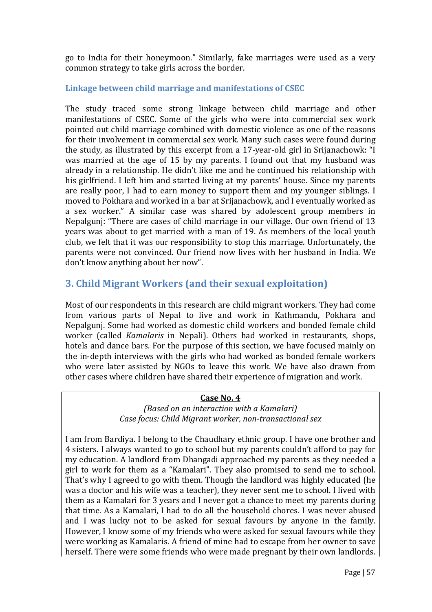go to India for their honeymoon." Similarly, fake marriages were used as a very common strategy to take girls across the border.

## **Linkage between child marriage and manifestations of CSEC**

The study traced some strong linkage between child marriage and other manifestations of CSEC. Some of the girls who were into commercial sex work pointed out child marriage combined with domestic violence as one of the reasons for their involvement in commercial sex work. Many such cases were found during the study, as illustrated by this excerpt from a 17-year-old girl in Srijanachowk: "I was married at the age of 15 by my parents. I found out that my husband was already in a relationship. He didn't like me and he continued his relationship with his girlfriend. I left him and started living at my parents' house. Since my parents are really poor, I had to earn money to support them and my younger siblings. I moved to Pokhara and worked in a bar at Srijanachowk, and I eventually worked as a sex worker." A similar case was shared by adolescent group members in Nepalgunj: "There are cases of child marriage in our village. Our own friend of 13 years was about to get married with a man of 19. As members of the local youth club, we felt that it was our responsibility to stop this marriage. Unfortunately, the parents were not convinced. Our friend now lives with her husband in India. We don't know anything about her now".

# **3. Child Migrant Workers (and their sexual exploitation)**

Most of our respondents in this research are child migrant workers. They had come from various parts of Nepal to live and work in Kathmandu, Pokhara and Nepalgunj. Some had worked as domestic child workers and bonded female child worker (called *Kamalaris* in Nepali). Others had worked in restaurants, shops, hotels and dance bars. For the purpose of this section, we have focused mainly on the in-depth interviews with the girls who had worked as bonded female workers who were later assisted by NGOs to leave this work. We have also drawn from other cases where children have shared their experience of migration and work.

#### **Case No. 4**

*(Based on an interaction with a Kamalari) Case focus: Child Migrant worker, non-transactional sex* 

I am from Bardiya. I belong to the Chaudhary ethnic group. I have one brother and 4 sisters. I always wanted to go to school but my parents couldn't afford to pay for my education. A landlord from Dhangadi approached my parents as they needed a girl to work for them as a "Kamalari". They also promised to send me to school. That's why I agreed to go with them. Though the landlord was highly educated (he was a doctor and his wife was a teacher), they never sent me to school. I lived with them as a Kamalari for 3 years and I never got a chance to meet my parents during that time. As a Kamalari, I had to do all the household chores. I was never abused and I was lucky not to be asked for sexual favours by anyone in the family. However, I know some of my friends who were asked for sexual favours while they were working as Kamalaris. A friend of mine had to escape from her owner to save herself. There were some friends who were made pregnant by their own landlords.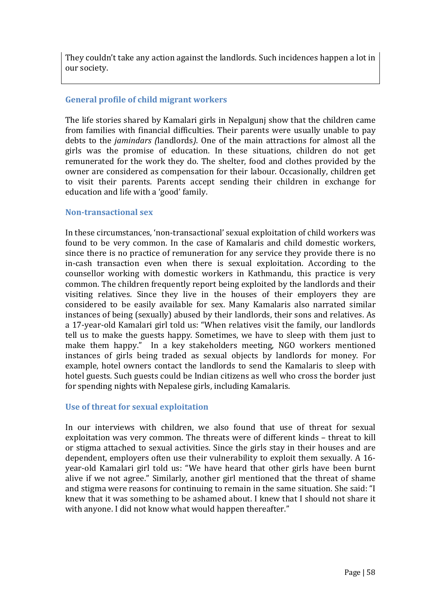They couldn't take any action against the landlords. Such incidences happen a lot in our society.

## **General profile of child migrant workers**

The life stories shared by Kamalari girls in Nepalgunj show that the children came from families with financial difficulties. Their parents were usually unable to pay debts to the *jamindars (*landlords*)*. One of the main attractions for almost all the girls was the promise of education. In these situations, children do not get remunerated for the work they do. The shelter, food and clothes provided by the owner are considered as compensation for their labour. Occasionally, children get to visit their parents. Parents accept sending their children in exchange for education and life with a 'good' family.

### **Non-transactional sex**

In these circumstances, 'non-transactional' sexual exploitation of child workers was found to be very common. In the case of Kamalaris and child domestic workers, since there is no practice of remuneration for any service they provide there is no in-cash transaction even when there is sexual exploitation. According to the counsellor working with domestic workers in Kathmandu, this practice is very common. The children frequently report being exploited by the landlords and their visiting relatives. Since they live in the houses of their employers they are considered to be easily available for sex. Many Kamalaris also narrated similar instances of being (sexually) abused by their landlords, their sons and relatives. As a 17-year-old Kamalari girl told us: "When relatives visit the family, our landlords tell us to make the guests happy. Sometimes, we have to sleep with them just to make them happy." In a key stakeholders meeting, NGO workers mentioned instances of girls being traded as sexual objects by landlords for money. For example, hotel owners contact the landlords to send the Kamalaris to sleep with hotel guests. Such guests could be Indian citizens as well who cross the border just for spending nights with Nepalese girls, including Kamalaris.

## **Use of threat for sexual exploitation**

In our interviews with children, we also found that use of threat for sexual exploitation was very common. The threats were of different kinds – threat to kill or stigma attached to sexual activities. Since the girls stay in their houses and are dependent, employers often use their vulnerability to exploit them sexually. A 16 year-old Kamalari girl told us: "We have heard that other girls have been burnt alive if we not agree." Similarly, another girl mentioned that the threat of shame and stigma were reasons for continuing to remain in the same situation. She said: "I knew that it was something to be ashamed about. I knew that I should not share it with anyone. I did not know what would happen thereafter."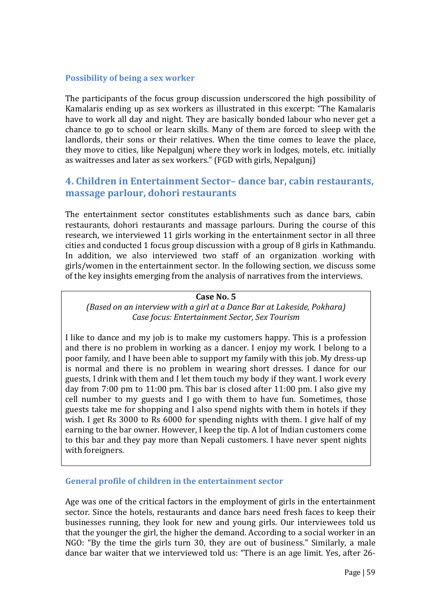### **Possibility of being a sex worker**

The participants of the focus group discussion underscored the high possibility of Kamalaris ending up as sex workers as illustrated in this excerpt: "The Kamalaris have to work all day and night. They are basically bonded labour who never get a chance to go to school or learn skills. Many of them are forced to sleep with the landlords, their sons or their relatives. When the time comes to leave the place, they move to cities, like Nepalgunj where they work in lodges, motels, etc. initially as waitresses and later as sex workers." (FGD with girls, Nepalgunj)

# **4. Children in Entertainment Sector– dance bar, cabin restaurants, massage parlour, dohori restaurants**

The entertainment sector constitutes establishments such as dance bars, cabin restaurants, dohori restaurants and massage parlours. During the course of this research, we interviewed 11 girls working in the entertainment sector in all three cities and conducted 1 focus group discussion with a group of 8 girls in Kathmandu. In addition, we also interviewed two staff of an organization working with girls/women in the entertainment sector. In the following section, we discuss some of the key insights emerging from the analysis of narratives from the interviews.

#### **Case No. 5**

*(Based on an interview with a girl at a Dance Bar at Lakeside, Pokhara) Case focus: Entertainment Sector, Sex Tourism* 

I like to dance and my job is to make my customers happy. This is a profession and there is no problem in working as a dancer. I enjoy my work. I belong to a poor family, and I have been able to support my family with this job. My dress-up is normal and there is no problem in wearing short dresses. I dance for our guests, I drink with them and I let them touch my body if they want. I work every day from 7:00 pm to 11:00 pm. This bar is closed after 11:00 pm. I also give my cell number to my guests and I go with them to have fun. Sometimes, those guests take me for shopping and I also spend nights with them in hotels if they wish. I get Rs 3000 to Rs 6000 for spending nights with them. I give half of my earning to the bar owner. However, I keep the tip. A lot of Indian customers come to this bar and they pay more than Nepali customers. I have never spent nights with foreigners.

#### **General profile of children in the entertainment sector**

Age was one of the critical factors in the employment of girls in the entertainment sector. Since the hotels, restaurants and dance bars need fresh faces to keep their businesses running, they look for new and young girls. Our interviewees told us that the younger the girl, the higher the demand. According to a social worker in an NGO: "By the time the girls turn 30, they are out of business." Similarly, a male dance bar waiter that we interviewed told us: "There is an age limit. Yes, after 26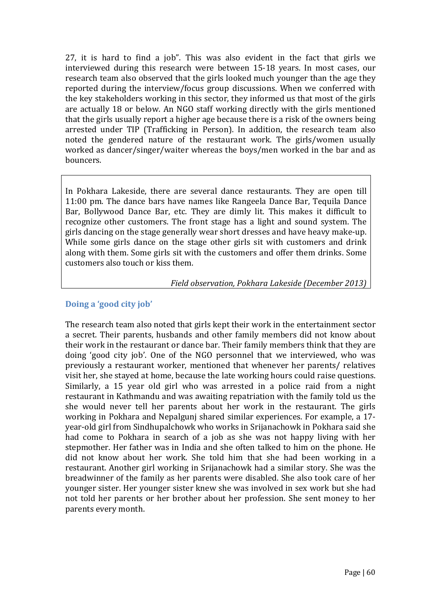27, it is hard to find a job". This was also evident in the fact that girls we interviewed during this research were between 15-18 years. In most cases, our research team also observed that the girls looked much younger than the age they reported during the interview/focus group discussions. When we conferred with the key stakeholders working in this sector, they informed us that most of the girls are actually 18 or below. An NGO staff working directly with the girls mentioned that the girls usually report a higher age because there is a risk of the owners being arrested under TIP (Trafficking in Person). In addition, the research team also noted the gendered nature of the restaurant work. The girls/women usually worked as dancer/singer/waiter whereas the boys/men worked in the bar and as bouncers.

In Pokhara Lakeside, there are several dance restaurants. They are open till 11:00 pm. The dance bars have names like Rangeela Dance Bar, Tequila Dance Bar, Bollywood Dance Bar, etc. They are dimly lit. This makes it difficult to recognize other customers. The front stage has a light and sound system. The girls dancing on the stage generally wear short dresses and have heavy make-up. While some girls dance on the stage other girls sit with customers and drink along with them. Some girls sit with the customers and offer them drinks. Some customers also touch or kiss them.

*Field observation, Pokhara Lakeside (December 2013)*

## **Doing a 'good city job'**

The research team also noted that girls kept their work in the entertainment sector a secret. Their parents, husbands and other family members did not know about their work in the restaurant or dance bar. Their family members think that they are doing 'good city job'. One of the NGO personnel that we interviewed, who was previously a restaurant worker, mentioned that whenever her parents/ relatives visit her, she stayed at home, because the late working hours could raise questions. Similarly, a 15 year old girl who was arrested in a police raid from a night restaurant in Kathmandu and was awaiting repatriation with the family told us the she would never tell her parents about her work in the restaurant. The girls working in Pokhara and Nepalgunj shared similar experiences. For example, a 17 year-old girl from Sindhupalchowk who works in Srijanachowk in Pokhara said she had come to Pokhara in search of a job as she was not happy living with her stepmother. Her father was in India and she often talked to him on the phone. He did not know about her work. She told him that she had been working in a restaurant. Another girl working in Srijanachowk had a similar story. She was the breadwinner of the family as her parents were disabled. She also took care of her younger sister. Her younger sister knew she was involved in sex work but she had not told her parents or her brother about her profession. She sent money to her parents every month.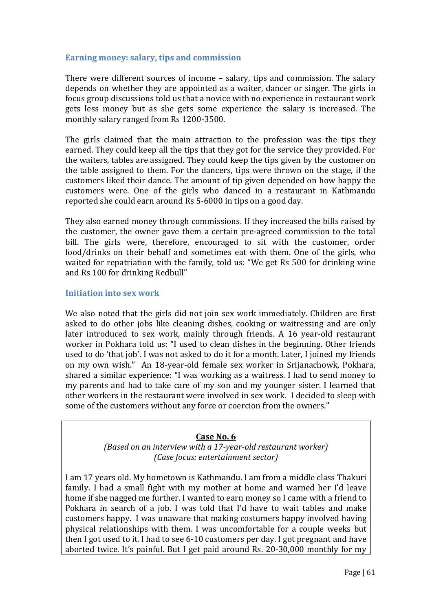#### **Earning money: salary, tips and commission**

There were different sources of income – salary, tips and commission. The salary depends on whether they are appointed as a waiter, dancer or singer. The girls in focus group discussions told us that a novice with no experience in restaurant work gets less money but as she gets some experience the salary is increased. The monthly salary ranged from Rs 1200-3500.

The girls claimed that the main attraction to the profession was the tips they earned. They could keep all the tips that they got for the service they provided. For the waiters, tables are assigned. They could keep the tips given by the customer on the table assigned to them. For the dancers, tips were thrown on the stage, if the customers liked their dance. The amount of tip given depended on how happy the customers were. One of the girls who danced in a restaurant in Kathmandu reported she could earn around Rs 5-6000 in tips on a good day.

They also earned money through commissions. If they increased the bills raised by the customer, the owner gave them a certain pre-agreed commission to the total bill. The girls were, therefore, encouraged to sit with the customer, order food/drinks on their behalf and sometimes eat with them. One of the girls, who waited for repatriation with the family, told us: "We get Rs 500 for drinking wine and Rs 100 for drinking Redbull"

#### **Initiation into sex work**

We also noted that the girls did not join sex work immediately. Children are first asked to do other jobs like cleaning dishes, cooking or waitressing and are only later introduced to sex work, mainly through friends. A 16 year-old restaurant worker in Pokhara told us: "I used to clean dishes in the beginning. Other friends used to do 'that job'. I was not asked to do it for a month. Later, I joined my friends on my own wish." An 18-year-old female sex worker in Srijanachowk, Pokhara, shared a similar experience: "I was working as a waitress. I had to send money to my parents and had to take care of my son and my younger sister. I learned that other workers in the restaurant were involved in sex work. I decided to sleep with some of the customers without any force or coercion from the owners."

#### **Case No. 6**

*(Based on an interview with a 17-year-old restaurant worker) (Case focus: entertainment sector)* 

I am 17 years old. My hometown is Kathmandu. I am from a middle class Thakuri family. I had a small fight with my mother at home and warned her I'd leave home if she nagged me further. I wanted to earn money so I came with a friend to Pokhara in search of a job. I was told that I'd have to wait tables and make customers happy. I was unaware that making costumers happy involved having physical relationships with them. I was uncomfortable for a couple weeks but then I got used to it. I had to see 6-10 customers per day. I got pregnant and have aborted twice. It's painful. But I get paid around Rs. 20-30,000 monthly for my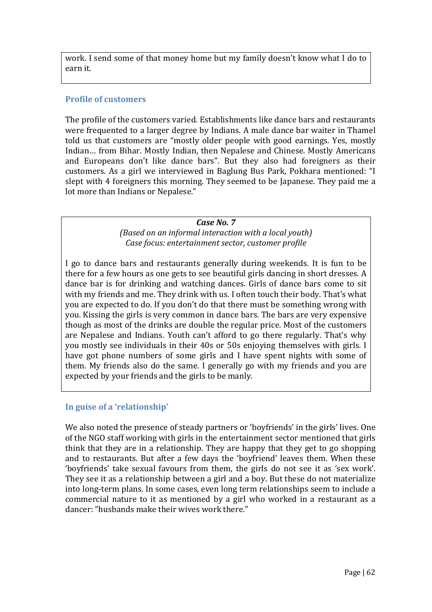work. I send some of that money home but my family doesn't know what I do to earn it.

## **Profile of customers**

The profile of the customers varied. Establishments like dance bars and restaurants were frequented to a larger degree by Indians. A male dance bar waiter in Thamel told us that customers are "mostly older people with good earnings. Yes, mostly Indian… from Bihar. Mostly Indian, then Nepalese and Chinese. Mostly Americans and Europeans don't like dance bars". But they also had foreigners as their customers. As a girl we interviewed in Baglung Bus Park, Pokhara mentioned: "I slept with 4 foreigners this morning. They seemed to be Japanese. They paid me a lot more than Indians or Nepalese."

#### *Case No. 7*

*(Based on an informal interaction with a local youth) Case focus: entertainment sector, customer profile* 

I go to dance bars and restaurants generally during weekends. It is fun to be there for a few hours as one gets to see beautiful girls dancing in short dresses. A dance bar is for drinking and watching dances. Girls of dance bars come to sit with my friends and me. They drink with us. I often touch their body. That's what you are expected to do. If you don't do that there must be something wrong with you. Kissing the girls is very common in dance bars. The bars are very expensive though as most of the drinks are double the regular price. Most of the customers are Nepalese and Indians. Youth can't afford to go there regularly. That's why you mostly see individuals in their 40s or 50s enjoying themselves with girls. I have got phone numbers of some girls and I have spent nights with some of them. My friends also do the same. I generally go with my friends and you are expected by your friends and the girls to be manly.

## **In guise of a 'relationship'**

We also noted the presence of steady partners or 'boyfriends' in the girls' lives. One of the NGO staff working with girls in the entertainment sector mentioned that girls think that they are in a relationship. They are happy that they get to go shopping and to restaurants. But after a few days the 'boyfriend' leaves them. When these 'boyfriends' take sexual favours from them, the girls do not see it as 'sex work'. They see it as a relationship between a girl and a boy. But these do not materialize into long-term plans. In some cases, even long term relationships seem to include a commercial nature to it as mentioned by a girl who worked in a restaurant as a dancer: "husbands make their wives work there."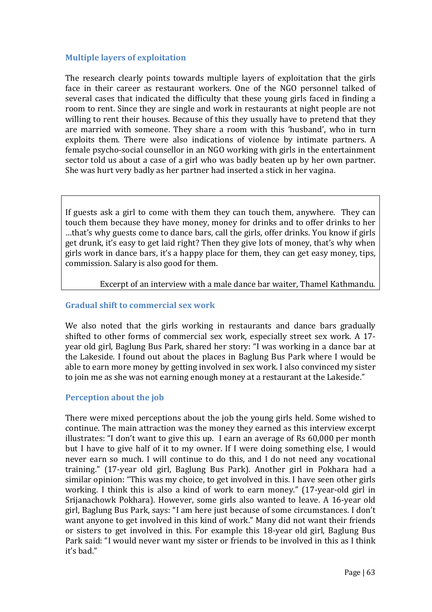### **Multiple layers of exploitation**

The research clearly points towards multiple layers of exploitation that the girls face in their career as restaurant workers. One of the NGO personnel talked of several cases that indicated the difficulty that these young girls faced in finding a room to rent. Since they are single and work in restaurants at night people are not willing to rent their houses. Because of this they usually have to pretend that they are married with someone. They share a room with this 'husband', who in turn exploits them. There were also indications of violence by intimate partners. A female psycho-social counsellor in an NGO working with girls in the entertainment sector told us about a case of a girl who was badly beaten up by her own partner. She was hurt very badly as her partner had inserted a stick in her vagina.

If guests ask a girl to come with them they can touch them, anywhere. They can touch them because they have money, money for drinks and to offer drinks to her …that's why guests come to dance bars, call the girls, offer drinks. You know if girls get drunk, it's easy to get laid right? Then they give lots of money, that's why when girls work in dance bars, it's a happy place for them, they can get easy money, tips, commission. Salary is also good for them.

#### Excerpt of an interview with a male dance bar waiter, Thamel Kathmandu.

### **Gradual shift to commercial sex work**

We also noted that the girls working in restaurants and dance bars gradually shifted to other forms of commercial sex work, especially street sex work. A 17 year old girl, Baglung Bus Park, shared her story: "I was working in a dance bar at the Lakeside. I found out about the places in Baglung Bus Park where I would be able to earn more money by getting involved in sex work. I also convinced my sister to join me as she was not earning enough money at a restaurant at the Lakeside."

## **Perception about the job**

There were mixed perceptions about the job the young girls held. Some wished to continue. The main attraction was the money they earned as this interview excerpt illustrates: "I don't want to give this up. I earn an average of Rs 60,000 per month but I have to give half of it to my owner. If I were doing something else, I would never earn so much. I will continue to do this, and I do not need any vocational training." (17-year old girl, Baglung Bus Park). Another girl in Pokhara had a similar opinion: "This was my choice, to get involved in this. I have seen other girls working. I think this is also a kind of work to earn money." (17-year-old girl in Srijanachowk Pokhara). However, some girls also wanted to leave. A 16-year old girl, Baglung Bus Park, says: "I am here just because of some circumstances. I don't want anyone to get involved in this kind of work." Many did not want their friends or sisters to get involved in this. For example this 18-year old girl, Baglung Bus Park said: "I would never want my sister or friends to be involved in this as I think it's bad."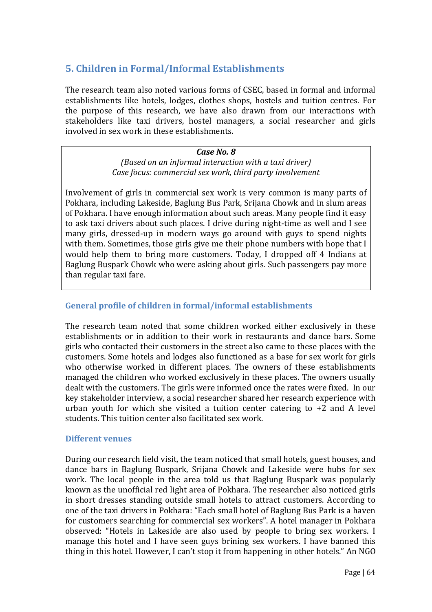# **5. Children in Formal/Informal Establishments**

The research team also noted various forms of CSEC, based in formal and informal establishments like hotels, lodges, clothes shops, hostels and tuition centres. For the purpose of this research, we have also drawn from our interactions with stakeholders like taxi drivers, hostel managers, a social researcher and girls involved in sex work in these establishments.

> *Case No. 8 (Based on an informal interaction with a taxi driver) Case focus: commercial sex work, third party involvement*

Involvement of girls in commercial sex work is very common is many parts of Pokhara, including Lakeside, Baglung Bus Park, Srijana Chowk and in slum areas of Pokhara. I have enough information about such areas. Many people find it easy to ask taxi drivers about such places. I drive during night-time as well and I see many girls, dressed-up in modern ways go around with guys to spend nights with them. Sometimes, those girls give me their phone numbers with hope that I would help them to bring more customers. Today, I dropped off 4 Indians at Baglung Buspark Chowk who were asking about girls. Such passengers pay more than regular taxi fare.

### **General profile of children in formal/informal establishments**

The research team noted that some children worked either exclusively in these establishments or in addition to their work in restaurants and dance bars. Some girls who contacted their customers in the street also came to these places with the customers. Some hotels and lodges also functioned as a base for sex work for girls who otherwise worked in different places. The owners of these establishments managed the children who worked exclusively in these places. The owners usually dealt with the customers. The girls were informed once the rates were fixed. In our key stakeholder interview, a social researcher shared her research experience with urban youth for which she visited a tuition center catering to +2 and A level students. This tuition center also facilitated sex work.

#### **Different venues**

During our research field visit, the team noticed that small hotels, guest houses, and dance bars in Baglung Buspark, Srijana Chowk and Lakeside were hubs for sex work. The local people in the area told us that Baglung Buspark was popularly known as the unofficial red light area of Pokhara. The researcher also noticed girls in short dresses standing outside small hotels to attract customers. According to one of the taxi drivers in Pokhara: "Each small hotel of Baglung Bus Park is a haven for customers searching for commercial sex workers". A hotel manager in Pokhara observed: "Hotels in Lakeside are also used by people to bring sex workers. I manage this hotel and I have seen guys brining sex workers. I have banned this thing in this hotel. However, I can't stop it from happening in other hotels." An NGO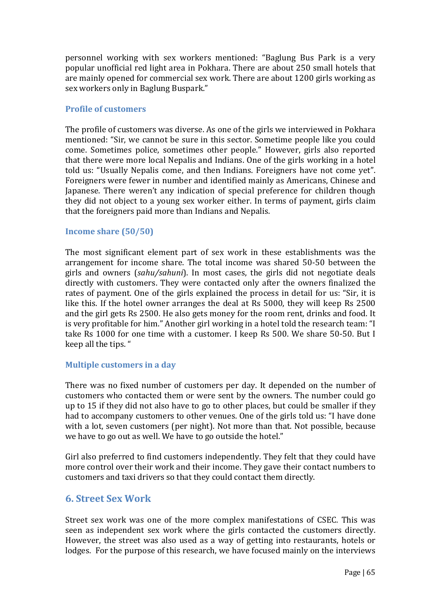personnel working with sex workers mentioned: "Baglung Bus Park is a very popular unofficial red light area in Pokhara. There are about 250 small hotels that are mainly opened for commercial sex work. There are about 1200 girls working as sex workers only in Baglung Buspark."

#### **Profile of customers**

The profile of customers was diverse. As one of the girls we interviewed in Pokhara mentioned: "Sir, we cannot be sure in this sector. Sometime people like you could come. Sometimes police, sometimes other people." However, girls also reported that there were more local Nepalis and Indians. One of the girls working in a hotel told us: "Usually Nepalis come, and then Indians. Foreigners have not come yet". Foreigners were fewer in number and identified mainly as Americans, Chinese and Japanese. There weren't any indication of special preference for children though they did not object to a young sex worker either. In terms of payment, girls claim that the foreigners paid more than Indians and Nepalis.

### **Income share (50/50)**

The most significant element part of sex work in these establishments was the arrangement for income share. The total income was shared 50-50 between the girls and owners (*sahu/sahuni*). In most cases, the girls did not negotiate deals directly with customers. They were contacted only after the owners finalized the rates of payment. One of the girls explained the process in detail for us: "Sir, it is like this. If the hotel owner arranges the deal at Rs 5000, they will keep Rs 2500 and the girl gets Rs 2500. He also gets money for the room rent, drinks and food. It is very profitable for him." Another girl working in a hotel told the research team: "I take Rs 1000 for one time with a customer. I keep Rs 500. We share 50-50. But I keep all the tips. "

## **Multiple customers in a day**

There was no fixed number of customers per day. It depended on the number of customers who contacted them or were sent by the owners. The number could go up to 15 if they did not also have to go to other places, but could be smaller if they had to accompany customers to other venues. One of the girls told us: "I have done with a lot, seven customers (per night). Not more than that. Not possible, because we have to go out as well. We have to go outside the hotel."

Girl also preferred to find customers independently. They felt that they could have more control over their work and their income. They gave their contact numbers to customers and taxi drivers so that they could contact them directly.

## **6. Street Sex Work**

Street sex work was one of the more complex manifestations of CSEC. This was seen as independent sex work where the girls contacted the customers directly. However, the street was also used as a way of getting into restaurants, hotels or lodges. For the purpose of this research, we have focused mainly on the interviews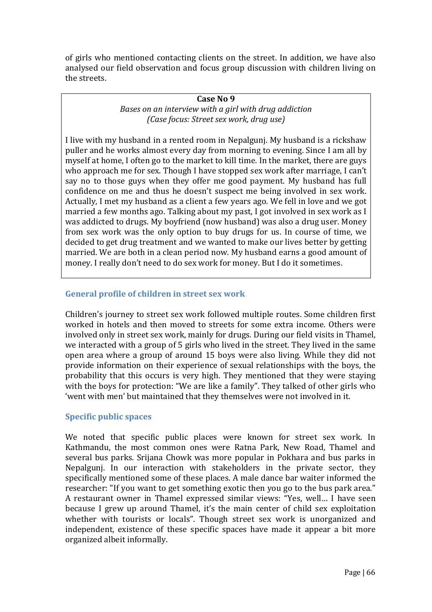of girls who mentioned contacting clients on the street. In addition, we have also analysed our field observation and focus group discussion with children living on the streets.

#### **Case No 9**

*Bases on an interview with a girl with drug addiction (Case focus: Street sex work, drug use)* 

I live with my husband in a rented room in Nepalgunj. My husband is a rickshaw puller and he works almost every day from morning to evening. Since I am all by myself at home, I often go to the market to kill time. In the market, there are guys who approach me for sex. Though I have stopped sex work after marriage, I can't say no to those guys when they offer me good payment. My husband has full confidence on me and thus he doesn't suspect me being involved in sex work. Actually, I met my husband as a client a few years ago. We fell in love and we got married a few months ago. Talking about my past, I got involved in sex work as I was addicted to drugs. My boyfriend (now husband) was also a drug user. Money from sex work was the only option to buy drugs for us. In course of time, we decided to get drug treatment and we wanted to make our lives better by getting married. We are both in a clean period now. My husband earns a good amount of money. I really don't need to do sex work for money. But I do it sometimes.

## **General profile of children in street sex work**

Children's journey to street sex work followed multiple routes. Some children first worked in hotels and then moved to streets for some extra income. Others were involved only in street sex work, mainly for drugs. During our field visits in Thamel, we interacted with a group of 5 girls who lived in the street. They lived in the same open area where a group of around 15 boys were also living. While they did not provide information on their experience of sexual relationships with the boys, the probability that this occurs is very high. They mentioned that they were staying with the boys for protection: "We are like a family". They talked of other girls who 'went with men' but maintained that they themselves were not involved in it.

## **Specific public spaces**

We noted that specific public places were known for street sex work. In Kathmandu, the most common ones were Ratna Park, New Road, Thamel and several bus parks. Srijana Chowk was more popular in Pokhara and bus parks in Nepalgunj. In our interaction with stakeholders in the private sector, they specifically mentioned some of these places. A male dance bar waiter informed the researcher: "If you want to get something exotic then you go to the bus park area." A restaurant owner in Thamel expressed similar views: "Yes, well… I have seen because I grew up around Thamel, it's the main center of child sex exploitation whether with tourists or locals". Though street sex work is unorganized and independent, existence of these specific spaces have made it appear a bit more organized albeit informally.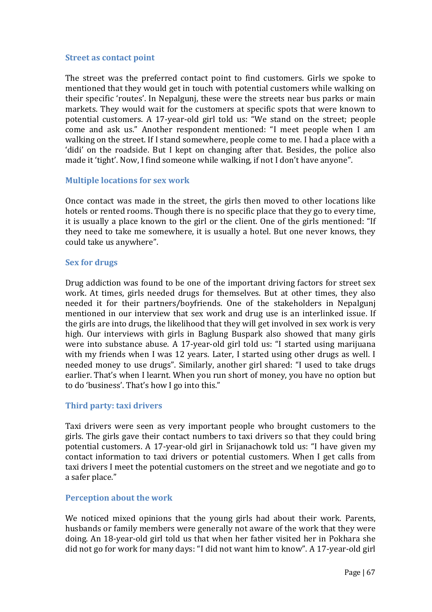#### **Street as contact point**

The street was the preferred contact point to find customers. Girls we spoke to mentioned that they would get in touch with potential customers while walking on their specific 'routes'. In Nepalgunj, these were the streets near bus parks or main markets. They would wait for the customers at specific spots that were known to potential customers. A 17-year-old girl told us: "We stand on the street; people come and ask us." Another respondent mentioned: "I meet people when I am walking on the street. If I stand somewhere, people come to me. I had a place with a 'didi' on the roadside. But I kept on changing after that. Besides, the police also made it 'tight'. Now, I find someone while walking, if not I don't have anyone".

#### **Multiple locations for sex work**

Once contact was made in the street, the girls then moved to other locations like hotels or rented rooms. Though there is no specific place that they go to every time, it is usually a place known to the girl or the client. One of the girls mentioned: "If they need to take me somewhere, it is usually a hotel. But one never knows, they could take us anywhere".

#### **Sex for drugs**

Drug addiction was found to be one of the important driving factors for street sex work. At times, girls needed drugs for themselves. But at other times, they also needed it for their partners/boyfriends. One of the stakeholders in Nepalgunj mentioned in our interview that sex work and drug use is an interlinked issue. If the girls are into drugs, the likelihood that they will get involved in sex work is very high. Our interviews with girls in Baglung Buspark also showed that many girls were into substance abuse. A 17-year-old girl told us: "I started using marijuana with my friends when I was 12 years. Later, I started using other drugs as well. I needed money to use drugs". Similarly, another girl shared: "I used to take drugs earlier. That's when I learnt. When you run short of money, you have no option but to do 'business'. That's how I go into this."

#### **Third party: taxi drivers**

Taxi drivers were seen as very important people who brought customers to the girls. The girls gave their contact numbers to taxi drivers so that they could bring potential customers. A 17-year-old girl in Srijanachowk told us: "I have given my contact information to taxi drivers or potential customers. When I get calls from taxi drivers I meet the potential customers on the street and we negotiate and go to a safer place."

#### **Perception about the work**

We noticed mixed opinions that the young girls had about their work. Parents, husbands or family members were generally not aware of the work that they were doing. An 18-year-old girl told us that when her father visited her in Pokhara she did not go for work for many days: "I did not want him to know". A 17-year-old girl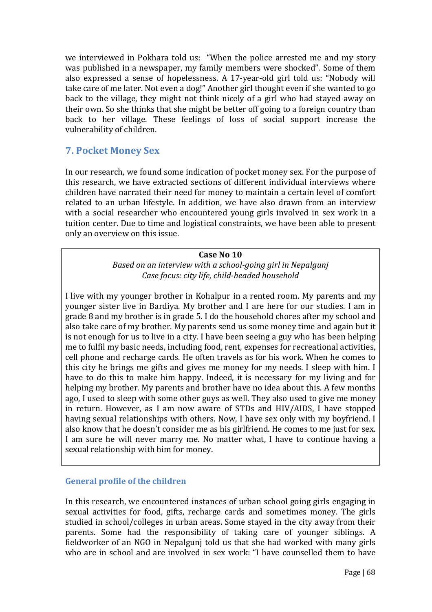we interviewed in Pokhara told us: "When the police arrested me and my story was published in a newspaper, my family members were shocked". Some of them also expressed a sense of hopelessness. A 17-year-old girl told us: "Nobody will take care of me later. Not even a dog!" Another girl thought even if she wanted to go back to the village, they might not think nicely of a girl who had stayed away on their own. So she thinks that she might be better off going to a foreign country than back to her village. These feelings of loss of social support increase the vulnerability of children.

# **7. Pocket Money Sex**

In our research, we found some indication of pocket money sex. For the purpose of this research, we have extracted sections of different individual interviews where children have narrated their need for money to maintain a certain level of comfort related to an urban lifestyle. In addition, we have also drawn from an interview with a social researcher who encountered young girls involved in sex work in a tuition center. Due to time and logistical constraints, we have been able to present only an overview on this issue.

### **Case No 10**

*Based on an interview with a school-going girl in Nepalgunj Case focus: city life, child-headed household* 

I live with my younger brother in Kohalpur in a rented room. My parents and my younger sister live in Bardiya. My brother and I are here for our studies. I am in grade 8 and my brother is in grade 5. I do the household chores after my school and also take care of my brother. My parents send us some money time and again but it is not enough for us to live in a city. I have been seeing a guy who has been helping me to fulfil my basic needs, including food, rent, expenses for recreational activities, cell phone and recharge cards. He often travels as for his work. When he comes to this city he brings me gifts and gives me money for my needs. I sleep with him. I have to do this to make him happy. Indeed, it is necessary for my living and for helping my brother. My parents and brother have no idea about this. A few months ago, I used to sleep with some other guys as well. They also used to give me money in return. However, as I am now aware of STDs and HIV/AIDS, I have stopped having sexual relationships with others. Now, I have sex only with my boyfriend. I also know that he doesn't consider me as his girlfriend. He comes to me just for sex. I am sure he will never marry me. No matter what, I have to continue having a sexual relationship with him for money.

## **General profile of the children**

In this research, we encountered instances of urban school going girls engaging in sexual activities for food, gifts, recharge cards and sometimes money. The girls studied in school/colleges in urban areas. Some stayed in the city away from their parents. Some had the responsibility of taking care of younger siblings. A fieldworker of an NGO in Nepalgunj told us that she had worked with many girls who are in school and are involved in sex work: "I have counselled them to have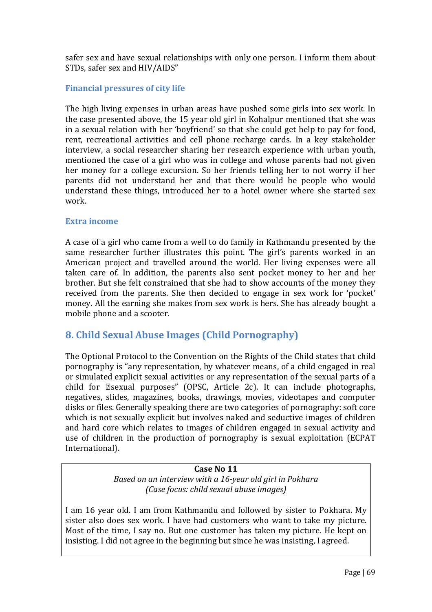safer sex and have sexual relationships with only one person. I inform them about STDs, safer sex and HIV/AIDS"

## **Financial pressures of city life**

The high living expenses in urban areas have pushed some girls into sex work. In the case presented above, the 15 year old girl in Kohalpur mentioned that she was in a sexual relation with her 'boyfriend' so that she could get help to pay for food, rent, recreational activities and cell phone recharge cards. In a key stakeholder interview, a social researcher sharing her research experience with urban youth, mentioned the case of a girl who was in college and whose parents had not given her money for a college excursion. So her friends telling her to not worry if her parents did not understand her and that there would be people who would understand these things, introduced her to a hotel owner where she started sex work.

## **Extra income**

A case of a girl who came from a well to do family in Kathmandu presented by the same researcher further illustrates this point. The girl's parents worked in an American project and travelled around the world. Her living expenses were all taken care of. In addition, the parents also sent pocket money to her and her brother. But she felt constrained that she had to show accounts of the money they received from the parents. She then decided to engage in sex work for 'pocket' money. All the earning she makes from sex work is hers. She has already bought a mobile phone and a scooter.

# **8. Child Sexual Abuse Images (Child Pornography)**

The Optional Protocol to the Convention on the Rights of the Child states that child pornography is "any representation, by whatever means, of a child engaged in real or simulated explicit sexual activities or any representation of the sexual parts of a child for **Esexual purposes**" (OPSC, Article 2c). It can include photographs, negatives, slides, magazines, books, drawings, movies, videotapes and computer disks or files. Generally speaking there are two categories of pornography: soft core which is not sexually explicit but involves naked and seductive images of children and hard core which relates to images of children engaged in sexual activity and use of children in the production of pornography is sexual exploitation (ECPAT International).

## **Case No 11**

*Based on an interview with a 16-year old girl in Pokhara (Case focus: child sexual abuse images)* 

I am 16 year old. I am from Kathmandu and followed by sister to Pokhara. My sister also does sex work. I have had customers who want to take my picture. Most of the time, I say no. But one customer has taken my picture. He kept on insisting. I did not agree in the beginning but since he was insisting, I agreed.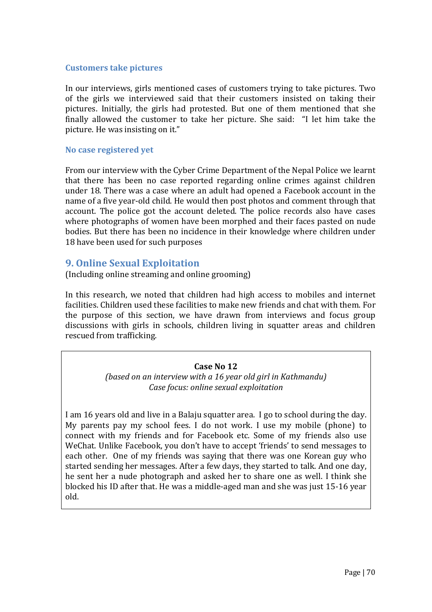#### **Customers take pictures**

In our interviews, girls mentioned cases of customers trying to take pictures. Two of the girls we interviewed said that their customers insisted on taking their pictures. Initially, the girls had protested. But one of them mentioned that she finally allowed the customer to take her picture. She said: "I let him take the picture. He was insisting on it."

#### **No case registered yet**

From our interview with the Cyber Crime Department of the Nepal Police we learnt that there has been no case reported regarding online crimes against children under 18. There was a case where an adult had opened a Facebook account in the name of a five year-old child. He would then post photos and comment through that account. The police got the account deleted. The police records also have cases where photographs of women have been morphed and their faces pasted on nude bodies. But there has been no incidence in their knowledge where children under 18 have been used for such purposes

## **9. Online Sexual Exploitation**

(Including online streaming and online grooming)

In this research, we noted that children had high access to mobiles and internet facilities. Children used these facilities to make new friends and chat with them. For the purpose of this section, we have drawn from interviews and focus group discussions with girls in schools, children living in squatter areas and children rescued from trafficking.

### **Case No 12**

*(based on an interview with a 16 year old girl in Kathmandu) Case focus: online sexual exploitation* 

I am 16 years old and live in a Balaju squatter area. I go to school during the day. My parents pay my school fees. I do not work. I use my mobile (phone) to connect with my friends and for Facebook etc. Some of my friends also use WeChat. Unlike Facebook, you don't have to accept 'friends' to send messages to each other. One of my friends was saying that there was one Korean guy who started sending her messages. After a few days, they started to talk. And one day, he sent her a nude photograph and asked her to share one as well. I think she blocked his ID after that. He was a middle-aged man and she was just 15-16 year old.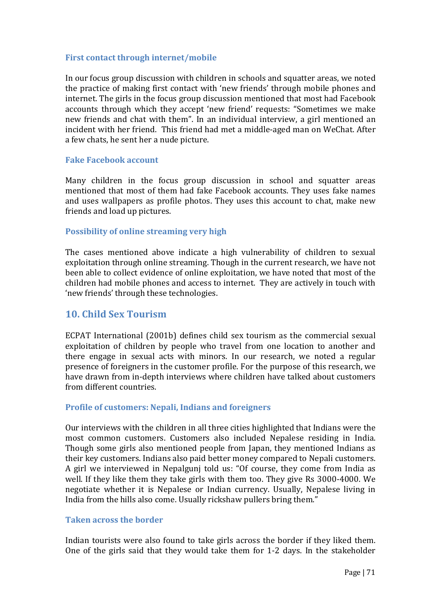#### **First contact through internet/mobile**

In our focus group discussion with children in schools and squatter areas, we noted the practice of making first contact with 'new friends' through mobile phones and internet. The girls in the focus group discussion mentioned that most had Facebook accounts through which they accept 'new friend' requests: "Sometimes we make new friends and chat with them". In an individual interview, a girl mentioned an incident with her friend. This friend had met a middle-aged man on WeChat. After a few chats, he sent her a nude picture.

### **Fake Facebook account**

Many children in the focus group discussion in school and squatter areas mentioned that most of them had fake Facebook accounts. They uses fake names and uses wallpapers as profile photos. They uses this account to chat, make new friends and load up pictures.

### **Possibility of online streaming very high**

The cases mentioned above indicate a high vulnerability of children to sexual exploitation through online streaming. Though in the current research, we have not been able to collect evidence of online exploitation, we have noted that most of the children had mobile phones and access to internet. They are actively in touch with 'new friends' through these technologies.

## **10. Child Sex Tourism**

ECPAT International (2001b) defines child sex tourism as the commercial sexual exploitation of children by people who travel from one location to another and there engage in sexual acts with minors. In our research, we noted a regular presence of foreigners in the customer profile. For the purpose of this research, we have drawn from in-depth interviews where children have talked about customers from different countries.

#### **Profile of customers: Nepali, Indians and foreigners**

Our interviews with the children in all three cities highlighted that Indians were the most common customers. Customers also included Nepalese residing in India. Though some girls also mentioned people from Japan, they mentioned Indians as their key customers. Indians also paid better money compared to Nepali customers. A girl we interviewed in Nepalgunj told us: "Of course, they come from India as well. If they like them they take girls with them too. They give Rs 3000-4000. We negotiate whether it is Nepalese or Indian currency. Usually, Nepalese living in India from the hills also come. Usually rickshaw pullers bring them."

#### **Taken across the border**

Indian tourists were also found to take girls across the border if they liked them. One of the girls said that they would take them for 1-2 days. In the stakeholder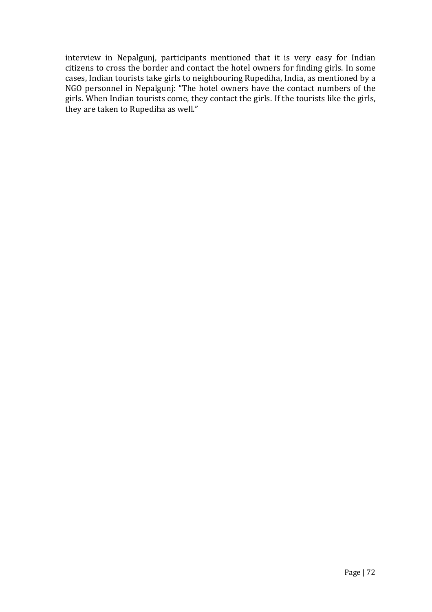interview in Nepalgunj, participants mentioned that it is very easy for Indian citizens to cross the border and contact the hotel owners for finding girls. In some cases, Indian tourists take girls to neighbouring Rupediha, India, as mentioned by a NGO personnel in Nepalgunj: "The hotel owners have the contact numbers of the girls. When Indian tourists come, they contact the girls. If the tourists like the girls, they are taken to Rupediha as well."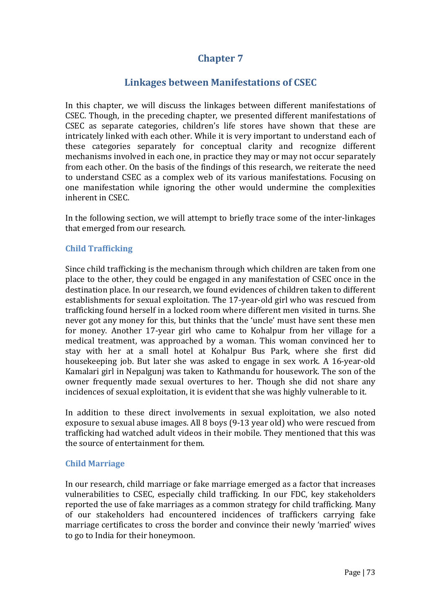# **Chapter 7**

# **Linkages between Manifestations of CSEC**

In this chapter, we will discuss the linkages between different manifestations of CSEC. Though, in the preceding chapter, we presented different manifestations of CSEC as separate categories, children's life stores have shown that these are intricately linked with each other. While it is very important to understand each of these categories separately for conceptual clarity and recognize different mechanisms involved in each one, in practice they may or may not occur separately from each other. On the basis of the findings of this research, we reiterate the need to understand CSEC as a complex web of its various manifestations. Focusing on one manifestation while ignoring the other would undermine the complexities inherent in CSEC.

In the following section, we will attempt to briefly trace some of the inter-linkages that emerged from our research.

## **Child Trafficking**

Since child trafficking is the mechanism through which children are taken from one place to the other, they could be engaged in any manifestation of CSEC once in the destination place. In our research, we found evidences of children taken to different establishments for sexual exploitation. The 17-year-old girl who was rescued from trafficking found herself in a locked room where different men visited in turns. She never got any money for this, but thinks that the 'uncle' must have sent these men for money. Another 17-year girl who came to Kohalpur from her village for a medical treatment, was approached by a woman. This woman convinced her to stay with her at a small hotel at Kohalpur Bus Park, where she first did housekeeping job. But later she was asked to engage in sex work. A 16-year-old Kamalari girl in Nepalgunj was taken to Kathmandu for housework. The son of the owner frequently made sexual overtures to her. Though she did not share any incidences of sexual exploitation, it is evident that she was highly vulnerable to it.

In addition to these direct involvements in sexual exploitation, we also noted exposure to sexual abuse images. All 8 boys (9-13 year old) who were rescued from trafficking had watched adult videos in their mobile. They mentioned that this was the source of entertainment for them.

### **Child Marriage**

In our research, child marriage or fake marriage emerged as a factor that increases vulnerabilities to CSEC, especially child trafficking. In our FDC, key stakeholders reported the use of fake marriages as a common strategy for child trafficking. Many of our stakeholders had encountered incidences of traffickers carrying fake marriage certificates to cross the border and convince their newly 'married' wives to go to India for their honeymoon.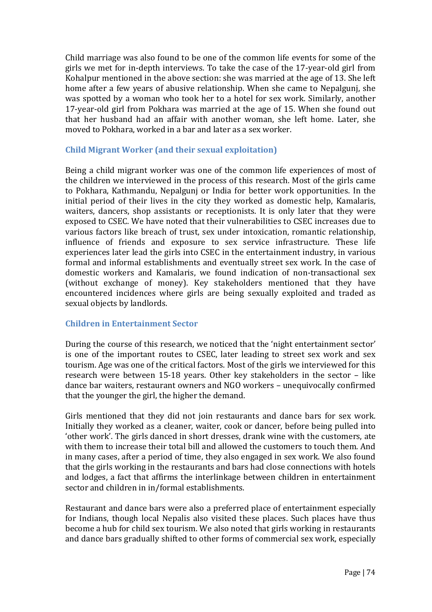Child marriage was also found to be one of the common life events for some of the girls we met for in-depth interviews. To take the case of the 17-year-old girl from Kohalpur mentioned in the above section: she was married at the age of 13. She left home after a few years of abusive relationship. When she came to Nepalgunj, she was spotted by a woman who took her to a hotel for sex work. Similarly, another 17-year-old girl from Pokhara was married at the age of 15. When she found out that her husband had an affair with another woman, she left home. Later, she moved to Pokhara, worked in a bar and later as a sex worker.

## **Child Migrant Worker (and their sexual exploitation)**

Being a child migrant worker was one of the common life experiences of most of the children we interviewed in the process of this research. Most of the girls came to Pokhara, Kathmandu, Nepalgunj or India for better work opportunities. In the initial period of their lives in the city they worked as domestic help, Kamalaris, waiters, dancers, shop assistants or receptionists. It is only later that they were exposed to CSEC. We have noted that their vulnerabilities to CSEC increases due to various factors like breach of trust, sex under intoxication, romantic relationship, influence of friends and exposure to sex service infrastructure. These life experiences later lead the girls into CSEC in the entertainment industry, in various formal and informal establishments and eventually street sex work. In the case of domestic workers and Kamalaris, we found indication of non-transactional sex (without exchange of money). Key stakeholders mentioned that they have encountered incidences where girls are being sexually exploited and traded as sexual objects by landlords.

### **Children in Entertainment Sector**

During the course of this research, we noticed that the 'night entertainment sector' is one of the important routes to CSEC, later leading to street sex work and sex tourism. Age was one of the critical factors. Most of the girls we interviewed for this research were between 15-18 years. Other key stakeholders in the sector – like dance bar waiters, restaurant owners and NGO workers – unequivocally confirmed that the younger the girl, the higher the demand.

Girls mentioned that they did not join restaurants and dance bars for sex work. Initially they worked as a cleaner, waiter, cook or dancer, before being pulled into 'other work'. The girls danced in short dresses, drank wine with the customers, ate with them to increase their total bill and allowed the customers to touch them. And in many cases, after a period of time, they also engaged in sex work. We also found that the girls working in the restaurants and bars had close connections with hotels and lodges, a fact that affirms the interlinkage between children in entertainment sector and children in in/formal establishments.

Restaurant and dance bars were also a preferred place of entertainment especially for Indians, though local Nepalis also visited these places. Such places have thus become a hub for child sex tourism. We also noted that girls working in restaurants and dance bars gradually shifted to other forms of commercial sex work, especially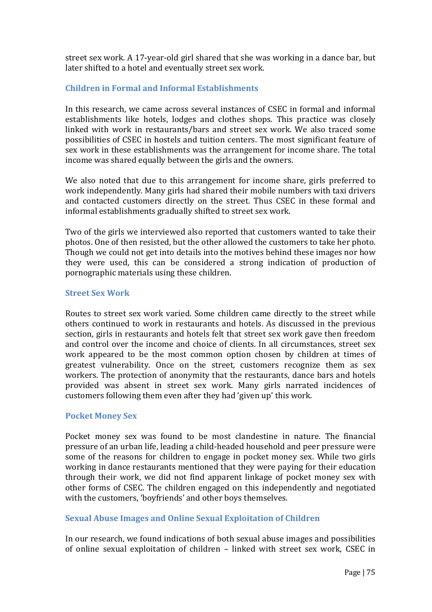street sex work. A 17-year-old girl shared that she was working in a dance bar, but later shifted to a hotel and eventually street sex work.

### **Children in Formal and Informal Establishments**

In this research, we came across several instances of CSEC in formal and informal establishments like hotels, lodges and clothes shops. This practice was closely linked with work in restaurants/bars and street sex work. We also traced some possibilities of CSEC in hostels and tuition centers. The most significant feature of sex work in these establishments was the arrangement for income share. The total income was shared equally between the girls and the owners.

We also noted that due to this arrangement for income share, girls preferred to work independently. Many girls had shared their mobile numbers with taxi drivers and contacted customers directly on the street. Thus CSEC in these formal and informal establishments gradually shifted to street sex work.

Two of the girls we interviewed also reported that customers wanted to take their photos. One of then resisted, but the other allowed the customers to take her photo. Though we could not get into details into the motives behind these images nor how they were used, this can be considered a strong indication of production of pornographic materials using these children.

### **Street Sex Work**

Routes to street sex work varied. Some children came directly to the street while others continued to work in restaurants and hotels. As discussed in the previous section, girls in restaurants and hotels felt that street sex work gave then freedom and control over the income and choice of clients. In all circumstances, street sex work appeared to be the most common option chosen by children at times of greatest vulnerability. Once on the street, customers recognize them as sex workers. The protection of anonymity that the restaurants, dance bars and hotels provided was absent in street sex work. Many girls narrated incidences of customers following them even after they had 'given up' this work.

### **Pocket Money Sex**

Pocket money sex was found to be most clandestine in nature. The financial pressure of an urban life, leading a child-headed household and peer pressure were some of the reasons for children to engage in pocket money sex. While two girls working in dance restaurants mentioned that they were paying for their education through their work, we did not find apparent linkage of pocket money sex with other forms of CSEC. The children engaged on this independently and negotiated with the customers, 'boyfriends' and other boys themselves.

## **Sexual Abuse Images and Online Sexual Exploitation of Children**

In our research, we found indications of both sexual abuse images and possibilities of online sexual exploitation of children – linked with street sex work, CSEC in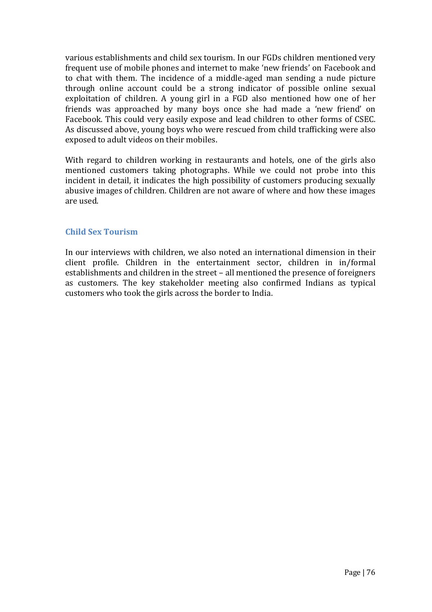various establishments and child sex tourism. In our FGDs children mentioned very frequent use of mobile phones and internet to make 'new friends' on Facebook and to chat with them. The incidence of a middle-aged man sending a nude picture through online account could be a strong indicator of possible online sexual exploitation of children. A young girl in a FGD also mentioned how one of her friends was approached by many boys once she had made a 'new friend' on Facebook. This could very easily expose and lead children to other forms of CSEC. As discussed above, young boys who were rescued from child trafficking were also exposed to adult videos on their mobiles.

With regard to children working in restaurants and hotels, one of the girls also mentioned customers taking photographs. While we could not probe into this incident in detail, it indicates the high possibility of customers producing sexually abusive images of children. Children are not aware of where and how these images are used.

## **Child Sex Tourism**

In our interviews with children, we also noted an international dimension in their client profile. Children in the entertainment sector, children in in/formal establishments and children in the street – all mentioned the presence of foreigners as customers. The key stakeholder meeting also confirmed Indians as typical customers who took the girls across the border to India.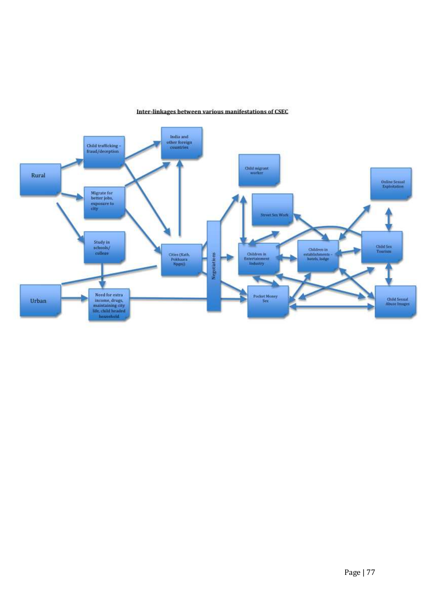

## Inter-linkages between various manifestations of CSEC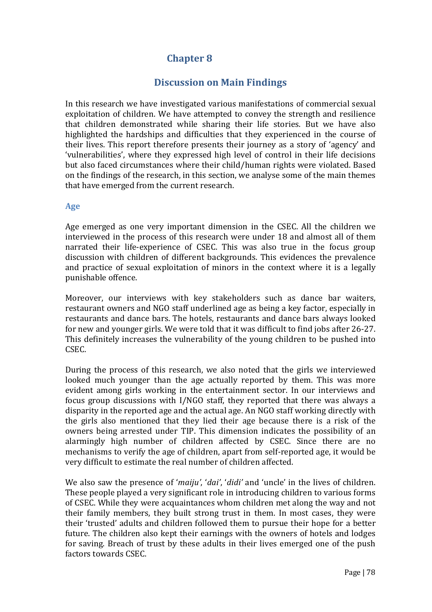# **Chapter 8**

# **Discussion on Main Findings**

In this research we have investigated various manifestations of commercial sexual exploitation of children. We have attempted to convey the strength and resilience that children demonstrated while sharing their life stories. But we have also highlighted the hardships and difficulties that they experienced in the course of their lives. This report therefore presents their journey as a story of 'agency' and 'vulnerabilities', where they expressed high level of control in their life decisions but also faced circumstances where their child/human rights were violated. Based on the findings of the research, in this section, we analyse some of the main themes that have emerged from the current research.

## **Age**

Age emerged as one very important dimension in the CSEC. All the children we interviewed in the process of this research were under 18 and almost all of them narrated their life-experience of CSEC. This was also true in the focus group discussion with children of different backgrounds. This evidences the prevalence and practice of sexual exploitation of minors in the context where it is a legally punishable offence.

Moreover, our interviews with key stakeholders such as dance bar waiters, restaurant owners and NGO staff underlined age as being a key factor, especially in restaurants and dance bars. The hotels, restaurants and dance bars always looked for new and younger girls. We were told that it was difficult to find jobs after 26-27. This definitely increases the vulnerability of the young children to be pushed into CSEC.

During the process of this research, we also noted that the girls we interviewed looked much younger than the age actually reported by them. This was more evident among girls working in the entertainment sector. In our interviews and focus group discussions with I/NGO staff, they reported that there was always a disparity in the reported age and the actual age. An NGO staff working directly with the girls also mentioned that they lied their age because there is a risk of the owners being arrested under TIP. This dimension indicates the possibility of an alarmingly high number of children affected by CSEC. Since there are no mechanisms to verify the age of children, apart from self-reported age, it would be very difficult to estimate the real number of children affected.

We also saw the presence of '*maiju'*, '*dai'*, '*didi'* and 'uncle' in the lives of children. These people played a very significant role in introducing children to various forms of CSEC. While they were acquaintances whom children met along the way and not their family members, they built strong trust in them. In most cases, they were their 'trusted' adults and children followed them to pursue their hope for a better future. The children also kept their earnings with the owners of hotels and lodges for saving. Breach of trust by these adults in their lives emerged one of the push factors towards CSEC.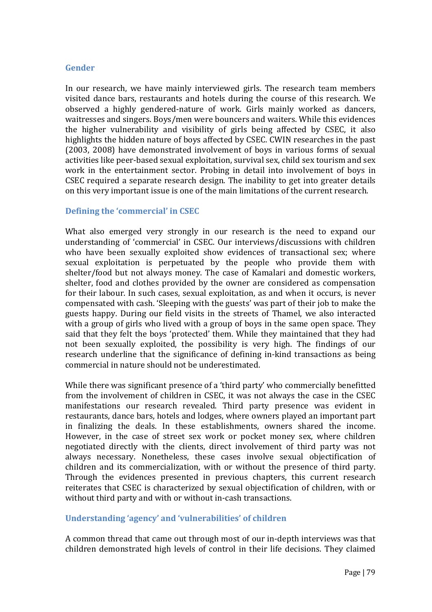### **Gender**

In our research, we have mainly interviewed girls. The research team members visited dance bars, restaurants and hotels during the course of this research. We observed a highly gendered-nature of work. Girls mainly worked as dancers, waitresses and singers. Boys/men were bouncers and waiters. While this evidences the higher vulnerability and visibility of girls being affected by CSEC, it also highlights the hidden nature of boys affected by CSEC. CWIN researches in the past (2003, 2008) have demonstrated involvement of boys in various forms of sexual activities like peer-based sexual exploitation, survival sex, child sex tourism and sex work in the entertainment sector. Probing in detail into involvement of boys in CSEC required a separate research design. The inability to get into greater details on this very important issue is one of the main limitations of the current research.

## **Defining the 'commercial' in CSEC**

What also emerged very strongly in our research is the need to expand our understanding of 'commercial' in CSEC. Our interviews/discussions with children who have been sexually exploited show evidences of transactional sex; where sexual exploitation is perpetuated by the people who provide them with shelter/food but not always money. The case of Kamalari and domestic workers, shelter, food and clothes provided by the owner are considered as compensation for their labour. In such cases, sexual exploitation, as and when it occurs, is never compensated with cash. 'Sleeping with the guests' was part of their job to make the guests happy. During our field visits in the streets of Thamel, we also interacted with a group of girls who lived with a group of boys in the same open space. They said that they felt the boys 'protected' them. While they maintained that they had not been sexually exploited, the possibility is very high. The findings of our research underline that the significance of defining in-kind transactions as being commercial in nature should not be underestimated.

While there was significant presence of a 'third party' who commercially benefitted from the involvement of children in CSEC, it was not always the case in the CSEC manifestations our research revealed. Third party presence was evident in restaurants, dance bars, hotels and lodges, where owners played an important part in finalizing the deals. In these establishments, owners shared the income. However, in the case of street sex work or pocket money sex, where children negotiated directly with the clients, direct involvement of third party was not always necessary. Nonetheless, these cases involve sexual objectification of children and its commercialization, with or without the presence of third party. Through the evidences presented in previous chapters, this current research reiterates that CSEC is characterized by sexual objectification of children, with or without third party and with or without in-cash transactions.

## **Understanding 'agency' and 'vulnerabilities' of children**

A common thread that came out through most of our in-depth interviews was that children demonstrated high levels of control in their life decisions. They claimed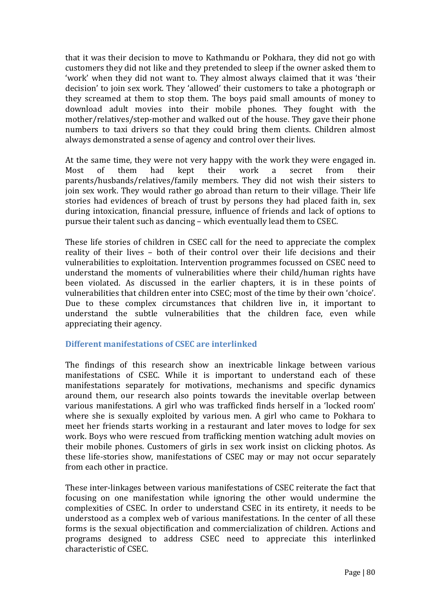that it was their decision to move to Kathmandu or Pokhara, they did not go with customers they did not like and they pretended to sleep if the owner asked them to 'work' when they did not want to. They almost always claimed that it was 'their decision' to join sex work. They 'allowed' their customers to take a photograph or they screamed at them to stop them. The boys paid small amounts of money to download adult movies into their mobile phones. They fought with the mother/relatives/step-mother and walked out of the house. They gave their phone numbers to taxi drivers so that they could bring them clients. Children almost always demonstrated a sense of agency and control over their lives.

At the same time, they were not very happy with the work they were engaged in. Most of them had kept their work a secret from their parents/husbands/relatives/family members. They did not wish their sisters to join sex work. They would rather go abroad than return to their village. Their life stories had evidences of breach of trust by persons they had placed faith in, sex during intoxication, financial pressure, influence of friends and lack of options to pursue their talent such as dancing – which eventually lead them to CSEC.

These life stories of children in CSEC call for the need to appreciate the complex reality of their lives – both of their control over their life decisions and their vulnerabilities to exploitation. Intervention programmes focussed on CSEC need to understand the moments of vulnerabilities where their child/human rights have been violated. As discussed in the earlier chapters, it is in these points of vulnerabilities that children enter into CSEC; most of the time by their own 'choice'. Due to these complex circumstances that children live in, it important to understand the subtle vulnerabilities that the children face, even while appreciating their agency.

## **Different manifestations of CSEC are interlinked**

The findings of this research show an inextricable linkage between various manifestations of CSEC. While it is important to understand each of these manifestations separately for motivations, mechanisms and specific dynamics around them, our research also points towards the inevitable overlap between various manifestations. A girl who was trafficked finds herself in a 'locked room' where she is sexually exploited by various men. A girl who came to Pokhara to meet her friends starts working in a restaurant and later moves to lodge for sex work. Boys who were rescued from trafficking mention watching adult movies on their mobile phones. Customers of girls in sex work insist on clicking photos. As these life-stories show, manifestations of CSEC may or may not occur separately from each other in practice.

These inter-linkages between various manifestations of CSEC reiterate the fact that focusing on one manifestation while ignoring the other would undermine the complexities of CSEC. In order to understand CSEC in its entirety, it needs to be understood as a complex web of various manifestations. In the center of all these forms is the sexual objectification and commercialization of children. Actions and programs designed to address CSEC need to appreciate this interlinked characteristic of CSEC.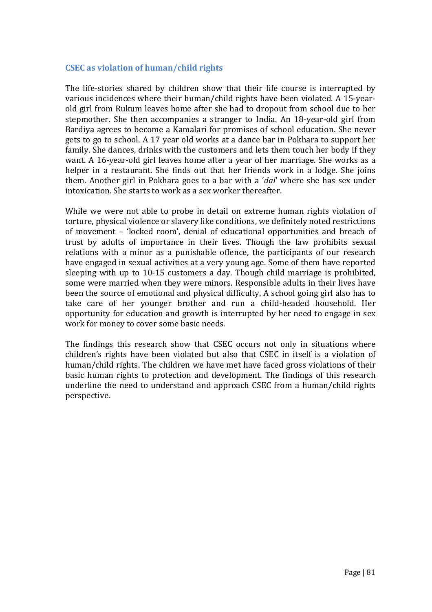### **CSEC as violation of human/child rights**

The life-stories shared by children show that their life course is interrupted by various incidences where their human/child rights have been violated. A 15-yearold girl from Rukum leaves home after she had to dropout from school due to her stepmother. She then accompanies a stranger to India. An 18-year-old girl from Bardiya agrees to become a Kamalari for promises of school education. She never gets to go to school. A 17 year old works at a dance bar in Pokhara to support her family. She dances, drinks with the customers and lets them touch her body if they want. A 16-year-old girl leaves home after a year of her marriage. She works as a helper in a restaurant. She finds out that her friends work in a lodge. She joins them. Another girl in Pokhara goes to a bar with a '*dai*' where she has sex under intoxication. She starts to work as a sex worker thereafter.

While we were not able to probe in detail on extreme human rights violation of torture, physical violence or slavery like conditions, we definitely noted restrictions of movement – 'locked room', denial of educational opportunities and breach of trust by adults of importance in their lives. Though the law prohibits sexual relations with a minor as a punishable offence, the participants of our research have engaged in sexual activities at a very young age. Some of them have reported sleeping with up to 10-15 customers a day. Though child marriage is prohibited, some were married when they were minors. Responsible adults in their lives have been the source of emotional and physical difficulty. A school going girl also has to take care of her younger brother and run a child-headed household. Her opportunity for education and growth is interrupted by her need to engage in sex work for money to cover some basic needs.

The findings this research show that CSEC occurs not only in situations where children's rights have been violated but also that CSEC in itself is a violation of human/child rights. The children we have met have faced gross violations of their basic human rights to protection and development. The findings of this research underline the need to understand and approach CSEC from a human/child rights perspective.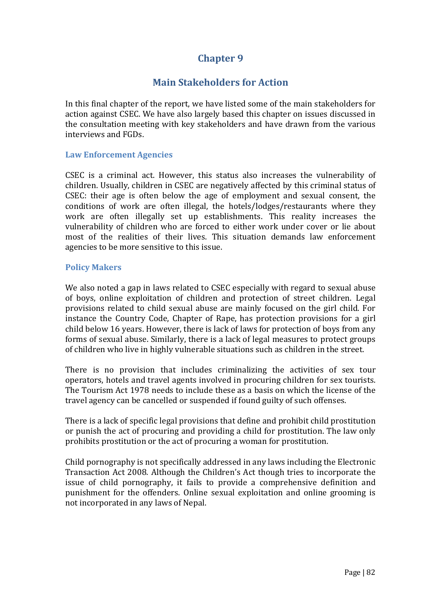# **Chapter 9**

# **Main Stakeholders for Action**

In this final chapter of the report, we have listed some of the main stakeholders for action against CSEC. We have also largely based this chapter on issues discussed in the consultation meeting with key stakeholders and have drawn from the various interviews and FGDs.

### **Law Enforcement Agencies**

CSEC is a criminal act. However, this status also increases the vulnerability of children. Usually, children in CSEC are negatively affected by this criminal status of CSEC: their age is often below the age of employment and sexual consent, the conditions of work are often illegal, the hotels/lodges/restaurants where they work are often illegally set up establishments. This reality increases the vulnerability of children who are forced to either work under cover or lie about most of the realities of their lives. This situation demands law enforcement agencies to be more sensitive to this issue.

### **Policy Makers**

We also noted a gap in laws related to CSEC especially with regard to sexual abuse of boys, online exploitation of children and protection of street children. Legal provisions related to child sexual abuse are mainly focused on the girl child. For instance the Country Code, Chapter of Rape, has protection provisions for a girl child below 16 years. However, there is lack of laws for protection of boys from any forms of sexual abuse. Similarly, there is a lack of legal measures to protect groups of children who live in highly vulnerable situations such as children in the street.

There is no provision that includes criminalizing the activities of sex tour operators, hotels and travel agents involved in procuring children for sex tourists. The Tourism Act 1978 needs to include these as a basis on which the license of the travel agency can be cancelled or suspended if found guilty of such offenses.

There is a lack of specific legal provisions that define and prohibit child prostitution or punish the act of procuring and providing a child for prostitution. The law only prohibits prostitution or the act of procuring a woman for prostitution.

Child pornography is not specifically addressed in any laws including the Electronic Transaction Act 2008. Although the Children's Act though tries to incorporate the issue of child pornography, it fails to provide a comprehensive definition and punishment for the offenders. Online sexual exploitation and online grooming is not incorporated in any laws of Nepal.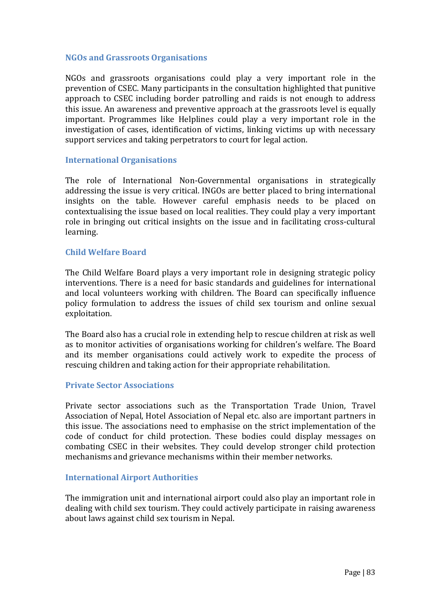### **NGOs and Grassroots Organisations**

NGOs and grassroots organisations could play a very important role in the prevention of CSEC. Many participants in the consultation highlighted that punitive approach to CSEC including border patrolling and raids is not enough to address this issue. An awareness and preventive approach at the grassroots level is equally important. Programmes like Helplines could play a very important role in the investigation of cases, identification of victims, linking victims up with necessary support services and taking perpetrators to court for legal action.

#### **International Organisations**

The role of International Non-Governmental organisations in strategically addressing the issue is very critical. INGOs are better placed to bring international insights on the table. However careful emphasis needs to be placed on contextualising the issue based on local realities. They could play a very important role in bringing out critical insights on the issue and in facilitating cross-cultural learning.

#### **Child Welfare Board**

The Child Welfare Board plays a very important role in designing strategic policy interventions. There is a need for basic standards and guidelines for international and local volunteers working with children. The Board can specifically influence policy formulation to address the issues of child sex tourism and online sexual exploitation.

The Board also has a crucial role in extending help to rescue children at risk as well as to monitor activities of organisations working for children's welfare. The Board and its member organisations could actively work to expedite the process of rescuing children and taking action for their appropriate rehabilitation.

### **Private Sector Associations**

Private sector associations such as the Transportation Trade Union, Travel Association of Nepal, Hotel Association of Nepal etc. also are important partners in this issue. The associations need to emphasise on the strict implementation of the code of conduct for child protection. These bodies could display messages on combating CSEC in their websites. They could develop stronger child protection mechanisms and grievance mechanisms within their member networks.

### **International Airport Authorities**

The immigration unit and international airport could also play an important role in dealing with child sex tourism. They could actively participate in raising awareness about laws against child sex tourism in Nepal.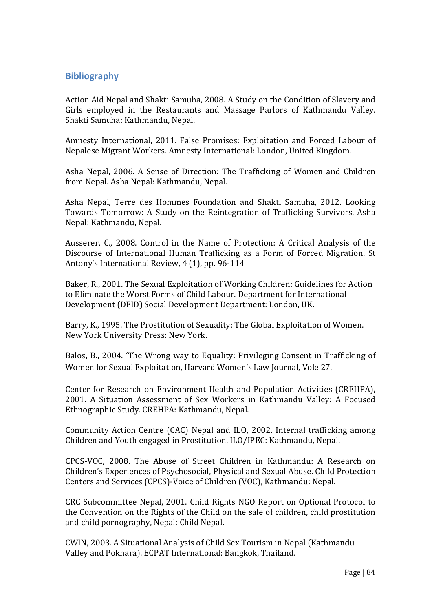## **Bibliography**

Action Aid Nepal and Shakti Samuha, 2008. A Study on the Condition of Slavery and Girls employed in the Restaurants and Massage Parlors of Kathmandu Valley. Shakti Samuha: Kathmandu, Nepal.

Amnesty International, 2011. False Promises: Exploitation and Forced Labour of Nepalese Migrant Workers. Amnesty International: London, United Kingdom.

Asha Nepal, 2006. A Sense of Direction: The Trafficking of Women and Children from Nepal. Asha Nepal: Kathmandu, Nepal.

Asha Nepal, Terre des Hommes Foundation and Shakti Samuha, 2012. Looking Towards Tomorrow: A Study on the Reintegration of Trafficking Survivors. Asha Nepal: Kathmandu, Nepal.

Ausserer, C., 2008. Control in the Name of Protection: A Critical Analysis of the Discourse of International Human Trafficking as a Form of Forced Migration. St Antony's International Review, 4 (1), pp. 96-114

Baker, R., 2001. The Sexual Exploitation of Working Children: Guidelines for Action to Eliminate the Worst Forms of Child Labour. Department for International Development (DFID) Social Development Department: London, UK.

Barry, K., 1995. The Prostitution of Sexuality: The Global Exploitation of Women. New York University Press: New York.

Balos, B., 2004. 'The Wrong way to Equality: Privileging Consent in Trafficking of Women for Sexual Exploitation, Harvard Women's Law Journal, Vole 27.

Center for Research on Environment Health and Population Activities (CREHPA)**,** 2001. A Situation Assessment of Sex Workers in Kathmandu Valley: A Focused Ethnographic Study. CREHPA: Kathmandu, Nepal.

Community Action Centre (CAC) Nepal and ILO, 2002. Internal trafficking among Children and Youth engaged in Prostitution. ILO/IPEC: Kathmandu, Nepal.

CPCS-VOC, 2008. The Abuse of Street Children in Kathmandu: A Research on Children's Experiences of Psychosocial, Physical and Sexual Abuse. Child Protection Centers and Services (CPCS)-Voice of Children (VOC), Kathmandu: Nepal.

CRC Subcommittee Nepal, 2001. Child Rights NGO Report on Optional Protocol to the Convention on the Rights of the Child on the sale of children, child prostitution and child pornography, Nepal: Child Nepal.

CWIN, 2003. A Situational Analysis of Child Sex Tourism in Nepal (Kathmandu Valley and Pokhara). ECPAT International: Bangkok, Thailand.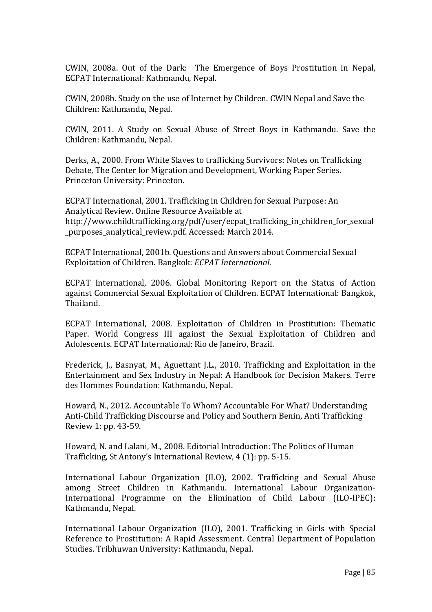CWIN, 2008a. Out of the Dark: The Emergence of Boys Prostitution in Nepal, ECPAT International: Kathmandu, Nepal.

CWIN, 2008b. Study on the use of Internet by Children. CWIN Nepal and Save the Children: Kathmandu, Nepal.

CWIN, 2011. A Study on Sexual Abuse of Street Boys in Kathmandu. Save the Children: Kathmandu, Nepal.

Derks, A., 2000. From White Slaves to trafficking Survivors: Notes on Trafficking Debate, The Center for Migration and Development, Working Paper Series. Princeton University: Princeton.

ECPAT International, 2001. Trafficking in Children for Sexual Purpose: An Analytical Review. Online Resource Available at http://www.childtrafficking.org/pdf/user/ecpat\_trafficking\_in\_children\_for\_sexual purposes analytical review.pdf. Accessed: March 2014.

ECPAT International, 2001b. Questions and Answers about Commercial Sexual Exploitation of Children. Bangkok: *ECPAT International.*

ECPAT International, 2006. Global Monitoring Report on the Status of Action against Commercial Sexual Exploitation of Children. ECPAT International: Bangkok, Thailand.

ECPAT International, 2008. Exploitation of Children in Prostitution: Thematic Paper. World Congress III against the Sexual Exploitation of Children and Adolescents. ECPAT International: Rio de Janeiro, Brazil.

Frederick, J., Basnyat, M., Aguettant J.L., 2010. Trafficking and Exploitation in the Entertainment and Sex Industry in Nepal: A Handbook for Decision Makers. Terre des Hommes Foundation: Kathmandu, Nepal.

Howard, N., 2012. Accountable To Whom? Accountable For What? Understanding Anti-Child Trafficking Discourse and Policy and Southern Benin, Anti Trafficking Review 1: pp. 43-59.

Howard, N. and Lalani, M., 2008. Editorial Introduction: The Politics of Human Trafficking, St Antony's International Review, 4 (1): pp. 5-15.

International Labour Organization (ILO), 2002. Trafficking and Sexual Abuse among Street Children in Kathmandu. International Labour Organization-International Programme on the Elimination of Child Labour (ILO-IPEC): Kathmandu, Nepal.

International Labour Organization (ILO), 2001. Trafficking in Girls with Special Reference to Prostitution: A Rapid Assessment. Central Department of Population Studies. Tribhuwan University: Kathmandu, Nepal.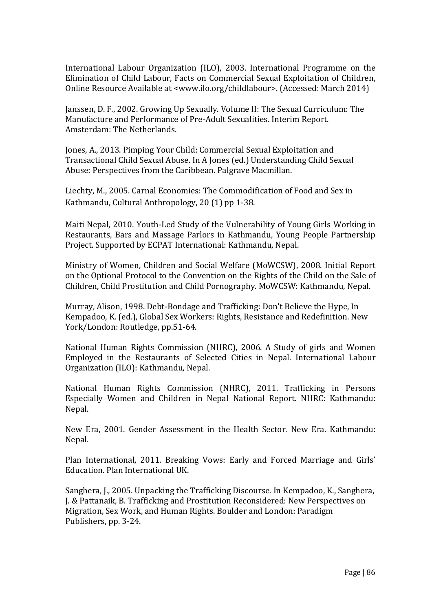International Labour Organization (ILO), 2003. International Programme on the Elimination of Child Labour, Facts on Commercial Sexual Exploitation of Children, Online Resource Available at <www.ilo.org/childlabour>. (Accessed: March 2014)

Janssen, D. F., 2002. Growing Up Sexually. Volume II: The Sexual Curriculum: The Manufacture and Performance of Pre-Adult Sexualities. Interim Report. Amsterdam: The Netherlands.

Jones, A., 2013. Pimping Your Child: Commercial Sexual Exploitation and Transactional Child Sexual Abuse. In A Jones (ed.) Understanding Child Sexual Abuse: Perspectives from the Caribbean. Palgrave Macmillan.

Liechty, M., 2005. Carnal Economies: The Commodification of Food and Sex in Kathmandu, Cultural Anthropology, 20 (1) pp 1-38.

Maiti Nepal, 2010. Youth-Led Study of the Vulnerability of Young Girls Working in Restaurants, Bars and Massage Parlors in Kathmandu, Young People Partnership Project. Supported by ECPAT International: Kathmandu, Nepal.

Ministry of Women, Children and Social Welfare (MoWCSW), 2008. Initial Report on the Optional Protocol to the Convention on the Rights of the Child on the Sale of Children, Child Prostitution and Child Pornography. MoWCSW: Kathmandu, Nepal.

Murray, Alison, 1998. Debt-Bondage and Trafficking: Don't Believe the Hype, In Kempadoo, K. (ed.), Global Sex Workers: Rights, Resistance and Redefinition. New York/London: Routledge, pp.51-64.

National Human Rights Commission (NHRC), 2006. A Study of girls and Women Employed in the Restaurants of Selected Cities in Nepal. International Labour Organization (ILO): Kathmandu, Nepal.

National Human Rights Commission (NHRC), 2011. Trafficking in Persons Especially Women and Children in Nepal National Report. NHRC: Kathmandu: Nepal.

New Era, 2001. Gender Assessment in the Health Sector. New Era. Kathmandu: Nepal.

Plan International, 2011. Breaking Vows: Early and Forced Marriage and Girls' Education. Plan International UK.

Sanghera, J., 2005. Unpacking the Trafficking Discourse. In Kempadoo, K., Sanghera, J. & Pattanaik, B. Trafficking and Prostitution Reconsidered: New Perspectives on Migration, Sex Work, and Human Rights. Boulder and London: Paradigm Publishers, pp. 3-24.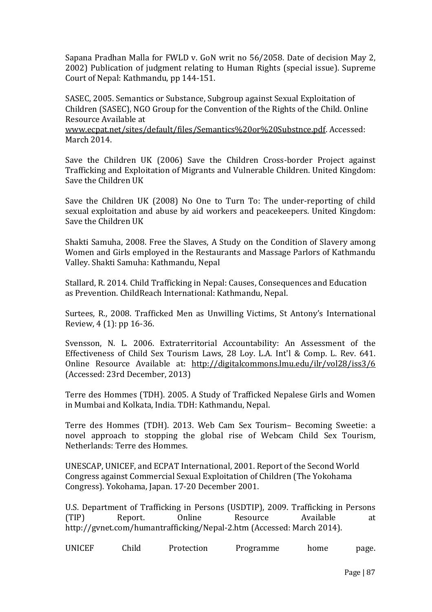Sapana Pradhan Malla for FWLD v. GoN writ no 56/2058. Date of decision May 2, 2002) Publication of judgment relating to Human Rights (special issue). Supreme Court of Nepal: Kathmandu, pp 144-151.

SASEC, 2005. Semantics or Substance, Subgroup against Sexual Exploitation of Children (SASEC), NGO Group for the Convention of the Rights of the Child. Online Resource Available at

www.ecpat.net/sites/default/files/Semantics%20or%20Substnce.pdf. Accessed: March 2014.

Save the Children UK (2006) Save the Children Cross-border Project against Trafficking and Exploitation of Migrants and Vulnerable Children. United Kingdom: Save the Children UK

Save the Children UK (2008) No One to Turn To: The under-reporting of child sexual exploitation and abuse by aid workers and peacekeepers. United Kingdom: Save the Children UK

Shakti Samuha, 2008. Free the Slaves, A Study on the Condition of Slavery among Women and Girls employed in the Restaurants and Massage Parlors of Kathmandu Valley. Shakti Samuha: Kathmandu, Nepal

Stallard, R. 2014. Child Trafficking in Nepal: Causes, Consequences and Education as Prevention. ChildReach International: Kathmandu, Nepal.

Surtees, R., 2008. Trafficked Men as Unwilling Victims, St Antony's International Review, 4 (1): pp 16-36.

Svensson, N. L. 2006. Extraterritorial Accountability: An Assessment of the Effectiveness of Child Sex Tourism Laws, 28 Loy. L.A. Int'l & Comp. L. Rev. 641. Online Resource Available at: http://digitalcommons.lmu.edu/ilr/vol28/iss3/6 (Accessed: 23rd December, 2013)

Terre des Hommes (TDH). 2005. A Study of Trafficked Nepalese Girls and Women in Mumbai and Kolkata, India. TDH: Kathmandu, Nepal.

Terre des Hommes (TDH). 2013. Web Cam Sex Tourism– Becoming Sweetie: a novel approach to stopping the global rise of Webcam Child Sex Tourism, Netherlands: Terre des Hommes.

UNESCAP, UNICEF, and ECPAT International, 2001. Report of the Second World Congress against Commercial Sexual Exploitation of Children (The Yokohama Congress). Yokohama, Japan. 17-20 December 2001.

U.S. Department of Trafficking in Persons (USDTIP), 2009. Trafficking in Persons (TIP) Report. Online Resource Available at http://gvnet.com/humantrafficking/Nepal-2.htm (Accessed: March 2014).

| <b>UNICEF</b> | Child | Protection | Programme | home | page. |
|---------------|-------|------------|-----------|------|-------|
|---------------|-------|------------|-----------|------|-------|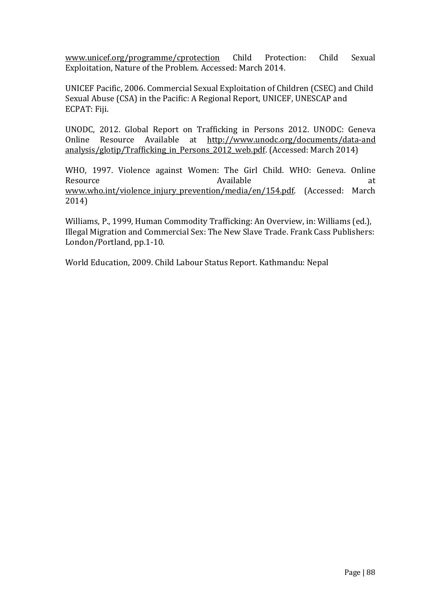www.unicef.org/programme/cprotection Child Protection: Child Sexual Exploitation, Nature of the Problem. Accessed: March 2014.

UNICEF Pacific, 2006. Commercial Sexual Exploitation of Children (CSEC) and Child Sexual Abuse (CSA) in the Pacific: A Regional Report, UNICEF, UNESCAP and ECPAT: Fiji.

UNODC, 2012. Global Report on Trafficking in Persons 2012. UNODC: Geneva Online Resource Available at http://www.unodc.org/documents/data-and analysis/glotip/Trafficking in Persons 2012 web.pdf. (Accessed: March 2014)

WHO, 1997. Violence against Women: The Girl Child. WHO: Geneva. Online Resource and a state at the Available and Available at the state at  $\alpha$ www.who.int/violence\_injury\_prevention/media/en/154.pdf. (Accessed: March 2014)

Williams, P., 1999, Human Commodity Trafficking: An Overview, in: Williams (ed.), Illegal Migration and Commercial Sex: The New Slave Trade. Frank Cass Publishers: London/Portland, pp.1-10.

World Education, 2009. Child Labour Status Report. Kathmandu: Nepal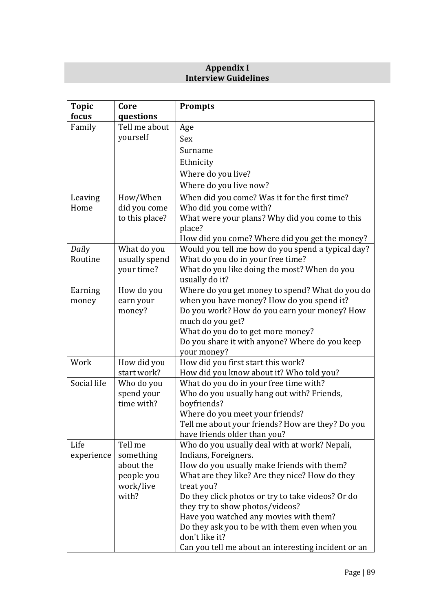## **Appendix I Interview Guidelines**

| <b>Topic</b> | Core                | <b>Prompts</b>                                                                               |  |
|--------------|---------------------|----------------------------------------------------------------------------------------------|--|
| focus        | questions           |                                                                                              |  |
| Family       | Tell me about       | Age                                                                                          |  |
|              | yourself            | Sex                                                                                          |  |
|              |                     | Surname                                                                                      |  |
|              |                     | Ethnicity                                                                                    |  |
|              |                     | Where do you live?                                                                           |  |
|              |                     | Where do you live now?                                                                       |  |
| Leaving      | How/When            | When did you come? Was it for the first time?                                                |  |
| Home         | did you come        | Who did you come with?                                                                       |  |
|              | to this place?      | What were your plans? Why did you come to this<br>place?                                     |  |
|              |                     | How did you come? Where did you get the money?                                               |  |
| Daily        | What do you         | Would you tell me how do you spend a typical day?                                            |  |
| Routine      | usually spend       | What do you do in your free time?                                                            |  |
|              | your time?          | What do you like doing the most? When do you                                                 |  |
|              |                     | usually do it?                                                                               |  |
| Earning      | How do you          | Where do you get money to spend? What do you do<br>when you have money? How do you spend it? |  |
| money        | earn your<br>money? | Do you work? How do you earn your money? How                                                 |  |
|              |                     | much do you get?                                                                             |  |
|              |                     | What do you do to get more money?                                                            |  |
|              |                     | Do you share it with anyone? Where do you keep                                               |  |
|              |                     | your money?                                                                                  |  |
| Work         | How did you         | How did you first start this work?                                                           |  |
|              | start work?         | How did you know about it? Who told you?                                                     |  |
| Social life  | Who do you          | What do you do in your free time with?                                                       |  |
|              | spend your          | Who do you usually hang out with? Friends,                                                   |  |
|              | time with?          | boyfriends?                                                                                  |  |
|              |                     | Where do you meet your friends?                                                              |  |
|              |                     | Tell me about your friends? How are they? Do you                                             |  |
|              |                     | have friends older than you?                                                                 |  |
| Life         | Tell me             | Who do you usually deal with at work? Nepali,                                                |  |
| experience   | something           | Indians, Foreigners.                                                                         |  |
|              | about the           | How do you usually make friends with them?                                                   |  |
|              | people you          | What are they like? Are they nice? How do they                                               |  |
|              | work/live<br>with?  | treat you?<br>Do they click photos or try to take videos? Or do                              |  |
|              |                     | they try to show photos/videos?                                                              |  |
|              |                     | Have you watched any movies with them?                                                       |  |
|              |                     | Do they ask you to be with them even when you                                                |  |
|              |                     | don't like it?                                                                               |  |
|              |                     | Can you tell me about an interesting incident or an                                          |  |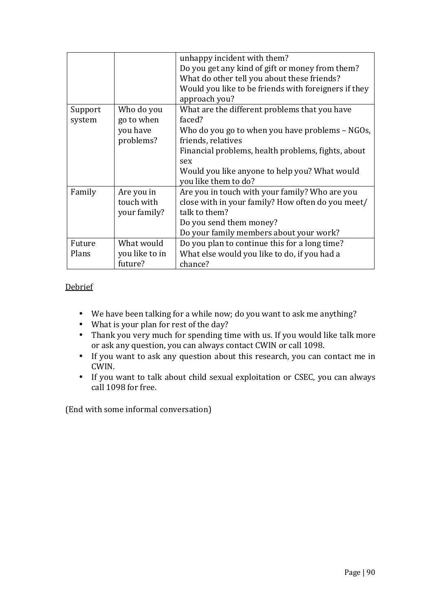|         |                | unhappy incident with them?                          |
|---------|----------------|------------------------------------------------------|
|         |                | Do you get any kind of gift or money from them?      |
|         |                | What do other tell you about these friends?          |
|         |                | Would you like to be friends with foreigners if they |
|         |                | approach you?                                        |
| Support | Who do you     | What are the different problems that you have        |
| system  | go to when     | faced?                                               |
|         | you have       | Who do you go to when you have problems - NGOs,      |
|         | problems?      | friends, relatives                                   |
|         |                | Financial problems, health problems, fights, about   |
|         |                | sex                                                  |
|         |                | Would you like anyone to help you? What would        |
|         |                | you like them to do?                                 |
| Family  | Are you in     | Are you in touch with your family? Who are you       |
|         | touch with     | close with in your family? How often do you meet/    |
|         | your family?   | talk to them?                                        |
|         |                | Do you send them money?                              |
|         |                | Do your family members about your work?              |
| Future  | What would     | Do you plan to continue this for a long time?        |
| Plans   | you like to in | What else would you like to do, if you had a         |
|         | future?        | chance?                                              |

## **Debrief**

- We have been talking for a while now; do you want to ask me anything?
- What is your plan for rest of the day?
- Thank you very much for spending time with us. If you would like talk more or ask any question, you can always contact CWIN or call 1098.
- If you want to ask any question about this research, you can contact me in CWIN.
- If you want to talk about child sexual exploitation or CSEC, you can always call 1098 for free.

(End with some informal conversation)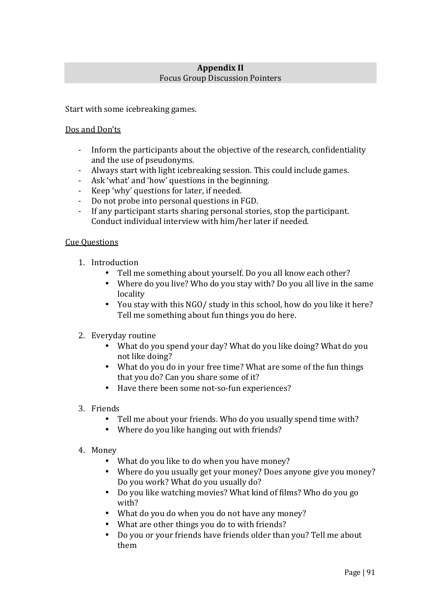## **Appendix II**  Focus Group Discussion Pointers

Start with some icebreaking games.

### Dos and Don'ts

- Inform the participants about the objective of the research, confidentiality and the use of pseudonyms.
- Always start with light icebreaking session. This could include games.
- Ask 'what' and 'how' questions in the beginning.
- Keep 'why' questions for later, if needed.
- Do not probe into personal questions in FGD.
- If any participant starts sharing personal stories, stop the participant. Conduct individual interview with him/her later if needed.

### Cue Questions

- 1. Introduction
	- Tell me something about yourself. Do you all know each other?
	- Where do you live? Who do you stay with? Do you all live in the same locality
	- You stay with this NGO/ study in this school, how do you like it here? Tell me something about fun things you do here.
- 2. Everyday routine
	- What do you spend your day? What do you like doing? What do you not like doing?
	- What do you do in your free time? What are some of the fun things that you do? Can you share some of it?
	- Have there been some not-so-fun experiences?
- 3. Friends
	- Tell me about your friends. Who do you usually spend time with?
	- Where do you like hanging out with friends?
- 4. Money
	- What do you like to do when you have money?
	- Where do you usually get your money? Does anyone give you money? Do you work? What do you usually do?
	- Do you like watching movies? What kind of films? Who do you go with?
	- What do you do when you do not have any money?
	- What are other things you do to with friends?
	- Do you or your friends have friends older than you? Tell me about them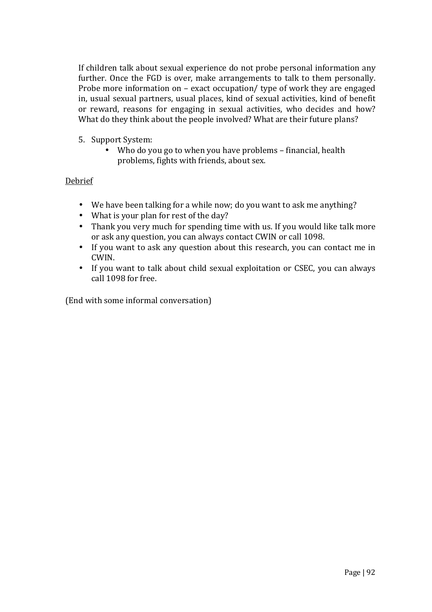If children talk about sexual experience do not probe personal information any further. Once the FGD is over, make arrangements to talk to them personally. Probe more information on – exact occupation/ type of work they are engaged in, usual sexual partners, usual places, kind of sexual activities, kind of benefit or reward, reasons for engaging in sexual activities, who decides and how? What do they think about the people involved? What are their future plans?

- 5. Support System:
	- Who do you go to when you have problems financial, health problems, fights with friends, about sex.

## Debrief

- We have been talking for a while now; do you want to ask me anything?
- What is your plan for rest of the day?
- Thank you very much for spending time with us. If you would like talk more or ask any question, you can always contact CWIN or call 1098.
- If you want to ask any question about this research, you can contact me in CWIN.
- If you want to talk about child sexual exploitation or CSEC, you can always call 1098 for free.

(End with some informal conversation)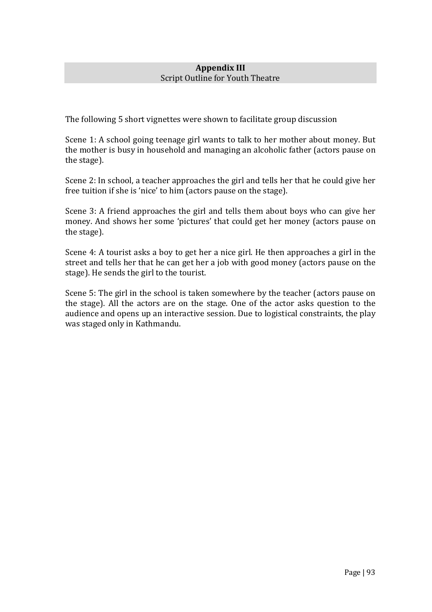## **Appendix III**  Script Outline for Youth Theatre

The following 5 short vignettes were shown to facilitate group discussion

Scene 1: A school going teenage girl wants to talk to her mother about money. But the mother is busy in household and managing an alcoholic father (actors pause on the stage).

Scene 2: In school, a teacher approaches the girl and tells her that he could give her free tuition if she is 'nice' to him (actors pause on the stage).

Scene 3: A friend approaches the girl and tells them about boys who can give her money. And shows her some 'pictures' that could get her money (actors pause on the stage).

Scene 4: A tourist asks a boy to get her a nice girl. He then approaches a girl in the street and tells her that he can get her a job with good money (actors pause on the stage). He sends the girl to the tourist.

Scene 5: The girl in the school is taken somewhere by the teacher (actors pause on the stage). All the actors are on the stage. One of the actor asks question to the audience and opens up an interactive session. Due to logistical constraints, the play was staged only in Kathmandu.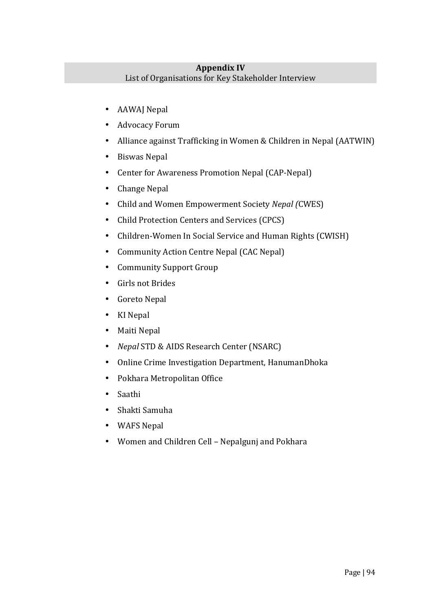## **Appendix IV**  List of Organisations for Key Stakeholder Interview

- AAWAJ Nepal
- Advocacy Forum
- Alliance against Trafficking in Women & Children in Nepal (AATWIN)
- Biswas Nepal
- Center for Awareness Promotion Nepal (CAP-Nepal)
- Change Nepal
- Child and Women Empowerment Society *Nepal (*CWES)
- Child Protection Centers and Services (CPCS)
- Children-Women In Social Service and Human Rights (CWISH)
- Community Action Centre Nepal (CAC Nepal)
- Community Support Group
- Girls not Brides
- Goreto Nepal
- KI Nepal
- Maiti Nepal
- *Nepal* STD & AIDS Research Center (NSARC)
- Online Crime Investigation Department, HanumanDhoka
- Pokhara Metropolitan Office
- Saathi
- Shakti Samuha
- WAFS Nepal
- Women and Children Cell Nepalgunj and Pokhara